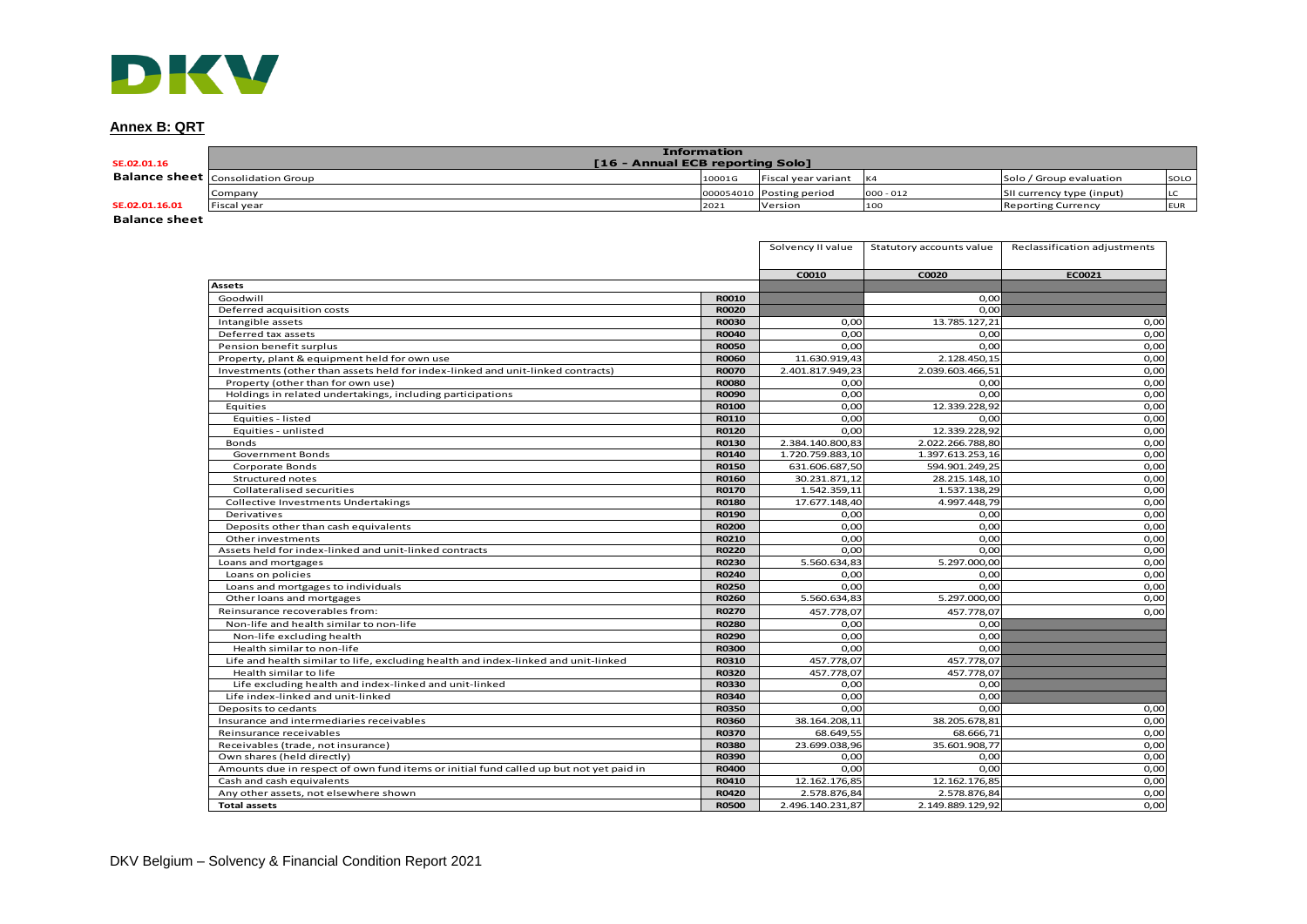# **Annex B: QRT**

| <b>STATE</b>         |                                          |                                                        |                          |             |                           |            |
|----------------------|------------------------------------------|--------------------------------------------------------|--------------------------|-------------|---------------------------|------------|
| Annex B: QRT         |                                          |                                                        |                          |             |                           |            |
| SE.02.01.16          |                                          | <b>Information</b><br>[16 - Annual ECB reporting Solo] |                          |             |                           |            |
|                      | <b>Balance sheet</b> Consolidation Group | 10001G                                                 | Fiscal year variant      | K4          | Solo / Group evaluation   | SOLO       |
|                      | Company                                  |                                                        | 000054010 Posting period | $000 - 012$ | SII currency type (input) | LC         |
| SE.02.01.16.01       | Fiscal year                              | 2021                                                   | Version                  | 100         | <b>Reporting Currency</b> | <b>EUR</b> |
| <b>Dolones choot</b> |                                          |                                                        |                          |             |                           |            |

**Balance sheet**

|                                                                                        |              | Solvency II value | Statutory accounts value | Reclassification adjustments |
|----------------------------------------------------------------------------------------|--------------|-------------------|--------------------------|------------------------------|
|                                                                                        |              | C0010             | C0020                    | EC0021                       |
| <b>Assets</b>                                                                          |              |                   |                          |                              |
| Goodwill                                                                               | R0010        |                   | 0.00                     |                              |
| Deferred acquisition costs                                                             | <b>R0020</b> |                   | 0,00                     |                              |
| Intangible assets                                                                      | <b>R0030</b> | 0.00              | 13.785.127,21            | 0,00                         |
| Deferred tax assets                                                                    | <b>R0040</b> | 0.00              | 0,00                     | 0,00                         |
| Pension benefit surplus                                                                | <b>R0050</b> | 0,00              | 0,00                     | 0,00                         |
| Property, plant & equipment held for own use                                           | <b>R0060</b> | 11.630.919,43     | 2.128.450,15             | 0,00                         |
| Investments (other than assets held for index-linked and unit-linked contracts)        | <b>R0070</b> | 2.401.817.949,23  | 2.039.603.466,51         | 0,00                         |
| Property (other than for own use)                                                      | <b>R0080</b> | 0,00              | 0,00                     | 0,00                         |
| Holdings in related undertakings, including participations                             | <b>R0090</b> | 0.00              | 0.00                     | 0,00                         |
| Equities                                                                               | <b>R0100</b> | 0,00              | 12.339.228,92            | 0,00                         |
| Equities - listed                                                                      | R0110        | 0.00              | 0,00                     | 0,00                         |
| Equities - unlisted                                                                    | <b>R0120</b> | 0.00              | 12.339.228,92            | 0,00                         |
| Bonds                                                                                  | R0130        | 2.384.140.800,83  | 2.022.266.788,80         | 0,00                         |
| <b>Government Bonds</b>                                                                | R0140        | 1.720.759.883,10  | 1.397.613.253,16         | 0,00                         |
| Corporate Bonds                                                                        | <b>R0150</b> | 631.606.687,50    | 594.901.249,25           | 0,00                         |
| Structured notes                                                                       | R0160        | 30.231.871,12     | 28.215.148,10            | 0,00                         |
| Collateralised securities                                                              | <b>R0170</b> | 1.542.359,11      | 1.537.138,29             | 0,00                         |
| <b>Collective Investments Undertakings</b>                                             | <b>R0180</b> | 17.677.148,40     | 4.997.448,79             | 0,00                         |
| Derivatives                                                                            | R0190        | 0,00              | 0,00                     | 0,00                         |
| Deposits other than cash equivalents                                                   | <b>R0200</b> | 0,00              | 0,00                     | 0,00                         |
| Other investments                                                                      | R0210        | 0,00              | 0,00                     | 0,00                         |
| Assets held for index-linked and unit-linked contracts                                 | <b>R0220</b> | 0,00              | 0,00                     | 0,00                         |
| Loans and mortgages                                                                    | <b>R0230</b> | 5.560.634,83      | 5.297.000,00             | 0,00                         |
| Loans on policies                                                                      | R0240        | 0.00              | 0,00                     | 0,00                         |
| Loans and mortgages to individuals                                                     | <b>R0250</b> | 0.00              | 0.00                     | 0,00                         |
| Other loans and mortgages                                                              | <b>R0260</b> | 5.560.634,83      | 5.297.000,00             | 0,00                         |
| Reinsurance recoverables from:                                                         | <b>R0270</b> | 457.778,07        | 457.778,07               | 0,00                         |
| Non-life and health similar to non-life                                                | <b>R0280</b> | 0,00              | 0,00                     |                              |
| Non-life excluding health                                                              | <b>R0290</b> | 0.00              | 0.00                     |                              |
| Health similar to non-life                                                             | <b>R0300</b> | 0.00              | 0.00                     |                              |
| Life and health similar to life, excluding health and index-linked and unit-linked     | R0310        | 457.778,07        | 457.778,07               |                              |
| Health similar to life                                                                 | <b>R0320</b> | 457.778,07        | 457.778,07               |                              |
| Life excluding health and index-linked and unit-linked                                 | <b>R0330</b> | 0,00              | 0,00                     |                              |
| Life index-linked and unit-linked                                                      | R0340        | 0,00              | 0,00                     |                              |
| Deposits to cedants                                                                    | <b>R0350</b> | 0.00              | 0.00                     | 0,00                         |
| Insurance and intermediaries receivables                                               | <b>R0360</b> | 38.164.208,11     | 38.205.678,81            | 0,00                         |
| Reinsurance receivables                                                                | <b>R0370</b> | 68.649,55         | 68.666,71                | 0,00                         |
| Receivables (trade, not insurance)                                                     | <b>R0380</b> | 23.699.038,96     | 35.601.908,77            | 0,00                         |
| Own shares (held directly)                                                             | R0390        | 0,00              | 0,00                     | 0,00                         |
| Amounts due in respect of own fund items or initial fund called up but not yet paid in | <b>R0400</b> | 0,00              | 0,00                     | 0,00                         |
| Cash and cash equivalents                                                              | R0410        | 12.162.176,85     | 12.162.176,85            | 0,00                         |
| Any other assets, not elsewhere shown                                                  | R0420        | 2.578.876,84      | 2.578.876,84             | 0,00                         |
| <b>Total assets</b>                                                                    | <b>R0500</b> | 2.496.140.231,87  | 2.149.889.129,92         | 0,00                         |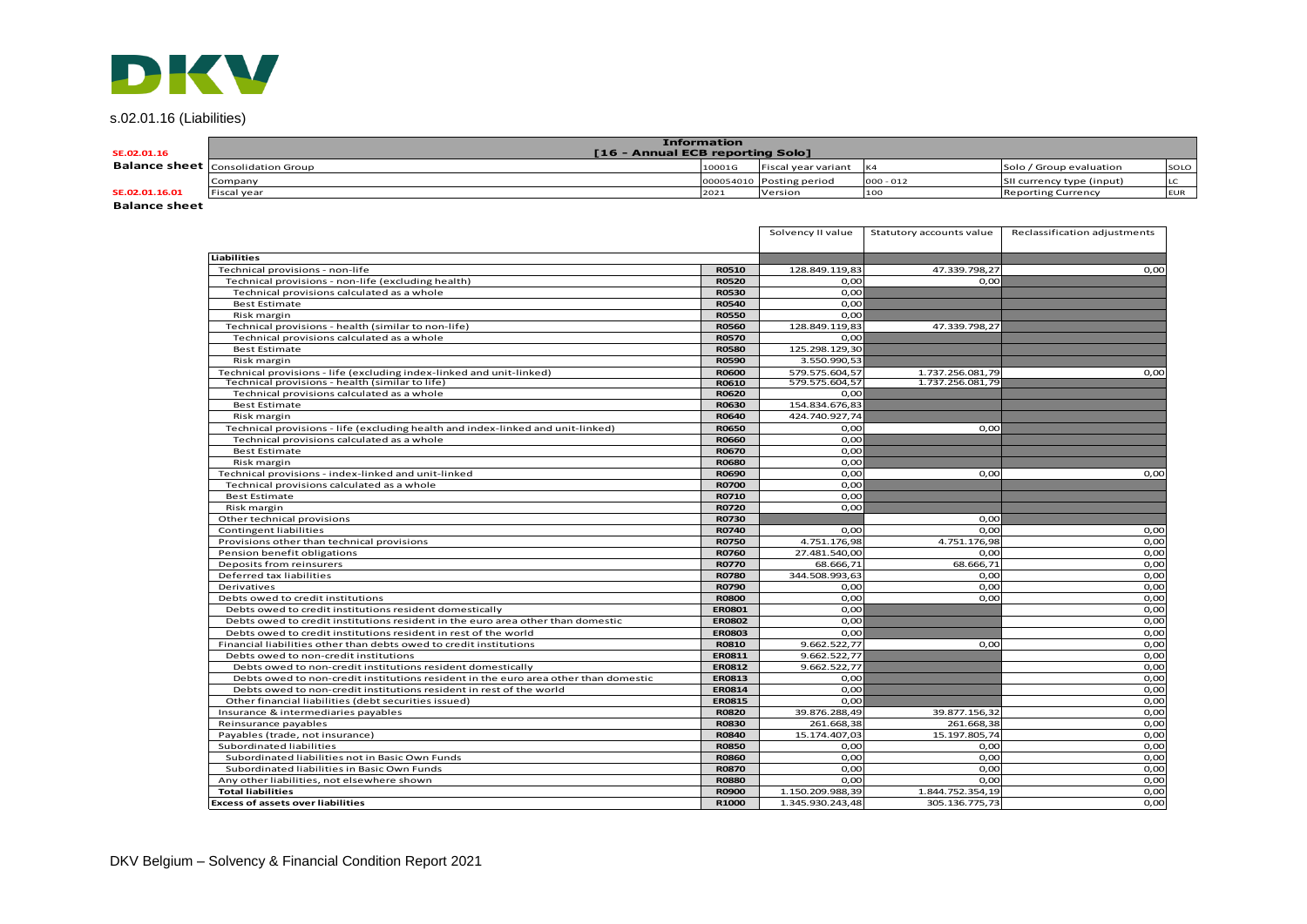# s.02.01.16 (Liabilities)

| <b>DK</b>                |                                          |                                                        |                          |             |                           |            |
|--------------------------|------------------------------------------|--------------------------------------------------------|--------------------------|-------------|---------------------------|------------|
| s.02.01.16 (Liabilities) |                                          |                                                        |                          |             |                           |            |
| SE.02.01.16              |                                          | <b>Information</b><br>[16 - Annual ECB reporting Solo] |                          |             |                           |            |
|                          | <b>Balance sheet</b> Consolidation Group | 10001G                                                 | Fiscal year variant      | K4          | Solo / Group evaluation   | SOLO       |
|                          | Company                                  |                                                        | 000054010 Posting period | $000 - 012$ | SII currency type (input) | LC.        |
| SE.02.01.16.01           | Fiscal year                              | 2021                                                   | Version                  | 100         | <b>Reporting Currency</b> | <b>EUR</b> |
| <b>Ralance sheet</b>     |                                          |                                                        |                          |             |                           |            |

**Balance sheet**

|                                                                                     |               | Solvency II value | Statutory accounts value | Reclassification adjustments |
|-------------------------------------------------------------------------------------|---------------|-------------------|--------------------------|------------------------------|
| Liabilities                                                                         |               |                   |                          |                              |
| Technical provisions - non-life                                                     | <b>R0510</b>  | 128.849.119,83    | 47.339.798,27            | 0,00                         |
| Technical provisions - non-life (excluding health)                                  | <b>R0520</b>  | O,OC              | 0,00                     |                              |
| Technical provisions calculated as a whole                                          | <b>R0530</b>  | 0.00              |                          |                              |
| <b>Best Estimate</b>                                                                | <b>R0540</b>  | 0.00              |                          |                              |
| Risk margin                                                                         | <b>R0550</b>  | 0.00              |                          |                              |
| Technical provisions - health (similar to non-life)                                 | <b>R0560</b>  | 128.849.119,83    | 47.339.798.27            |                              |
| Technical provisions calculated as a whole                                          | <b>R0570</b>  | 0.00              |                          |                              |
| <b>Best Estimate</b>                                                                | <b>R0580</b>  | 125.298.129,30    |                          |                              |
| Risk margin                                                                         | <b>R0590</b>  | 3.550.990,53      |                          |                              |
| Technical provisions - life (excluding index-linked and unit-linked)                | <b>R0600</b>  | 579.575.604,57    | 1.737.256.081,79         | 0,00                         |
| Technical provisions - health (similar to life)                                     | <b>R0610</b>  | 579.575.604,57    | 1.737.256.081,79         |                              |
| Technical provisions calculated as a whole                                          | <b>R0620</b>  | 0.00              |                          |                              |
| <b>Best Estimate</b>                                                                | <b>R0630</b>  | 154.834.676,83    |                          |                              |
| Risk margin                                                                         | R0640         | 424.740.927,74    |                          |                              |
| Technical provisions - life (excluding health and index-linked and unit-linked)     | <b>R0650</b>  | 0.00              | 0,00                     |                              |
| Technical provisions calculated as a whole                                          | <b>R0660</b>  | O,OC              |                          |                              |
| <b>Best Estimate</b>                                                                | <b>R0670</b>  | 0,00              |                          |                              |
| Risk margin                                                                         | <b>R0680</b>  | 0.00              |                          |                              |
| Technical provisions - index-linked and unit-linked                                 | <b>R0690</b>  | 0.00              | 0,00                     | 0,00                         |
| Technical provisions calculated as a whole                                          | <b>R0700</b>  | 0.00              |                          |                              |
| <b>Best Estimate</b>                                                                | R0710         | 0.00              |                          |                              |
| Risk margin                                                                         | <b>R0720</b>  | 0.00              |                          |                              |
| Other technical provisions                                                          | <b>R0730</b>  |                   | 0.00                     |                              |
| <b>Contingent liabilities</b>                                                       | R0740         | O,OC              | 0,00                     | 0,00                         |
| Provisions other than technical provisions                                          | <b>R0750</b>  | 4.751.176,98      | 4.751.176,98             | 0,00                         |
| Pension benefit obligations                                                         | <b>R0760</b>  | 27.481.540,00     | 0,00                     | 0,00                         |
| Deposits from reinsurers                                                            | <b>R0770</b>  | 68.666,71         | 68.666,71                | 0,00                         |
| Deferred tax liabilities                                                            | <b>R0780</b>  | 344.508.993,63    | 0,00                     | 0,00                         |
| Derivatives                                                                         | <b>R0790</b>  | 0.00              | 0.00                     | 0,00                         |
| Debts owed to credit institutions                                                   | <b>R0800</b>  | 0,00              | 0,00                     | 0,00                         |
| Debts owed to credit institutions resident domestically                             | <b>ER0801</b> | 0.00              |                          | 0,00                         |
| Debts owed to credit institutions resident in the euro area other than domestic     | <b>ER0802</b> | 0.00              |                          | 0,00                         |
| Debts owed to credit institutions resident in rest of the world                     | <b>ER0803</b> | 0,00              |                          | 0,00                         |
| Financial liabilities other than debts owed to credit institutions                  | <b>R0810</b>  | 9.662.522,77      | 0,00                     | 0,00                         |
| Debts owed to non-credit institutions                                               | <b>ER0811</b> | 9.662.522,77      |                          | 0,00                         |
| Debts owed to non-credit institutions resident domestically                         | <b>ER0812</b> | 9.662.522,77      |                          | 0,00                         |
| Debts owed to non-credit institutions resident in the euro area other than domestic | <b>ER0813</b> | 0.00              |                          | 0,00                         |
| Debts owed to non-credit institutions resident in rest of the world                 | <b>ER0814</b> | O,OC              |                          | 0,00                         |
| Other financial liabilities (debt securities issued)                                | <b>ER0815</b> | 0.00              |                          | 0,00                         |
| Insurance & intermediaries payables                                                 | <b>R0820</b>  | 39.876.288,49     | 39.877.156,32            | 0,00                         |
| Reinsurance payables                                                                | <b>R0830</b>  | 261.668,38        | 261.668,38               | 0,00                         |
| Payables (trade, not insurance)                                                     | <b>R0840</b>  | 15.174.407,03     | 15.197.805,74            | 0,00                         |
| Subordinated liabilities                                                            | <b>R0850</b>  | O,OC              | 0,00                     | 0,00                         |
| Subordinated liabilities not in Basic Own Funds                                     | <b>R0860</b>  | 0,00              | 0,00                     | 0,00                         |
| Subordinated liabilities in Basic Own Funds                                         | <b>R0870</b>  | O,OC              | 0,00                     | 0,00                         |
| Any other liabilities, not elsewhere shown                                          | <b>R0880</b>  | 0.00              | 0.00                     | 0,00                         |
| <b>Total liabilities</b>                                                            | <b>R0900</b>  | 1.150.209.988,39  | 1.844.752.354,19         | 0,00                         |
| <b>Excess of assets over liabilities</b>                                            | R1000         | 1.345.930.243,48  | 305.136.775,73           | 0,00                         |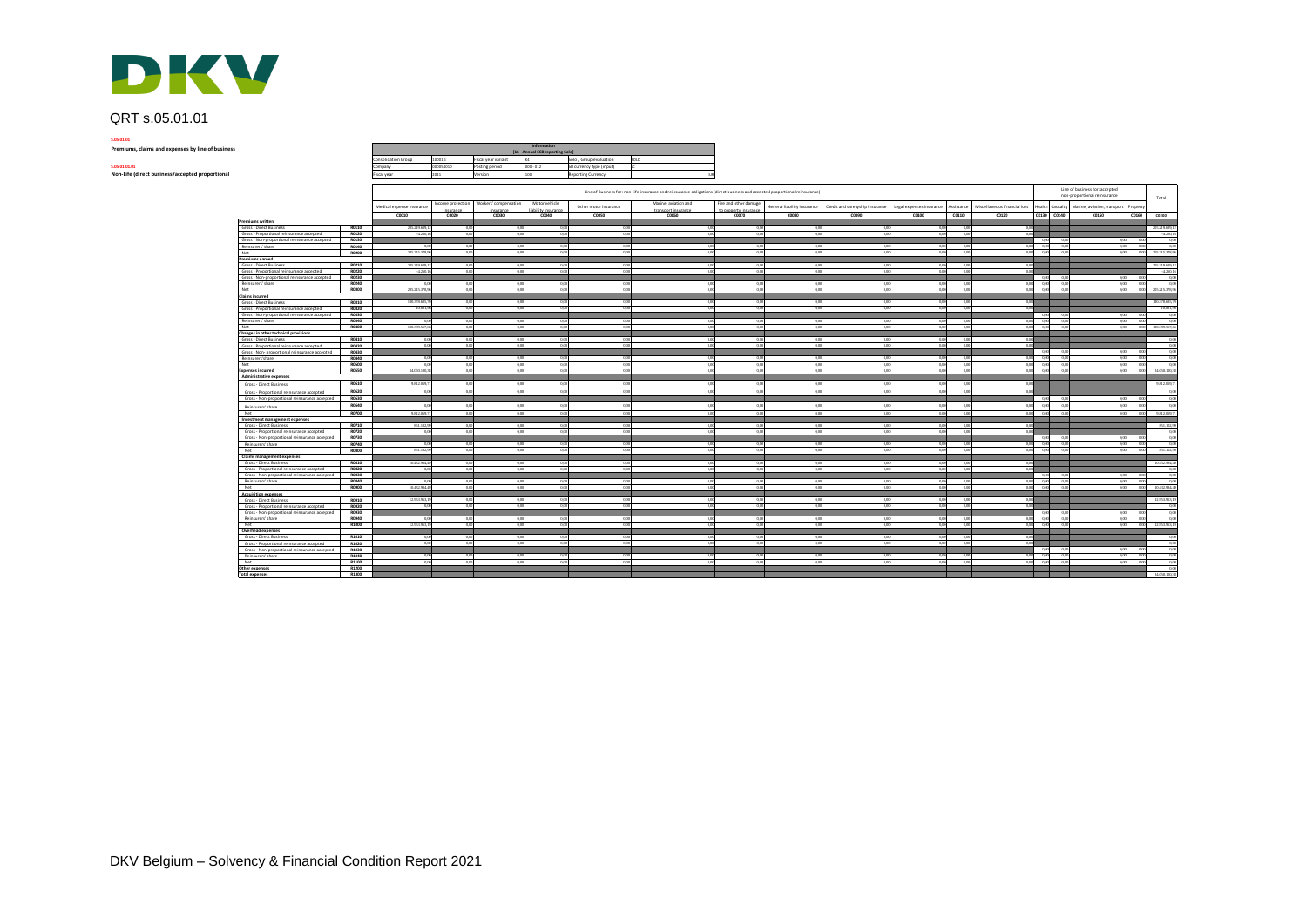

# QRT s.05.01.01

**S.05.01.01**

| Premiums, claims and expenses by line of business |
|---------------------------------------------------|
|---------------------------------------------------|

| \$.05.01.01.01 |  |
|----------------|--|
|                |  |

| DKV                                               |                     |           |                     |                                                 |                           |                                                                          |     |
|---------------------------------------------------|---------------------|-----------|---------------------|-------------------------------------------------|---------------------------|--------------------------------------------------------------------------|-----|
| QRT s.05.01.01<br>5.05.01.01                      |                     |           |                     |                                                 |                           |                                                                          |     |
| Premiums, claims and expenses by line of business |                     |           |                     | Information<br>[16 - Annual ECB reporting Solo] |                           |                                                                          |     |
|                                                   | Consolidation Group | 100016    | Fiscal year variant |                                                 | Solo / Group evaluation   | SOLO                                                                     |     |
| 5.05.01.01.01                                     | Company             | 000054010 | Posting period      | $000 - 012$                                     | SII currency type (input) |                                                                          |     |
| Non-Life (direct business/accepted proportional   | Fiscal year         | 2021      | Version             | co                                              | <b>Reporting Currency</b> |                                                                          | EUR |
|                                                   |                     |           |                     |                                                 |                           | Line of Business for: non-life insurance and reinsurance obligations (di |     |

|                                                                      |                | Line of Business for: non-life insurance and reinsurance obligations (direct business and accepted proportional reinsurance) |                                |                                    |                                      |                       |                                             |                                                |                             |                                 |                          |                |                              |                 | Line of business for: accepted<br>non-proportional reinsurance<br>Total |                             |        |                |
|----------------------------------------------------------------------|----------------|------------------------------------------------------------------------------------------------------------------------------|--------------------------------|------------------------------------|--------------------------------------|-----------------------|---------------------------------------------|------------------------------------------------|-----------------------------|---------------------------------|--------------------------|----------------|------------------------------|-----------------|-------------------------------------------------------------------------|-----------------------------|--------|----------------|
|                                                                      |                | Medical expense insurance                                                                                                    | Income protection<br>insurance | Workers' compensation<br>insurance | Motor vehicle<br>liability insurance | Other motor insurance | Marine, aviation and<br>transport insurance | Fire and other damage<br>to property insurance | General liability insurance | Credit and suretyship insurance | Legal expenses insurance | Assistance     | Miscellaneous financial loss | Health Casualty |                                                                         | Marine, aviation, transport | ropert |                |
| Premiums written                                                     |                | C0010                                                                                                                        | C0020                          | C0030                              | C0040                                | C0050                 | C0060                                       | C0070                                          | CD080                       | C0090                           | C0100                    | C0110          | CO120                        | C0130 C0140     |                                                                         | C0150                       | C0160  | 00200          |
| Gross - Direct Business                                              | R0110          | 205.219.639.1                                                                                                                | 0,00                           | 000                                | 0.00                                 | 0.0                   | 0,00                                        | 0.00                                           | 0.00                        | 0.00                            | 000                      | 00             | 00                           |                 |                                                                         |                             |        | 205.219.639.1  |
| Gross - Proportional reinsurance accepted                            | R0120          | $-4260.16$                                                                                                                   | 0.00                           | 0.00                               | 0.00                                 | 0.00                  | 000                                         | 0.00                                           | 0.00                        | 0.00                            | 0.00                     | 000            | 0.00                         |                 |                                                                         |                             |        | $-4.260$       |
| Gross - Non-proportional reinsurance accepted                        | R0130          |                                                                                                                              |                                |                                    |                                      |                       |                                             |                                                |                             |                                 |                          |                |                              | 0.00            | 0.0                                                                     | 0.00                        | 00     | 0.0            |
| Reinsurers' share                                                    | R0140          | 00                                                                                                                           | 0,00                           | 000                                | 0.00                                 | 0.00                  | 0.00                                        | 000                                            | 0,00                        | 000                             | 000                      |                | 0.00                         | -0.00           | 00                                                                      | 0.00                        | 000    | 00             |
| Net                                                                  | R0200          | 205.215.378.96                                                                                                               | 0.00                           | 0.00                               | 0.00                                 | 0.00                  | 000                                         | 0.00                                           | 0.00                        | 000                             | 0.001                    | 0.08           | 0.00                         | 0.00            | 00                                                                      | 0.00                        | 0.00   | 205.215.378.96 |
| Premiums earned                                                      |                |                                                                                                                              |                                |                                    |                                      |                       |                                             |                                                |                             |                                 |                          |                |                              |                 |                                                                         |                             |        |                |
| Gross - Direct Business                                              | R0210          | 205.219.639,1                                                                                                                | 0,00                           | 0.00                               | 0.00                                 | 00                    | 0.00                                        | 0.00                                           | 0,00                        | 0.00                            | 0.00                     |                | 00                           |                 |                                                                         |                             |        | 205.219.639.1  |
| Gross - Proportional reinsurance accepted                            | R0220          | $-4.260,16$                                                                                                                  | 0,00                           | 0.00                               | 0,00                                 | 0 <sub>m</sub>        | 0,00                                        | 0,00                                           | 0,00                        | 0,00                            | 0,00                     |                | 0.00                         |                 |                                                                         |                             |        | $-4.260,1$     |
| Gross - Non-proportional reinsurance accepted                        | R0230          |                                                                                                                              |                                |                                    |                                      |                       |                                             |                                                |                             |                                 |                          |                |                              | 0.00            | 00                                                                      | 0.00                        | 00     | 00             |
| Reinsurers' share                                                    | R0240          | 0.00                                                                                                                         | 0.00                           | 0.00                               | 0.00                                 | 0.00                  | 0.00                                        | 0.00                                           | 0.00                        | 0.00                            | 0.00                     | 00             | 0.00                         | 0.00            | 0.00                                                                    | 0.00                        | 0.00   | 0.00           |
| Net                                                                  | R0300          | 205.215.378,96                                                                                                               | 0,00                           | 0,00                               | 0,00                                 | 0.00                  | 0,00                                        | 0,00                                           | 0.00                        | 0,00                            | 0,00                     | 000            | 0,00                         | 0,00            | 0.00                                                                    | 0,00                        | 0,00   | 205.215.378.96 |
| <b>Claims incurred</b>                                               |                |                                                                                                                              |                                |                                    |                                      |                       |                                             |                                                |                             |                                 |                          |                |                              |                 |                                                                         |                             |        |                |
| Gross - Direct Business                                              | R0310          | 130.378.685.7                                                                                                                | 0.00                           | 000                                | 000                                  | 0.00                  | 0.00                                        | 0.00                                           | 0.00                        | 0.00                            | 0.001                    | 00             | 0.00                         |                 |                                                                         |                             |        | 130,378,685.7  |
| Gross - Proportional reinsurance accepted                            | R0320          | 10.881.96                                                                                                                    | 0,00                           | 0.00                               | 0,00                                 | 0.00                  | 000                                         | 0.00                                           | 0.00                        | 0.00                            | 0.00                     | 00             | 00                           |                 |                                                                         |                             |        | 10.881.96      |
| Gross - Non-proportional reinsurance accepted                        | R0330          |                                                                                                                              |                                |                                    |                                      |                       |                                             |                                                |                             |                                 |                          |                |                              | 0.00            | 0.0                                                                     | 0.00                        | 00     |                |
| Reinsurers' share                                                    | R0340          | 000                                                                                                                          | 0.00                           | 000                                | 0.00                                 | 00                    | 0.01                                        | 0.00                                           | 0.00                        | 000                             | 0.00                     |                | 0.00                         | 0.00            | 0.0                                                                     | 00                          | 00     | 0.0            |
| Net                                                                  | R0400          | 130.389.567.66                                                                                                               | 0,00                           | 0.00                               | 0.00                                 | 0.00                  | 0.00                                        | 0.00                                           | 0.00                        | 0.00                            | 0.00                     | 0 <sup>6</sup> | 0.00                         | 0.00            | 00                                                                      | 0.00                        | 0.00   | 130,389,567.66 |
| Changes in other technical provisions                                |                |                                                                                                                              |                                |                                    |                                      |                       |                                             |                                                |                             |                                 |                          |                |                              |                 |                                                                         |                             |        |                |
| Gross - Direct Business                                              | R0410          | 0.00                                                                                                                         | 0,00                           | 000                                | 0.00                                 | 0.0                   | 0.06                                        | 0.00                                           | 0.00                        | 0.00                            | 0.00                     |                | 0.0                          |                 |                                                                         |                             |        |                |
| Gross - Proportional reinsurance accepted                            | R0420          | 0.00                                                                                                                         | 0,00                           | 0,00                               | 0,00                                 | 0.00                  | 0,00                                        | 0,00                                           | 0,00                        | 0.00                            | 0.00                     |                | 0.00                         |                 |                                                                         |                             |        | 0.0            |
| Gross - Non- proportional reinsurance accepted                       | R0430          |                                                                                                                              |                                |                                    |                                      |                       |                                             |                                                |                             |                                 |                          |                |                              | 0.00            | 00                                                                      | 0.00                        | 00     | 0.00           |
| Reinsurers'share                                                     | R0440<br>R0500 | 0.00                                                                                                                         | 0.00                           | 0.00                               | 0.00                                 | 0.00                  | 0.00                                        | 0.00                                           | 0.00                        | 0.00                            | 0.00                     |                | 0.00                         | 0.00            | 0.00<br>00                                                              | 0.00                        | 0.00   | 0.00<br>00     |
| Net                                                                  | <b>RO550</b>   | 0.00<br>34,050,100.38                                                                                                        | 0,00                           | 0.00<br>000                        | 0.00                                 | 0.00                  | 0.00                                        | 0.00                                           | 0,00<br>0.00                | 0.00<br>0.00                    | 0.00                     | 0 <sup>6</sup> | 0.00<br>0.00                 | 0.00            |                                                                         | 0.00                        | 0.00   | 34,050,100.3   |
| <b>Expenses incurred</b>                                             |                |                                                                                                                              | 0,00                           |                                    | 0.00                                 |                       | 0.00                                        | 0.00                                           |                             |                                 | 0.00                     |                |                              | 0.00            | 0.00                                                                    | 0.00                        | 0.00   |                |
| Administrative expenses                                              |                |                                                                                                                              |                                |                                    |                                      |                       |                                             |                                                |                             |                                 |                          |                |                              |                 |                                                                         |                             |        |                |
| Gross - Direct Business                                              | R0610          | 9.812.099.7                                                                                                                  | 0.00                           | 0.01                               | 00                                   |                       | 0.00                                        | 00                                             | 0.00                        | 0.00                            | 00                       |                | $\Omega$                     |                 |                                                                         |                             |        | 9.812.059.7    |
| Gross - Proportional reinsurance accepted                            | R0620          | 0.0                                                                                                                          | 0,00                           | 0.00                               | 0,00                                 | 0.0                   | 0.00                                        | 0.00                                           | 0.00                        | 0.00                            | 0.00                     |                | 00                           |                 |                                                                         |                             |        | 00             |
| Gross - Non-proportional reinsurance accepted                        | R0630          |                                                                                                                              |                                |                                    |                                      |                       |                                             |                                                |                             |                                 |                          |                |                              | 0.00            | 0.0                                                                     | 0.00                        | 00     | 0.00           |
| Reinsurers' share                                                    | R0640          | 00                                                                                                                           | 0.00                           | 00                                 | 000                                  |                       | 0.00                                        | 0.00                                           | 0.00                        | 000                             | 000                      |                | 000                          | 0.00            | 00                                                                      | 0.00                        | 00     | 0.00           |
| Net                                                                  | R0700          | 9.812.099.71                                                                                                                 | 0.00                           | 0.00                               | 0.00                                 | 0.00                  | 0.00                                        | 0.00                                           | 0.00                        | 0.00                            | 0.00                     | 000            | 0.00                         | 0.00            | 0.00                                                                    | 0.00                        | 0.00   | 9.812.059.71   |
| Investment management expenses                                       |                |                                                                                                                              |                                |                                    |                                      |                       |                                             |                                                |                             |                                 |                          |                |                              |                 |                                                                         |                             |        |                |
| Gross - Direct Business                                              | R0710          | 851.102,99                                                                                                                   | 0,00                           | 0.00                               | 0.00                                 | 0.00                  | 0.00                                        | 0.00                                           | 0,00                        | 000                             | 0.001                    |                | - 0.00                       |                 |                                                                         |                             |        | 851.102.9      |
| Gross - Proportional reinsurance accepted                            | R0720          | 0.00                                                                                                                         | 0,00                           | 0.00                               | 0.00                                 | 0.00                  | 0.00                                        | 0.00                                           | 0.00                        | 0.00                            | 000                      |                | 000                          |                 |                                                                         |                             |        | 0.0            |
| Gross - Non-proportional reinsurance accepted                        | R0730          |                                                                                                                              |                                |                                    |                                      |                       |                                             |                                                |                             |                                 |                          |                |                              | 0.00            | 0.00                                                                    | 0.00                        | 0.00   | 0.00           |
| Reinsurers' share                                                    | R0740          | 0.00                                                                                                                         | 0,00                           | 0.00                               | 0.00                                 | 00                    | 0,00                                        | 0.00                                           | 0.00                        | 0.00                            | 0.00                     |                | 0.00                         | 0.00            | 0.00                                                                    | 0,00                        | 0.00   | 0.00           |
| Net                                                                  | R0800          | 851.102.99                                                                                                                   | 0.00                           | 0.00                               | 0.00                                 | 0.00                  | 0.00                                        | 0.00                                           | 0.00                        | 0.00                            | 0.00                     | 0 <sup>6</sup> | 0.00                         | 0.00            | 00                                                                      | 0.00                        | 0.00   | 851,102.99     |
| Claims management expenses                                           | R0810          | 10.432,984.49                                                                                                                | 0,00                           | 0.00                               | 0.00                                 | 00                    | 0.00                                        | 0.00                                           | 0,00                        | 0.00                            | 0.00                     |                | 0.00                         |                 |                                                                         |                             |        | 10.432,984.45  |
| Gross - Direct Business<br>Gross - Proportional reinsurance accepted | R0820          | 0.00                                                                                                                         | 0.00                           | 0.00                               | 0.00                                 | 0.00                  | 0.00                                        | 0.00                                           | 0.00                        | 0.00                            | 0.00                     |                | 00                           |                 |                                                                         |                             |        |                |
| Gross - Non-proportional reinsurance accepted                        | R0830          |                                                                                                                              |                                |                                    |                                      |                       |                                             |                                                |                             |                                 |                          |                |                              | 000             | 00                                                                      | 0.00                        | 00     | 00             |
| Reinsurers' share                                                    | R0840          | 0.00                                                                                                                         | 0.00                           | 0.00                               | 0.00                                 | 0.00                  | 0.00                                        | 0.00                                           | 0.00                        | 0.00                            | 000                      |                | 0.00                         | 0.00            | 00                                                                      | 0.00                        | 000    | 0.00           |
| Net                                                                  | R0900          | 10.432,984.49                                                                                                                | 0.00                           | 0.00                               | 0.00                                 | 0.00                  | 0.00                                        | 0.00                                           | 0.00                        | 0.00                            | 0.00                     | 000            | 0.00                         | 0.00            | 0.00                                                                    | 0.00                        | 0.00   | 10.432.984.49  |
| <b>Acquisition expenses</b>                                          |                |                                                                                                                              |                                |                                    |                                      |                       |                                             |                                                |                             |                                 |                          |                |                              |                 |                                                                         |                             |        |                |
| Gross - Direct Business                                              | R0910          | 12.953.953.1                                                                                                                 | 0,00                           | 000                                | 0.00                                 | 0.00                  | 0.00                                        | 0.00                                           | 0,00                        | 000                             | 0.001                    |                | 000                          |                 |                                                                         |                             |        | 12.953.953.1   |
| Gross - Proportional reinsurance accepted                            | R0920          | 000                                                                                                                          | 0.00                           | 0.00                               | 0.00                                 | 0.00                  | 0.00                                        | 0.00                                           | 0.00                        | 0.00                            | 0.00                     | 0.08           | 0.00                         |                 |                                                                         |                             |        | 0.0            |
| Gross - Non-proportional reinsurance accepted                        | R0930          |                                                                                                                              |                                |                                    |                                      |                       |                                             |                                                |                             |                                 |                          |                |                              | 0,00            | 0.00                                                                    | 0,00                        | 0.00   | 0.00           |
| Reinsurers' share                                                    | R0940          | 0.00                                                                                                                         | 0,00                           | 0.00                               | 0.00                                 | 0.00                  | 0,00                                        | 0.00                                           | 0.00                        | 0.00                            | 0.00                     |                | 0.00                         | 0.00            | 00                                                                      | 0.00                        | 0.00   | 00             |
| Net                                                                  | R1000          | 12.953.953.15                                                                                                                | 0.00                           | 0.00                               | 0.00                                 | 0.00                  | 0.00                                        | 0.00                                           | 0.00                        | 0.00                            | 0.00                     | $\alpha$       | 0.00                         | 0.00            | 0.00                                                                    | 0.00                        | 0.00   | 12,953,953.1   |
| Overhead expenses                                                    |                |                                                                                                                              |                                |                                    |                                      |                       |                                             |                                                |                             |                                 |                          |                |                              |                 |                                                                         |                             |        |                |
| Gross - Direct Rusines                                               | <b>R1010</b>   | 0.00                                                                                                                         | 0.00                           | 0.00                               | 0.00                                 | 0.00                  | 000                                         | 0.00                                           | 0.00                        | 0.00                            | 0.00                     |                | 0.00                         |                 |                                                                         |                             |        | 00             |
| Gross - Proportional reinsurance accepted                            | R1020          | 0.00                                                                                                                         | 0.00                           | 0.00                               | 0.00                                 | 0 <sub>m</sub>        | 0.00                                        | 0.00                                           | 0.00                        | 0.00                            | 0.00                     |                | 0.0                          |                 |                                                                         |                             |        | 0.00           |
| Gross - Non-proportional reinsurance accepted                        | R1030          |                                                                                                                              |                                |                                    |                                      |                       |                                             |                                                |                             |                                 |                          |                |                              | 0 m             | 0.0                                                                     | 000                         | - 00   | 0.00           |
| Reinsurers' share                                                    | R1040          | 0.00                                                                                                                         | 0.00                           | 000                                | 0.00                                 | 0.00                  | 000                                         | 0.00                                           | 0.00                        | 0.00                            | 0.00                     | 00             | 0.00                         | 0.00            | 0.00                                                                    | 0.00                        | 00     | 0.00           |
| Net                                                                  | R1100          | 0.00                                                                                                                         | 0.00                           | 0.00                               | 0.00                                 | 0.00                  | 000                                         | 0.00                                           | 0.00                        | 0.00                            | 0.00                     | 00             | 0.00                         | 0.00            | 0.00                                                                    | 0.00                        | 0.00   | 0.00           |
| Other expenses                                                       | R1200          |                                                                                                                              |                                |                                    |                                      |                       |                                             |                                                |                             |                                 |                          |                |                              |                 |                                                                         |                             |        | 00             |
| <b>Total expenses</b>                                                | R1300          |                                                                                                                              |                                |                                    |                                      |                       |                                             |                                                |                             |                                 |                          |                |                              |                 |                                                                         |                             |        | 34,050,100.38  |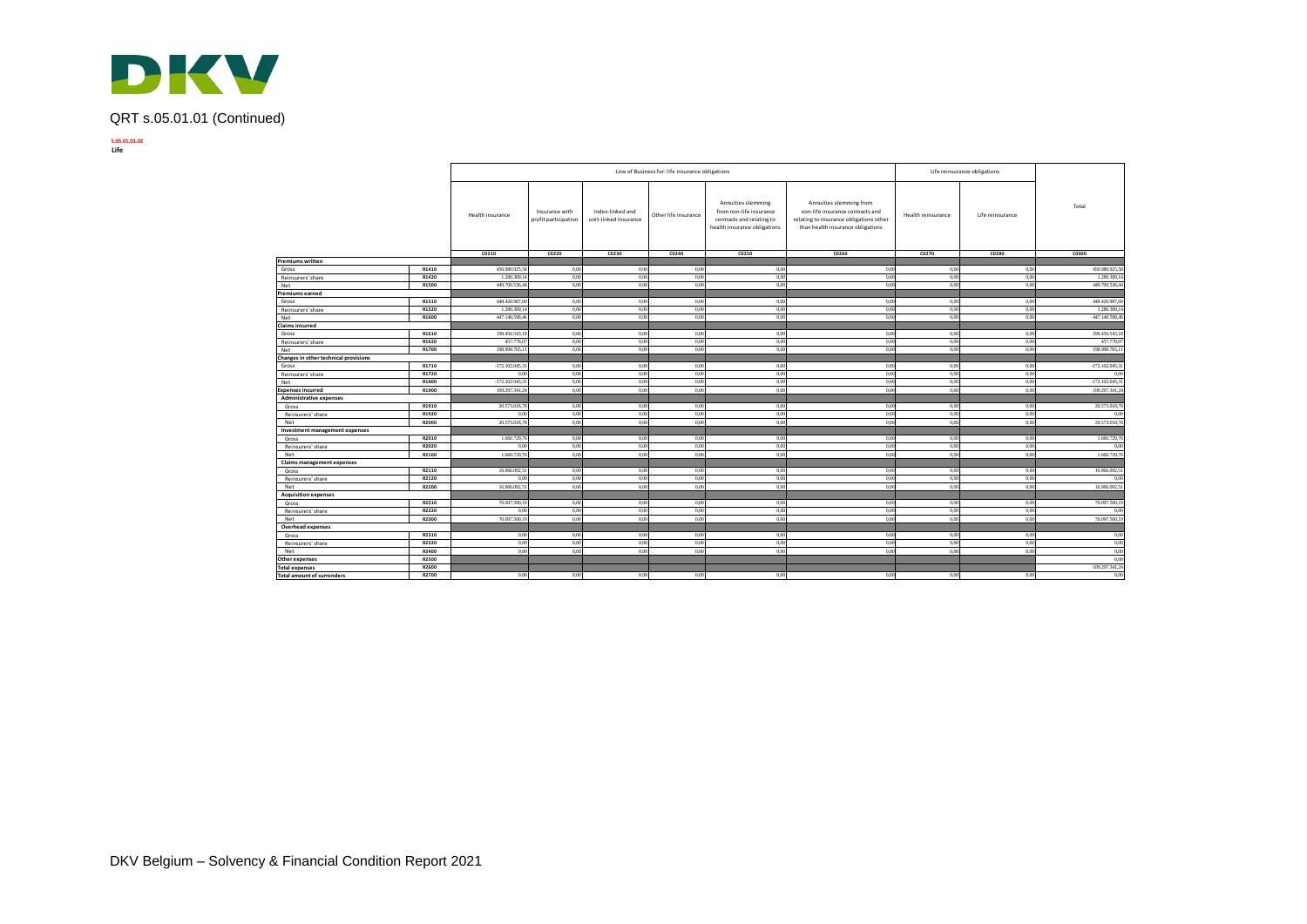

# QRT s.05.01.01 (Continued)

**S.05.01.01.02 Life**

|                                       |                |                      |                                        |                                           | Line of Business for: life insurance obligations |                                                                                                            |                                                                                                                                             |                                      | Life reinsurance obligations |                       |
|---------------------------------------|----------------|----------------------|----------------------------------------|-------------------------------------------|--------------------------------------------------|------------------------------------------------------------------------------------------------------------|---------------------------------------------------------------------------------------------------------------------------------------------|--------------------------------------|------------------------------|-----------------------|
|                                       |                | Health insurance     | Insurance with<br>profit participation | Index-linked and<br>unit-linked insurance | Other life insurance                             | Annuities stemming<br>from non-life insurance<br>contracts and relating to<br>health insurance obligations | Annuities stemming from<br>non-life insurance contracts and<br>relating to insurance obligations other<br>than health insurance obligations | Health reinsurance                   | Life reinsurance             | Total                 |
|                                       |                | CO210                | C0220                                  | C0230                                     | C0240                                            | C0250                                                                                                      | C0260                                                                                                                                       | C0270                                | C0280                        | C0300                 |
| Premiums written                      |                |                      |                                        |                                           |                                                  |                                                                                                            |                                                                                                                                             |                                      |                              |                       |
| Gross                                 | R1410          | 450.980.925.5        | 0,00                                   | 0.00                                      | 0.00                                             | 0.00                                                                                                       | 0.00                                                                                                                                        | 0.00                                 | 0.00                         | 450.980.925.58        |
| Reinsurers' share                     | R1420          | 1.280.389,           | 0,00                                   | 0,00                                      | 0,00                                             | 0,00                                                                                                       | 0.00                                                                                                                                        | 0.00                                 | 0,00                         | 1.280.389,1           |
| Net                                   | R1500          | 449.700.536,4        | 0,00                                   | 0,00                                      | 0,00                                             | 0,00                                                                                                       | 0.00                                                                                                                                        | 0,00                                 | 0,00                         | 449.700.536,44        |
| Premiums earned                       |                |                      |                                        |                                           |                                                  |                                                                                                            |                                                                                                                                             |                                      |                              |                       |
| Gross                                 | R1510          | 448.420.987,6        | 0,00                                   | 0.00                                      | 0.00                                             | 0.00                                                                                                       | 0.00                                                                                                                                        | 0.00                                 | 0.00                         | 448.420.987,60        |
| Reinsurers' share                     | R1520          | 1.280.389.1          | 0,00                                   | 0,00                                      | 0.00                                             | 0.00                                                                                                       | 0.00                                                                                                                                        | 0.00                                 | 0.00                         | 1,280,389.14          |
| Net                                   | R1600          | 447.140.598,46       | 0,00                                   | 0,00                                      | 0,00                                             | 0.00                                                                                                       | 0.00                                                                                                                                        | 0.00                                 | 0.00                         | 447.140.598,46        |
| Claims incurred                       |                |                      |                                        |                                           |                                                  |                                                                                                            |                                                                                                                                             |                                      |                              |                       |
| Gross                                 | R1610          | 199.456.543.1        | 0.00                                   | 0.00                                      | 0.00                                             | 0.00                                                                                                       | 0.00                                                                                                                                        | 0.00                                 | 0.00                         | 199.456.543.18        |
| Reinsurers' share                     | R1620          | 457,778.0            | 0,00                                   | 0,00                                      | 0,00                                             | 0.00                                                                                                       | 0.00                                                                                                                                        | 0.00                                 | 0,00                         | 457.778,07            |
| Net                                   | R1700          | 198.998.765,1        | 0,00                                   | 0,00                                      | 0,00                                             | 0,00                                                                                                       | 0,00                                                                                                                                        | 0.00                                 | 0,00                         | 198.998.765,1         |
| Changes in other technical provisions |                |                      |                                        |                                           |                                                  |                                                                                                            |                                                                                                                                             |                                      |                              |                       |
| Gross                                 | R1710          | $-172.102.045,3$     | 0,00                                   | 0,00                                      | 0.00                                             | 0.00                                                                                                       | 0.00                                                                                                                                        | 0.00                                 | 0.00                         | $-172.102.045,3$      |
| Reinsurers' share                     | R1720          | 0.00                 | 0.00                                   | 0.00                                      | 0.00                                             | 0.00                                                                                                       | 0.00                                                                                                                                        | 0.00                                 | 0.00                         | 0.00                  |
| Net                                   | R1800          | $-172.102.045,3$     | 0,00                                   | 0,00                                      | 0,00                                             | 0,00                                                                                                       | 0,00                                                                                                                                        | 0.00                                 | 0,00                         | $-172.102.045,31$     |
| <b>Expenses incurred</b>              | R1900          | 109.297.341,2        | 0,00                                   | 0,00                                      | 0,00                                             | 0,00                                                                                                       | 0.00                                                                                                                                        | 0.00                                 | 0,00                         | 109.297.341,24        |
| <b>Administrative expenses</b>        |                |                      |                                        |                                           |                                                  |                                                                                                            |                                                                                                                                             |                                      |                              |                       |
| Gross                                 | R1910          | 20.573.018,7         | 0,00                                   | 0,00                                      | 0,00                                             | 0.00                                                                                                       | 0.00                                                                                                                                        | 0.00                                 | 0,00                         | 20.573.018,78         |
| Reinsurers' share                     | R1920          | 0.00                 | 0,00                                   | 0,00                                      | 0.00                                             | 0,00                                                                                                       | 0.00                                                                                                                                        | 0.00                                 | 0,00                         | 0.00                  |
| Net                                   | R2000          | 20.573.018,7         | 0,00                                   | 0,00                                      | 0,00                                             | 0,00                                                                                                       | 0.00                                                                                                                                        | 0.00                                 | 0,00                         | 20.573.018,78         |
| Investment management expenses        |                |                      |                                        |                                           |                                                  |                                                                                                            |                                                                                                                                             |                                      |                              |                       |
| Gross                                 | R2010          | 1.660.729.7          | 0.00                                   | 0.00                                      | 0.00                                             | 0.00                                                                                                       | 0.00                                                                                                                                        | 0.00                                 | 0.00                         | 1.660.729,7           |
| Reinsurers' share                     | R2020          | 0.00                 | 0.00                                   | 0.00                                      | 0.00                                             | 0.00                                                                                                       | 0.00                                                                                                                                        | 0.00                                 | 0.00                         | 0.00                  |
| Net                                   | R2100          | 1.660.729,7          | 0,00                                   | 0,00                                      | 0,00                                             | 0,00                                                                                                       | 0,00                                                                                                                                        | 0,00                                 | 0,00                         | 1.660.729,76          |
| <b>Claims management expenses</b>     | R2110          |                      |                                        |                                           |                                                  |                                                                                                            |                                                                                                                                             |                                      |                              |                       |
| Gross                                 |                | 16.966.092,5         | 0,00<br>0.00                           | 0,00<br>0.00                              | 0,00<br>0.00                                     | 0.00                                                                                                       | 0.00<br>0.00                                                                                                                                | 0.00<br>0.00                         | 0,00<br>0.00                 | 16.966.092,51         |
| Reinsurers' share                     | R2120<br>R2200 | 0.00<br>16.966.092.5 | 0,00                                   | 0,00                                      | 0,00                                             | 0.0<br>0,00                                                                                                | 0.00                                                                                                                                        | 0.00                                 | 0,00                         | 0.00<br>16,966,092.51 |
| Net                                   |                |                      |                                        |                                           |                                                  |                                                                                                            |                                                                                                                                             |                                      |                              |                       |
| <b>Acquisition expenses</b>           | R2210          | 70.097.500,1         | 0,00                                   | 0,00                                      | 0.00                                             | 0.00                                                                                                       | 0.00                                                                                                                                        | 0.00                                 | 0.00                         | 70.097.500,1          |
| Gross<br>Reinsurers' share            | R2220          | 0.00                 | 0.00                                   | 0.00                                      | 0.00                                             | 0.00                                                                                                       | 0.00                                                                                                                                        | 0.00                                 | 0.00                         | 0.00                  |
|                                       |                |                      | 0.00                                   | 0.00                                      | 0.00                                             | 0.00                                                                                                       | 0.00                                                                                                                                        | 0.00                                 | 0.00                         |                       |
| Net                                   | R2300          | 70.097.500,19        |                                        |                                           |                                                  |                                                                                                            |                                                                                                                                             |                                      |                              | 70.097.500,19         |
| <b>Overhead expenses</b><br>Gross     | R2310          | 0.00                 | 0,00                                   | 0,00                                      | 0,00                                             | 0.00                                                                                                       |                                                                                                                                             |                                      |                              | 0,00                  |
| Reinsurers' share                     | R2320          | 0.00                 | 0.00                                   | 0.00                                      | 0.00                                             | 0.00                                                                                                       | 0.00                                                                                                                                        | 0.00<br>0.00<br>0.00<br>0.00<br>0.00 |                              | 0,00                  |
|                                       | R2400          | 0.00                 | 0.00                                   | 0.00                                      | 0.00                                             | 0.00                                                                                                       | 0.00                                                                                                                                        | 0.00                                 | 0.00                         | 0,00                  |
| Net<br>Other expenses                 | R2500          |                      |                                        |                                           |                                                  |                                                                                                            |                                                                                                                                             |                                      |                              | 0,00                  |
| <b>Total expenses</b>                 | R2600          |                      |                                        |                                           |                                                  |                                                                                                            |                                                                                                                                             |                                      |                              | 109.297.341,24        |
| <b>Total amount of surrenders</b>     | R2700          | 0.00                 | 0.00                                   | 0.00                                      | 0.00                                             | 0.00                                                                                                       | 0.00                                                                                                                                        | 0.00                                 | 0.00                         | 0,00                  |
|                                       |                |                      |                                        |                                           |                                                  |                                                                                                            |                                                                                                                                             |                                      |                              |                       |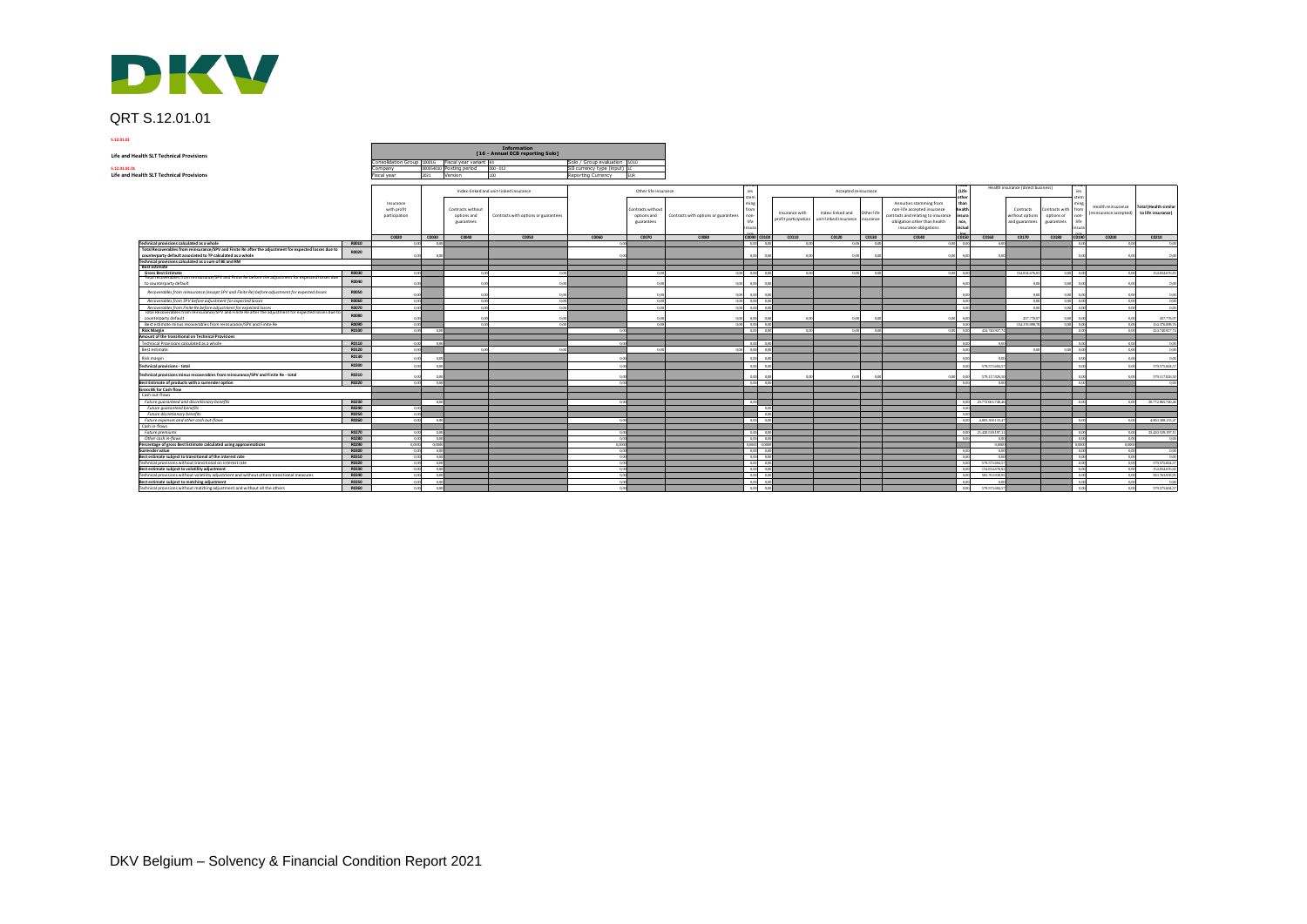

# QRT S.12.01.01

|                | DKV                                                                                                                                                                  |                       |                                           |                      |                                                  |                                                 |                              |                                                       |                                      |                               |                                        |                                                                     |                                                                                                                               |                                         |                                   |                                                |                                                                                |                                              |                                                    |
|----------------|----------------------------------------------------------------------------------------------------------------------------------------------------------------------|-----------------------|-------------------------------------------|----------------------|--------------------------------------------------|-------------------------------------------------|------------------------------|-------------------------------------------------------|--------------------------------------|-------------------------------|----------------------------------------|---------------------------------------------------------------------|-------------------------------------------------------------------------------------------------------------------------------|-----------------------------------------|-----------------------------------|------------------------------------------------|--------------------------------------------------------------------------------|----------------------------------------------|----------------------------------------------------|
|                | QRT S.12.01.01                                                                                                                                                       |                       |                                           |                      |                                                  |                                                 |                              |                                                       |                                      |                               |                                        |                                                                     |                                                                                                                               |                                         |                                   |                                                |                                                                                |                                              |                                                    |
| 5.12.01.01     |                                                                                                                                                                      |                       |                                           |                      |                                                  |                                                 |                              |                                                       |                                      |                               |                                        |                                                                     |                                                                                                                               |                                         |                                   |                                                |                                                                                |                                              |                                                    |
|                |                                                                                                                                                                      |                       |                                           |                      |                                                  | Information<br>[16 - Annual ECB reporting Solo] |                              |                                                       |                                      |                               |                                        |                                                                     |                                                                                                                               |                                         |                                   |                                                |                                                                                |                                              |                                                    |
|                | <b>Life and Health SLT Technical Provisions</b>                                                                                                                      |                       |                                           |                      | onsolidation Group 10001G Fiscal year variant K4 |                                                 | Solo / Group evaluation SOLO |                                                       |                                      |                               |                                        |                                                                     |                                                                                                                               |                                         |                                   |                                                |                                                                                |                                              |                                                    |
| \$,12,01,01,01 |                                                                                                                                                                      |                       | Company                                   |                      | 000054010 Posting period 000-012                 |                                                 | SII currency type (input) LC |                                                       |                                      |                               |                                        |                                                                     |                                                                                                                               |                                         |                                   |                                                |                                                                                |                                              |                                                    |
|                | <b>Life and Health SLT Technical Provisions</b>                                                                                                                      |                       | Fiscal year                               | 2021                 | Version                                          | 100                                             | Reporting Currency           | <b>FLIR</b>                                           |                                      |                               |                                        |                                                                     |                                                                                                                               |                                         |                                   |                                                |                                                                                |                                              |                                                    |
|                |                                                                                                                                                                      |                       |                                           |                      |                                                  | Index-linked and unit-linked insurance          |                              | Other life insurance                                  |                                      |                               |                                        | Accepted reinsurance                                                |                                                                                                                               | (Life                                   |                                   | Health insurance (direct business)             | les                                                                            |                                              |                                                    |
|                |                                                                                                                                                                      |                       | Insurance<br>with profit<br>participation |                      | Contracts without<br>options and<br>guarantees   | Contracts with options or guarantees            |                              | <b>Contracts without</b><br>options and<br>guarantees | Contracts with options or guarantees | ster                          | Insurance with<br>profit participation | Index-linked and<br>Other life<br>unit-linked insurance<br>nsurance | Annuities stemming from<br>non-life accepted insurance<br>contracts and relating to insurance<br>obligation other than health | othe<br>than<br>healt<br>insur.<br>nce, |                                   | Contracts<br>without options<br>and guarantees | stem<br>min<br>Contracts with from<br>options or<br>non-<br>life<br>guarantees | Health reinsurance<br>(reinsurance accepted) | <b>Total (Health similar</b><br>to life insurance) |
|                |                                                                                                                                                                      |                       |                                           |                      |                                                  | C0050                                           | C0050                        |                                                       |                                      |                               | C0090 C0100 C0110                      |                                                                     | insurance obligations                                                                                                         | inds                                    |                                   |                                                |                                                                                |                                              |                                                    |
|                | Technical provisions calculated as a whole                                                                                                                           | R0010                 | C0020                                     | $\sim$ C0030<br>0.00 | C0040                                            |                                                 |                              | C0070                                                 | C0080                                | $000 - 000$                   | 0.00                                   | C0120<br>C0130<br>0.00<br>0.00                                      | C0140                                                                                                                         | C0150<br>$0.001 - 0.00$                 | 0.06                              |                                                | C0160 C0170 C0180 C0190<br>$-0.00$                                             | C0200                                        | C0210<br>0.001                                     |
|                | Total Recoverables from reinsurance/SPV and Finite Re after the adjustment for expected losses due to<br>counterparty default associated to TP calculated as a whole | R0020                 |                                           | 0.06                 |                                                  |                                                 |                              |                                                       |                                      |                               |                                        | 0.00<br>0.0                                                         | 0.00                                                                                                                          | $\sim$                                  |                                   |                                                | $\theta$                                                                       | 0.0                                          |                                                    |
|                | Technical provisions calculated as a sum of BE and RM                                                                                                                |                       |                                           |                      |                                                  |                                                 |                              |                                                       |                                      |                               |                                        |                                                                     |                                                                                                                               |                                         |                                   |                                                |                                                                                |                                              | 00                                                 |
|                | <b>Best Estimate</b>                                                                                                                                                 |                       |                                           |                      |                                                  |                                                 |                              |                                                       |                                      |                               |                                        |                                                                     |                                                                                                                               |                                         |                                   |                                                |                                                                                |                                              |                                                    |
|                | <b>Gross Best Estimate</b><br>Total recoverables from reinsurance/SPV and Finite Re before the adjustment for expected losses due                                    | R0030<br>R0040        |                                           |                      |                                                  |                                                 |                              |                                                       |                                      | 00 000 00                     |                                        | 0.00                                                                |                                                                                                                               | 000 00                                  |                                   | 154.834.676.83                                 | 000 00                                                                         |                                              | 154.834.676.83                                     |
|                | to counterparty default<br>Recoverables from reinsurance (except SPV and Finite Re) before adjustment for expected losses                                            | R0050                 |                                           |                      | 0.01                                             | 00                                              |                              |                                                       |                                      |                               |                                        |                                                                     |                                                                                                                               |                                         |                                   |                                                | $\sim$<br>0.00                                                                 | $\alpha$                                     | 0.0                                                |
|                | Recoverables from SPV before adjustment for expected losses                                                                                                          | R0060                 | 0.00                                      |                      | 0.00                                             | 0.00                                            |                              | $\overline{00}$                                       |                                      | $0.00\qquad 0.00\qquad 0.00$  |                                        |                                                                     |                                                                                                                               | $-0.0$                                  |                                   | 0.0                                            | $0.00 - 0.00$                                                                  |                                              | 0.00<br>00                                         |
|                | Recoverables from Finite Re before adjustment for expected losses                                                                                                    | R0070                 |                                           |                      | oα                                               |                                                 |                              |                                                       |                                      |                               |                                        |                                                                     |                                                                                                                               |                                         |                                   |                                                | $0.00$ $0.0$                                                                   |                                              | 0.0                                                |
|                | Total Recoverables from reinsurance/SPV and Finite Re after the adjustment for expected losses due t<br>counterparty default                                         | R0080                 |                                           |                      |                                                  |                                                 |                              |                                                       |                                      |                               |                                        |                                                                     |                                                                                                                               |                                         |                                   | 107779                                         |                                                                                |                                              | 457,778.0                                          |
|                | Best estimate minus recoverables from reinsurance/SPV and Finite Re                                                                                                  | R0090<br><b>R0100</b> | 0.001<br>0.001                            |                      | 0.00                                             | 0.00                                            |                              | 0.00                                                  |                                      | 0.00 0.00 0.00<br>$000 - 000$ |                                        |                                                                     |                                                                                                                               | 00 <sup>2</sup><br>$000 - 000$          | 424 340 927                       | 154.376,898.76                                 | 0.00000                                                                        |                                              | 154.376.898.76<br>0.001<br>424 740 927 74          |
|                | <b>Risk Margin</b><br>Amount of the transitional on Technical Provisions                                                                                             |                       |                                           | 0.00                 |                                                  |                                                 | 0.00                         |                                                       |                                      |                               | 0.00                                   | 0.00<br>0.0                                                         |                                                                                                                               |                                         |                                   |                                                | $-0.00$                                                                        |                                              | 0.001                                              |
|                | Technical Provisions calculated as a whole                                                                                                                           | R0110                 | 0.00                                      | 0.00                 |                                                  |                                                 | 0.00                         |                                                       |                                      | 0.00 0.00                     |                                        |                                                                     |                                                                                                                               | - 0.00                                  | 00 <sup>2</sup>                   |                                                | 00                                                                             |                                              | 000<br>0.0                                         |
|                | Best estimate                                                                                                                                                        | R0120                 | 000                                       |                      | 0.00                                             |                                                 |                              |                                                       |                                      | $000 - 000 - 000$             |                                        |                                                                     |                                                                                                                               | 00                                      |                                   | 0.0                                            | $0.001 - 0.0$                                                                  |                                              | 0.00                                               |
|                | Risk margin                                                                                                                                                          | R0130                 | 0.00                                      | 0.06                 |                                                  |                                                 |                              |                                                       |                                      |                               |                                        |                                                                     |                                                                                                                               |                                         |                                   |                                                | $\Omega$                                                                       | 000                                          | 00                                                 |
|                | <b>Technical provisions - total</b>                                                                                                                                  | R0200                 | 0.00                                      | 0.00                 |                                                  |                                                 |                              |                                                       |                                      |                               |                                        |                                                                     |                                                                                                                               | 0.01                                    | 579,575,604.5                     |                                                |                                                                                |                                              | 579.575.604.57                                     |
|                | Technical provisions minus recoverables from reinsurance/SPV and Finite Re - total                                                                                   | R0210                 |                                           | 0.05                 |                                                  |                                                 |                              |                                                       |                                      |                               |                                        | 0.00<br>0.0                                                         |                                                                                                                               |                                         | 579.117.826,5                     |                                                |                                                                                |                                              | 579.117.826.50                                     |
|                | Best Estimate of products with a surrender option                                                                                                                    | R0220                 | 0.001                                     | 0,00                 |                                                  |                                                 |                              |                                                       |                                      | 0.00 0.00                     |                                        |                                                                     |                                                                                                                               | 0.01                                    |                                   |                                                | 0.00                                                                           |                                              |                                                    |
|                | Gross BE for Cash flow                                                                                                                                               |                       |                                           |                      |                                                  |                                                 |                              |                                                       |                                      |                               |                                        |                                                                     |                                                                                                                               |                                         |                                   |                                                |                                                                                |                                              |                                                    |
|                | Cash out-flows                                                                                                                                                       |                       |                                           |                      |                                                  |                                                 |                              |                                                       |                                      | $-0.00$                       |                                        |                                                                     |                                                                                                                               | -0.00                                   | 20.772.065.740.46                 |                                                | 0.00                                                                           |                                              | 20.772.065.740.4                                   |
|                | Future quaranteed and discretionary benefits<br>Future augranteed benefits                                                                                           | R0230<br>R0240        | 0.001                                     | 0,00                 |                                                  |                                                 |                              |                                                       |                                      | 0.00                          |                                        |                                                                     |                                                                                                                               |                                         |                                   |                                                |                                                                                |                                              |                                                    |
|                | Future discretionary benefits                                                                                                                                        | <b>R0250</b>          | 0.001                                     |                      |                                                  |                                                 |                              |                                                       |                                      | 0.00                          |                                        |                                                                     |                                                                                                                               |                                         |                                   |                                                |                                                                                |                                              |                                                    |
|                | Future expenses and other cash out-flows                                                                                                                             | R0260                 | 0.00                                      | 0.00                 |                                                  |                                                 | - 0.00                       |                                                       |                                      | 0.00 0.00                     |                                        |                                                                     |                                                                                                                               | $-0.00$                                 | 4,803,308,133.4                   |                                                | 0.00                                                                           |                                              | 4,803,308,133,4<br>0.00                            |
|                | Cash in-flows                                                                                                                                                        |                       |                                           |                      |                                                  |                                                 |                              |                                                       |                                      |                               |                                        |                                                                     |                                                                                                                               |                                         |                                   |                                                |                                                                                |                                              |                                                    |
|                | Future premiums                                                                                                                                                      | R0270                 | 0.00                                      | 0.00                 |                                                  |                                                 |                              |                                                       |                                      | 0.000 0.00                    |                                        |                                                                     |                                                                                                                               | $-0.00$                                 | 25.420.539.197.1                  |                                                | 00                                                                             |                                              | 25.420.539.197.11<br>0.001                         |
|                | Other cash in-flows                                                                                                                                                  | R0280                 | $0,00$                                    | 0.00<br>00000        |                                                  |                                                 | 0.0000                       |                                                       |                                      | 0,00 0,00<br>0.0000 0.0000    |                                        |                                                                     |                                                                                                                               | 00                                      | 0.000                             |                                                | $\theta$<br>0.00                                                               | 0.0000                                       | 0.00<br>0.0                                        |
|                | Percentage of gross Best Estimate calculated using approximations<br>Surrender value                                                                                 | R0290<br><b>B0300</b> | 0.0000<br>0,00                            | 0,00                 |                                                  |                                                 | 0.00                         |                                                       |                                      | 0,00 0,00                     |                                        |                                                                     |                                                                                                                               | 00                                      | 0.00                              |                                                | 0.00                                                                           |                                              | 0.001<br>0.00                                      |
|                | Best estimate subject to transitional of the interest rate                                                                                                           | R0310                 | 0,00                                      | 0.00                 |                                                  |                                                 | 0.00                         |                                                       |                                      | 0.00 0.00                     |                                        |                                                                     |                                                                                                                               | 00                                      | 0.08                              |                                                | 000                                                                            |                                              | 0.00<br>0.001                                      |
|                | Technical provisions without transitional on interest rate                                                                                                           | R0320                 | 0,00                                      | 0,00                 |                                                  |                                                 | 0.00                         |                                                       |                                      | 0,00 0,00                     |                                        |                                                                     |                                                                                                                               | $-00$                                   | 579 575 604 5                     |                                                | 000                                                                            |                                              | 579 575 604 5<br>0.00                              |
|                | Best estimate subject to volatility adjustment                                                                                                                       | R0330                 | 0,00                                      | 0,00                 |                                                  |                                                 | 0.001                        |                                                       |                                      | 0,00 0,00                     |                                        |                                                                     |                                                                                                                               | $-0.00$                                 | 154.834.676.8                     |                                                | 00                                                                             |                                              | 0.00<br>154.834.676,82                             |
|                | Technical provisions without volatility adjustment and without others transitional measures                                                                          | R0340                 | 0,00                                      | 0,00                 |                                                  |                                                 | 0.001                        |                                                       |                                      | 0,00 0,00                     |                                        |                                                                     |                                                                                                                               | 0.00                                    | \$83,763,938.9                    |                                                | 0.00                                                                           |                                              | 583,763,938,93<br>0.00                             |
|                | Best estimate subject to matching adjustment                                                                                                                         | R0350                 | 0,00                                      | 0,00<br>0.00         |                                                  |                                                 | 0.00<br>non                  |                                                       |                                      | $0,00$ $0,00$<br>0.000000000  |                                        |                                                                     |                                                                                                                               | $-0.0$<br>0.00                          | 00 <sup>2</sup><br>579,575,604,57 |                                                | 0.00<br>0.00                                                                   |                                              | 0.00<br>$-\alpha$<br>579.575.604.57<br>0.001       |
|                | Technical provisions without matching adjustment and without all the others                                                                                          | R0360                 | 0,00                                      |                      |                                                  |                                                 |                              |                                                       |                                      |                               |                                        |                                                                     |                                                                                                                               |                                         |                                   |                                                |                                                                                |                                              |                                                    |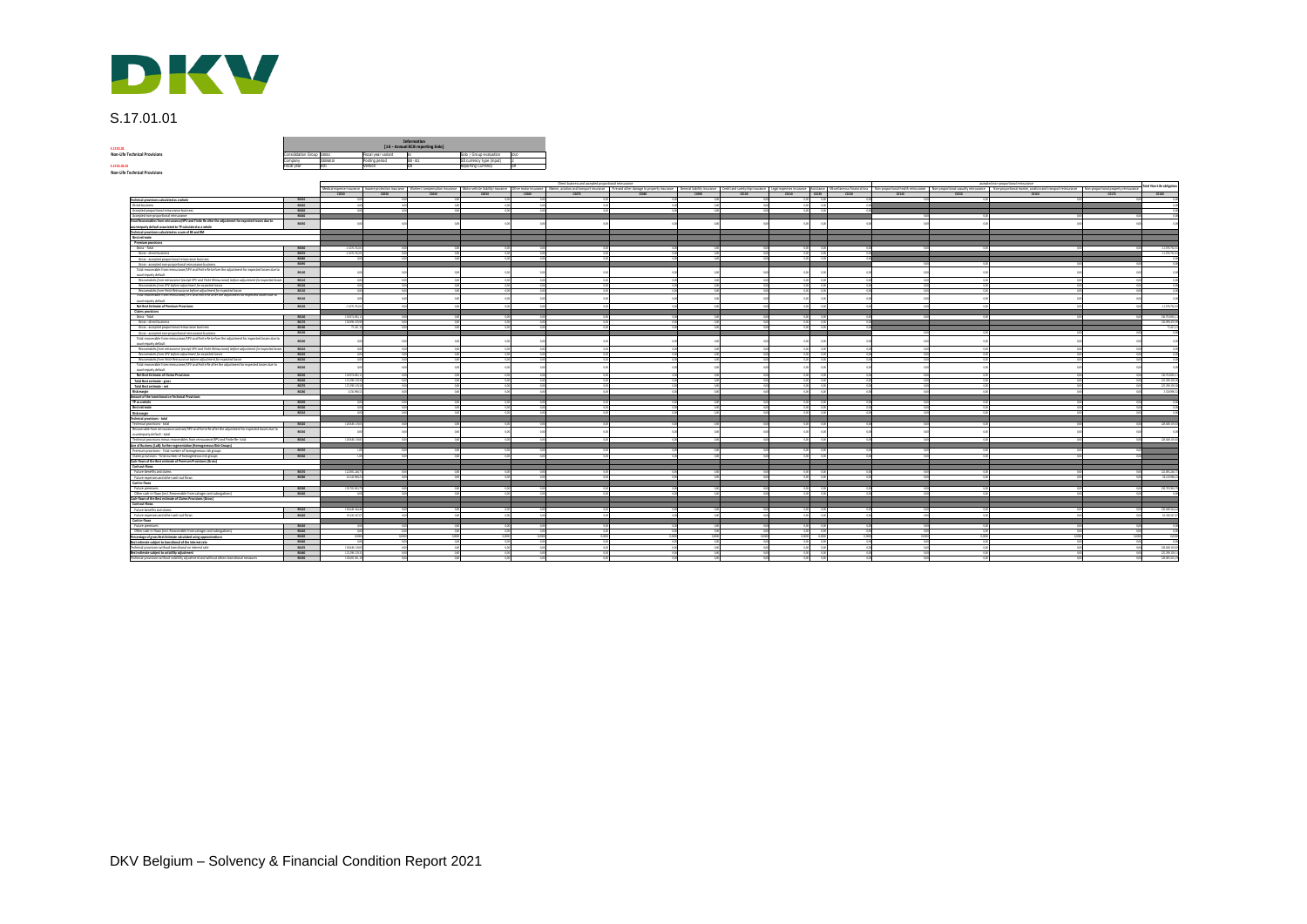

# S.17.01.01

**S.17.01.01**<br>Non-Life Technical Provisions

| 5.17.01.01                           |                            |           |                     | Information<br>[16 - Annual ECB reporting Solo] |                           |       |
|--------------------------------------|----------------------------|-----------|---------------------|-------------------------------------------------|---------------------------|-------|
| <b>Non-Life Technical Provisions</b> | Consolidation Group 100016 |           | Fiscal year variant |                                                 | Solo / Group evaluation   | SOLL. |
|                                      | Company                    | 000054010 | Posting period      | $000 - 012$                                     | SII currency type (input) |       |
| 5.17.01.01.01                        | Fiscal year                | 2021      | Version             |                                                 | Reporting Currency        | в     |
| <b>Non-Life Technical Provisions</b> |                            |           |                     |                                                 |                           |       |

| Medici experior income probabilitariance Workers compensation insurance   Metervehide liabilityimsurance   Metervehide liabilityimsurance   Metervehide liabilityimsurance   Metervehide and the antillabilityimsurance   Cont<br>C0130<br>C0120 C0130<br>C0100<br>cooso<br>CDOG0<br>10000<br>costo<br>cosso<br>C0040<br>COD70<br>cooso<br>cases<br>C0140<br>CO150<br>COSSO<br>01130<br>0.00<br>Technical provisions calculated as a whole<br>gonzo<br>om<br>80020<br>0.30<br>Direct business<br>0.00<br>cure.<br>80030<br>ox<br>0,00<br>0.00<br>0.00<br>Accepted proportional reinsurance business<br>80040<br>Accepted non-proportional reinsurance<br>Total Recoverables from reinsurance/SPV and Finite Re after the adjustment for expected losses due to<br>ROOSO<br>counterparty default associated to TP calculated as a whole<br>Technical provisions calculated as a sum of BE and RM<br>Best estimate<br>Premium provisions<br>Gross - Total<br>80060<br>(1.6%762)<br>Gross - direct business<br>80070<br>$-11.6767623$<br>80000<br>0.00<br>Gross - accepted proportional reinsurance business<br>80090<br>Gross - accepted non-proportional reinsurance business<br>Total recoverable from reinsurance/SPV and Finite Re before the adjustment for expected losses due to<br>spon-<br>0.5<br>counterparty default<br>Recoverables from reinsurance (except SPV and Finite Reinsurance) before adjustment for expected losses<br>80110<br>Recoverables from SPV before adjustment for expected lasses<br>80120<br>0.00<br>80130<br>0.00<br>Recoverables from Finite Reinsurance before adjustment for expected lasses<br>Total recoverable from reinsurance/SPV and Finite Re after the adjustment for expected losses due to<br>80140<br>counterparty default<br>41.0620.00<br>Net Best Estimate of Premium Provisions<br>80150<br>0<br>31.6%%<br>Current.<br>Claims provisions<br>Gross - Total<br>80060<br>IX93(832)<br>156.974.800<br>136,830,4705<br>80170<br>36.8764<br>Gross - direct business<br>80080<br>75,421.0<br>Gross - accepted proportional reinsurance business<br>0.00<br>Gross - accepted non-proportional reinsurance business<br>R0190<br>Total recoverable from reinsurance/SPV and Finite Re before the adjustment for expected losses due to<br>80200<br>counterparty default<br>Recoverables from reinsurence (except SPV and Finite Reinsurance) before adjustment for expected losses<br>80210<br>80220<br>Recoverables from SPV before adjustment for expected lasses<br>0.00<br>80230<br>onti<br>Recoverables from Finite Reinsurance before adjustment for expected lasses<br>Total recoverable from reinsurance/SPV and Finite Re after the adjustment for expected losses due to<br>80240<br>counterparty default<br>Net Best Estimate of Claims Provisions<br>80250<br>136,974,892.0<br>12020-0203<br>25281203<br>Total Best estimate - gross<br>80260<br>R0270<br>125,286,129.7<br>Total Best estimate - net<br>0.00<br>0.00<br>80280<br>1 years on<br>0.00<br>000<br>1992000<br><b>Risk margin</b><br>onti<br>Amount of the transitional on Technical Provisions<br>00200<br>ox<br>0.001<br>0.00<br>80300<br>$-0.00$<br>Best estimate<br>ont.<br>0.00<br>80310<br>0.30<br><b>Bisk-margin</b><br>0.001<br>000<br>Technical provisions - total<br>001200<br>176 640 1101<br>176 620 1<br>Recoverable from reinsurance contract/SPV and Finite Re after the adjustment for expected losses due to<br>80330<br>counterparty default - total<br>Technical provisions minus recoverables from reinsurance/SPV and Finite Re-total<br>80340<br>120,600,119,87<br>0.00<br>o.st<br>Line of Business (LoB): further segmentation (Momogeneous Nisk Groups)<br>Premium provisions - Total number of homogeneous risk groups<br>80250<br>0.001<br>- 80350<br>one.<br>Claims provisions - Total number of homogeneous risk groups<br>C-DO<br>80370<br>122,885,240.2<br>122,885,245,7<br>o.st<br>0.00<br>0.001<br>241439023<br>80300<br>0,00<br>24143982<br>Future expenses and other cash-out flows<br>0.00<br>0.00<br>156,726,963,79<br>80290<br>0.00<br>0.00<br>155,705.90<br>80400<br>$-0.00$<br>om<br>Cash-flows of the Best estimate of Claims Provisions (Gross)<br>R0410<br>126,646,544.4<br>26,648,544<br>00420<br>10 136 547 6<br><b>IS TWA</b><br>0.00<br>0.00<br>80430<br>0.001<br>80440<br>0.00<br>Percentage of gross Best Estimate calculated using approximations<br>80450<br>0.0000<br>comp<br>0.0000<br>0.000<br>10000<br>80460<br>0.001<br>0.00<br>Best estimate subject to transitional of the interest rate<br>80470<br>0.30<br>128.849.1192<br>Technical provisions without transitional on interest rate<br>176,649,110.9<br>om<br>000<br>12,281203<br>ROADD<br>125281203<br>Best estimate subject to volatility adjustment<br>126,685,501.29<br>80490 |                                                                                             |  |  |  | Direct business and accepted proportional reinsurance |  | accepted non-proportional resnsurance<br>Total Non-Life obligation |
|---------------------------------------------------------------------------------------------------------------------------------------------------------------------------------------------------------------------------------------------------------------------------------------------------------------------------------------------------------------------------------------------------------------------------------------------------------------------------------------------------------------------------------------------------------------------------------------------------------------------------------------------------------------------------------------------------------------------------------------------------------------------------------------------------------------------------------------------------------------------------------------------------------------------------------------------------------------------------------------------------------------------------------------------------------------------------------------------------------------------------------------------------------------------------------------------------------------------------------------------------------------------------------------------------------------------------------------------------------------------------------------------------------------------------------------------------------------------------------------------------------------------------------------------------------------------------------------------------------------------------------------------------------------------------------------------------------------------------------------------------------------------------------------------------------------------------------------------------------------------------------------------------------------------------------------------------------------------------------------------------------------------------------------------------------------------------------------------------------------------------------------------------------------------------------------------------------------------------------------------------------------------------------------------------------------------------------------------------------------------------------------------------------------------------------------------------------------------------------------------------------------------------------------------------------------------------------------------------------------------------------------------------------------------------------------------------------------------------------------------------------------------------------------------------------------------------------------------------------------------------------------------------------------------------------------------------------------------------------------------------------------------------------------------------------------------------------------------------------------------------------------------------------------------------------------------------------------------------------------------------------------------------------------------------------------------------------------------------------------------------------------------------------------------------------------------------------------------------------------------------------------------------------------------------------------------------------------------------------------------------------------------------------------------------------------------------------------------------------------------------------------------------------------------------------------------------------------------------------------------------------------------------------------------------------------------------------------------------------------------------------------------------------------------------------------------------------------------------------------------------------------------------------------------------------------------------------------------------------------------------------------------------------------------------------------------------------------------------------------------------------------------------------------------------------------------------------------------------------------------------------------------------------------------------------------------------------------------------------------------------------------------------------------------------------------------------------------------------------------------------------------------------------------------------------------|---------------------------------------------------------------------------------------------|--|--|--|-------------------------------------------------------|--|--------------------------------------------------------------------|
|                                                                                                                                                                                                                                                                                                                                                                                                                                                                                                                                                                                                                                                                                                                                                                                                                                                                                                                                                                                                                                                                                                                                                                                                                                                                                                                                                                                                                                                                                                                                                                                                                                                                                                                                                                                                                                                                                                                                                                                                                                                                                                                                                                                                                                                                                                                                                                                                                                                                                                                                                                                                                                                                                                                                                                                                                                                                                                                                                                                                                                                                                                                                                                                                                                                                                                                                                                                                                                                                                                                                                                                                                                                                                                                                                                                                                                                                                                                                                                                                                                                                                                                                                                                                                                                                                                                                                                                                                                                                                                                                                                                                                                                                                                                                                                                                               |                                                                                             |  |  |  |                                                       |  |                                                                    |
|                                                                                                                                                                                                                                                                                                                                                                                                                                                                                                                                                                                                                                                                                                                                                                                                                                                                                                                                                                                                                                                                                                                                                                                                                                                                                                                                                                                                                                                                                                                                                                                                                                                                                                                                                                                                                                                                                                                                                                                                                                                                                                                                                                                                                                                                                                                                                                                                                                                                                                                                                                                                                                                                                                                                                                                                                                                                                                                                                                                                                                                                                                                                                                                                                                                                                                                                                                                                                                                                                                                                                                                                                                                                                                                                                                                                                                                                                                                                                                                                                                                                                                                                                                                                                                                                                                                                                                                                                                                                                                                                                                                                                                                                                                                                                                                                               |                                                                                             |  |  |  |                                                       |  |                                                                    |
|                                                                                                                                                                                                                                                                                                                                                                                                                                                                                                                                                                                                                                                                                                                                                                                                                                                                                                                                                                                                                                                                                                                                                                                                                                                                                                                                                                                                                                                                                                                                                                                                                                                                                                                                                                                                                                                                                                                                                                                                                                                                                                                                                                                                                                                                                                                                                                                                                                                                                                                                                                                                                                                                                                                                                                                                                                                                                                                                                                                                                                                                                                                                                                                                                                                                                                                                                                                                                                                                                                                                                                                                                                                                                                                                                                                                                                                                                                                                                                                                                                                                                                                                                                                                                                                                                                                                                                                                                                                                                                                                                                                                                                                                                                                                                                                                               |                                                                                             |  |  |  |                                                       |  |                                                                    |
|                                                                                                                                                                                                                                                                                                                                                                                                                                                                                                                                                                                                                                                                                                                                                                                                                                                                                                                                                                                                                                                                                                                                                                                                                                                                                                                                                                                                                                                                                                                                                                                                                                                                                                                                                                                                                                                                                                                                                                                                                                                                                                                                                                                                                                                                                                                                                                                                                                                                                                                                                                                                                                                                                                                                                                                                                                                                                                                                                                                                                                                                                                                                                                                                                                                                                                                                                                                                                                                                                                                                                                                                                                                                                                                                                                                                                                                                                                                                                                                                                                                                                                                                                                                                                                                                                                                                                                                                                                                                                                                                                                                                                                                                                                                                                                                                               |                                                                                             |  |  |  |                                                       |  |                                                                    |
|                                                                                                                                                                                                                                                                                                                                                                                                                                                                                                                                                                                                                                                                                                                                                                                                                                                                                                                                                                                                                                                                                                                                                                                                                                                                                                                                                                                                                                                                                                                                                                                                                                                                                                                                                                                                                                                                                                                                                                                                                                                                                                                                                                                                                                                                                                                                                                                                                                                                                                                                                                                                                                                                                                                                                                                                                                                                                                                                                                                                                                                                                                                                                                                                                                                                                                                                                                                                                                                                                                                                                                                                                                                                                                                                                                                                                                                                                                                                                                                                                                                                                                                                                                                                                                                                                                                                                                                                                                                                                                                                                                                                                                                                                                                                                                                                               |                                                                                             |  |  |  |                                                       |  |                                                                    |
|                                                                                                                                                                                                                                                                                                                                                                                                                                                                                                                                                                                                                                                                                                                                                                                                                                                                                                                                                                                                                                                                                                                                                                                                                                                                                                                                                                                                                                                                                                                                                                                                                                                                                                                                                                                                                                                                                                                                                                                                                                                                                                                                                                                                                                                                                                                                                                                                                                                                                                                                                                                                                                                                                                                                                                                                                                                                                                                                                                                                                                                                                                                                                                                                                                                                                                                                                                                                                                                                                                                                                                                                                                                                                                                                                                                                                                                                                                                                                                                                                                                                                                                                                                                                                                                                                                                                                                                                                                                                                                                                                                                                                                                                                                                                                                                                               |                                                                                             |  |  |  |                                                       |  |                                                                    |
|                                                                                                                                                                                                                                                                                                                                                                                                                                                                                                                                                                                                                                                                                                                                                                                                                                                                                                                                                                                                                                                                                                                                                                                                                                                                                                                                                                                                                                                                                                                                                                                                                                                                                                                                                                                                                                                                                                                                                                                                                                                                                                                                                                                                                                                                                                                                                                                                                                                                                                                                                                                                                                                                                                                                                                                                                                                                                                                                                                                                                                                                                                                                                                                                                                                                                                                                                                                                                                                                                                                                                                                                                                                                                                                                                                                                                                                                                                                                                                                                                                                                                                                                                                                                                                                                                                                                                                                                                                                                                                                                                                                                                                                                                                                                                                                                               |                                                                                             |  |  |  |                                                       |  |                                                                    |
|                                                                                                                                                                                                                                                                                                                                                                                                                                                                                                                                                                                                                                                                                                                                                                                                                                                                                                                                                                                                                                                                                                                                                                                                                                                                                                                                                                                                                                                                                                                                                                                                                                                                                                                                                                                                                                                                                                                                                                                                                                                                                                                                                                                                                                                                                                                                                                                                                                                                                                                                                                                                                                                                                                                                                                                                                                                                                                                                                                                                                                                                                                                                                                                                                                                                                                                                                                                                                                                                                                                                                                                                                                                                                                                                                                                                                                                                                                                                                                                                                                                                                                                                                                                                                                                                                                                                                                                                                                                                                                                                                                                                                                                                                                                                                                                                               |                                                                                             |  |  |  |                                                       |  |                                                                    |
|                                                                                                                                                                                                                                                                                                                                                                                                                                                                                                                                                                                                                                                                                                                                                                                                                                                                                                                                                                                                                                                                                                                                                                                                                                                                                                                                                                                                                                                                                                                                                                                                                                                                                                                                                                                                                                                                                                                                                                                                                                                                                                                                                                                                                                                                                                                                                                                                                                                                                                                                                                                                                                                                                                                                                                                                                                                                                                                                                                                                                                                                                                                                                                                                                                                                                                                                                                                                                                                                                                                                                                                                                                                                                                                                                                                                                                                                                                                                                                                                                                                                                                                                                                                                                                                                                                                                                                                                                                                                                                                                                                                                                                                                                                                                                                                                               |                                                                                             |  |  |  |                                                       |  |                                                                    |
|                                                                                                                                                                                                                                                                                                                                                                                                                                                                                                                                                                                                                                                                                                                                                                                                                                                                                                                                                                                                                                                                                                                                                                                                                                                                                                                                                                                                                                                                                                                                                                                                                                                                                                                                                                                                                                                                                                                                                                                                                                                                                                                                                                                                                                                                                                                                                                                                                                                                                                                                                                                                                                                                                                                                                                                                                                                                                                                                                                                                                                                                                                                                                                                                                                                                                                                                                                                                                                                                                                                                                                                                                                                                                                                                                                                                                                                                                                                                                                                                                                                                                                                                                                                                                                                                                                                                                                                                                                                                                                                                                                                                                                                                                                                                                                                                               |                                                                                             |  |  |  |                                                       |  |                                                                    |
|                                                                                                                                                                                                                                                                                                                                                                                                                                                                                                                                                                                                                                                                                                                                                                                                                                                                                                                                                                                                                                                                                                                                                                                                                                                                                                                                                                                                                                                                                                                                                                                                                                                                                                                                                                                                                                                                                                                                                                                                                                                                                                                                                                                                                                                                                                                                                                                                                                                                                                                                                                                                                                                                                                                                                                                                                                                                                                                                                                                                                                                                                                                                                                                                                                                                                                                                                                                                                                                                                                                                                                                                                                                                                                                                                                                                                                                                                                                                                                                                                                                                                                                                                                                                                                                                                                                                                                                                                                                                                                                                                                                                                                                                                                                                                                                                               |                                                                                             |  |  |  |                                                       |  |                                                                    |
|                                                                                                                                                                                                                                                                                                                                                                                                                                                                                                                                                                                                                                                                                                                                                                                                                                                                                                                                                                                                                                                                                                                                                                                                                                                                                                                                                                                                                                                                                                                                                                                                                                                                                                                                                                                                                                                                                                                                                                                                                                                                                                                                                                                                                                                                                                                                                                                                                                                                                                                                                                                                                                                                                                                                                                                                                                                                                                                                                                                                                                                                                                                                                                                                                                                                                                                                                                                                                                                                                                                                                                                                                                                                                                                                                                                                                                                                                                                                                                                                                                                                                                                                                                                                                                                                                                                                                                                                                                                                                                                                                                                                                                                                                                                                                                                                               |                                                                                             |  |  |  |                                                       |  |                                                                    |
|                                                                                                                                                                                                                                                                                                                                                                                                                                                                                                                                                                                                                                                                                                                                                                                                                                                                                                                                                                                                                                                                                                                                                                                                                                                                                                                                                                                                                                                                                                                                                                                                                                                                                                                                                                                                                                                                                                                                                                                                                                                                                                                                                                                                                                                                                                                                                                                                                                                                                                                                                                                                                                                                                                                                                                                                                                                                                                                                                                                                                                                                                                                                                                                                                                                                                                                                                                                                                                                                                                                                                                                                                                                                                                                                                                                                                                                                                                                                                                                                                                                                                                                                                                                                                                                                                                                                                                                                                                                                                                                                                                                                                                                                                                                                                                                                               |                                                                                             |  |  |  |                                                       |  |                                                                    |
|                                                                                                                                                                                                                                                                                                                                                                                                                                                                                                                                                                                                                                                                                                                                                                                                                                                                                                                                                                                                                                                                                                                                                                                                                                                                                                                                                                                                                                                                                                                                                                                                                                                                                                                                                                                                                                                                                                                                                                                                                                                                                                                                                                                                                                                                                                                                                                                                                                                                                                                                                                                                                                                                                                                                                                                                                                                                                                                                                                                                                                                                                                                                                                                                                                                                                                                                                                                                                                                                                                                                                                                                                                                                                                                                                                                                                                                                                                                                                                                                                                                                                                                                                                                                                                                                                                                                                                                                                                                                                                                                                                                                                                                                                                                                                                                                               |                                                                                             |  |  |  |                                                       |  |                                                                    |
|                                                                                                                                                                                                                                                                                                                                                                                                                                                                                                                                                                                                                                                                                                                                                                                                                                                                                                                                                                                                                                                                                                                                                                                                                                                                                                                                                                                                                                                                                                                                                                                                                                                                                                                                                                                                                                                                                                                                                                                                                                                                                                                                                                                                                                                                                                                                                                                                                                                                                                                                                                                                                                                                                                                                                                                                                                                                                                                                                                                                                                                                                                                                                                                                                                                                                                                                                                                                                                                                                                                                                                                                                                                                                                                                                                                                                                                                                                                                                                                                                                                                                                                                                                                                                                                                                                                                                                                                                                                                                                                                                                                                                                                                                                                                                                                                               |                                                                                             |  |  |  |                                                       |  |                                                                    |
|                                                                                                                                                                                                                                                                                                                                                                                                                                                                                                                                                                                                                                                                                                                                                                                                                                                                                                                                                                                                                                                                                                                                                                                                                                                                                                                                                                                                                                                                                                                                                                                                                                                                                                                                                                                                                                                                                                                                                                                                                                                                                                                                                                                                                                                                                                                                                                                                                                                                                                                                                                                                                                                                                                                                                                                                                                                                                                                                                                                                                                                                                                                                                                                                                                                                                                                                                                                                                                                                                                                                                                                                                                                                                                                                                                                                                                                                                                                                                                                                                                                                                                                                                                                                                                                                                                                                                                                                                                                                                                                                                                                                                                                                                                                                                                                                               |                                                                                             |  |  |  |                                                       |  |                                                                    |
|                                                                                                                                                                                                                                                                                                                                                                                                                                                                                                                                                                                                                                                                                                                                                                                                                                                                                                                                                                                                                                                                                                                                                                                                                                                                                                                                                                                                                                                                                                                                                                                                                                                                                                                                                                                                                                                                                                                                                                                                                                                                                                                                                                                                                                                                                                                                                                                                                                                                                                                                                                                                                                                                                                                                                                                                                                                                                                                                                                                                                                                                                                                                                                                                                                                                                                                                                                                                                                                                                                                                                                                                                                                                                                                                                                                                                                                                                                                                                                                                                                                                                                                                                                                                                                                                                                                                                                                                                                                                                                                                                                                                                                                                                                                                                                                                               |                                                                                             |  |  |  |                                                       |  |                                                                    |
|                                                                                                                                                                                                                                                                                                                                                                                                                                                                                                                                                                                                                                                                                                                                                                                                                                                                                                                                                                                                                                                                                                                                                                                                                                                                                                                                                                                                                                                                                                                                                                                                                                                                                                                                                                                                                                                                                                                                                                                                                                                                                                                                                                                                                                                                                                                                                                                                                                                                                                                                                                                                                                                                                                                                                                                                                                                                                                                                                                                                                                                                                                                                                                                                                                                                                                                                                                                                                                                                                                                                                                                                                                                                                                                                                                                                                                                                                                                                                                                                                                                                                                                                                                                                                                                                                                                                                                                                                                                                                                                                                                                                                                                                                                                                                                                                               |                                                                                             |  |  |  |                                                       |  |                                                                    |
|                                                                                                                                                                                                                                                                                                                                                                                                                                                                                                                                                                                                                                                                                                                                                                                                                                                                                                                                                                                                                                                                                                                                                                                                                                                                                                                                                                                                                                                                                                                                                                                                                                                                                                                                                                                                                                                                                                                                                                                                                                                                                                                                                                                                                                                                                                                                                                                                                                                                                                                                                                                                                                                                                                                                                                                                                                                                                                                                                                                                                                                                                                                                                                                                                                                                                                                                                                                                                                                                                                                                                                                                                                                                                                                                                                                                                                                                                                                                                                                                                                                                                                                                                                                                                                                                                                                                                                                                                                                                                                                                                                                                                                                                                                                                                                                                               |                                                                                             |  |  |  |                                                       |  |                                                                    |
|                                                                                                                                                                                                                                                                                                                                                                                                                                                                                                                                                                                                                                                                                                                                                                                                                                                                                                                                                                                                                                                                                                                                                                                                                                                                                                                                                                                                                                                                                                                                                                                                                                                                                                                                                                                                                                                                                                                                                                                                                                                                                                                                                                                                                                                                                                                                                                                                                                                                                                                                                                                                                                                                                                                                                                                                                                                                                                                                                                                                                                                                                                                                                                                                                                                                                                                                                                                                                                                                                                                                                                                                                                                                                                                                                                                                                                                                                                                                                                                                                                                                                                                                                                                                                                                                                                                                                                                                                                                                                                                                                                                                                                                                                                                                                                                                               |                                                                                             |  |  |  |                                                       |  |                                                                    |
|                                                                                                                                                                                                                                                                                                                                                                                                                                                                                                                                                                                                                                                                                                                                                                                                                                                                                                                                                                                                                                                                                                                                                                                                                                                                                                                                                                                                                                                                                                                                                                                                                                                                                                                                                                                                                                                                                                                                                                                                                                                                                                                                                                                                                                                                                                                                                                                                                                                                                                                                                                                                                                                                                                                                                                                                                                                                                                                                                                                                                                                                                                                                                                                                                                                                                                                                                                                                                                                                                                                                                                                                                                                                                                                                                                                                                                                                                                                                                                                                                                                                                                                                                                                                                                                                                                                                                                                                                                                                                                                                                                                                                                                                                                                                                                                                               |                                                                                             |  |  |  |                                                       |  |                                                                    |
|                                                                                                                                                                                                                                                                                                                                                                                                                                                                                                                                                                                                                                                                                                                                                                                                                                                                                                                                                                                                                                                                                                                                                                                                                                                                                                                                                                                                                                                                                                                                                                                                                                                                                                                                                                                                                                                                                                                                                                                                                                                                                                                                                                                                                                                                                                                                                                                                                                                                                                                                                                                                                                                                                                                                                                                                                                                                                                                                                                                                                                                                                                                                                                                                                                                                                                                                                                                                                                                                                                                                                                                                                                                                                                                                                                                                                                                                                                                                                                                                                                                                                                                                                                                                                                                                                                                                                                                                                                                                                                                                                                                                                                                                                                                                                                                                               |                                                                                             |  |  |  |                                                       |  |                                                                    |
|                                                                                                                                                                                                                                                                                                                                                                                                                                                                                                                                                                                                                                                                                                                                                                                                                                                                                                                                                                                                                                                                                                                                                                                                                                                                                                                                                                                                                                                                                                                                                                                                                                                                                                                                                                                                                                                                                                                                                                                                                                                                                                                                                                                                                                                                                                                                                                                                                                                                                                                                                                                                                                                                                                                                                                                                                                                                                                                                                                                                                                                                                                                                                                                                                                                                                                                                                                                                                                                                                                                                                                                                                                                                                                                                                                                                                                                                                                                                                                                                                                                                                                                                                                                                                                                                                                                                                                                                                                                                                                                                                                                                                                                                                                                                                                                                               |                                                                                             |  |  |  |                                                       |  |                                                                    |
|                                                                                                                                                                                                                                                                                                                                                                                                                                                                                                                                                                                                                                                                                                                                                                                                                                                                                                                                                                                                                                                                                                                                                                                                                                                                                                                                                                                                                                                                                                                                                                                                                                                                                                                                                                                                                                                                                                                                                                                                                                                                                                                                                                                                                                                                                                                                                                                                                                                                                                                                                                                                                                                                                                                                                                                                                                                                                                                                                                                                                                                                                                                                                                                                                                                                                                                                                                                                                                                                                                                                                                                                                                                                                                                                                                                                                                                                                                                                                                                                                                                                                                                                                                                                                                                                                                                                                                                                                                                                                                                                                                                                                                                                                                                                                                                                               |                                                                                             |  |  |  |                                                       |  |                                                                    |
|                                                                                                                                                                                                                                                                                                                                                                                                                                                                                                                                                                                                                                                                                                                                                                                                                                                                                                                                                                                                                                                                                                                                                                                                                                                                                                                                                                                                                                                                                                                                                                                                                                                                                                                                                                                                                                                                                                                                                                                                                                                                                                                                                                                                                                                                                                                                                                                                                                                                                                                                                                                                                                                                                                                                                                                                                                                                                                                                                                                                                                                                                                                                                                                                                                                                                                                                                                                                                                                                                                                                                                                                                                                                                                                                                                                                                                                                                                                                                                                                                                                                                                                                                                                                                                                                                                                                                                                                                                                                                                                                                                                                                                                                                                                                                                                                               |                                                                                             |  |  |  |                                                       |  |                                                                    |
|                                                                                                                                                                                                                                                                                                                                                                                                                                                                                                                                                                                                                                                                                                                                                                                                                                                                                                                                                                                                                                                                                                                                                                                                                                                                                                                                                                                                                                                                                                                                                                                                                                                                                                                                                                                                                                                                                                                                                                                                                                                                                                                                                                                                                                                                                                                                                                                                                                                                                                                                                                                                                                                                                                                                                                                                                                                                                                                                                                                                                                                                                                                                                                                                                                                                                                                                                                                                                                                                                                                                                                                                                                                                                                                                                                                                                                                                                                                                                                                                                                                                                                                                                                                                                                                                                                                                                                                                                                                                                                                                                                                                                                                                                                                                                                                                               |                                                                                             |  |  |  |                                                       |  |                                                                    |
|                                                                                                                                                                                                                                                                                                                                                                                                                                                                                                                                                                                                                                                                                                                                                                                                                                                                                                                                                                                                                                                                                                                                                                                                                                                                                                                                                                                                                                                                                                                                                                                                                                                                                                                                                                                                                                                                                                                                                                                                                                                                                                                                                                                                                                                                                                                                                                                                                                                                                                                                                                                                                                                                                                                                                                                                                                                                                                                                                                                                                                                                                                                                                                                                                                                                                                                                                                                                                                                                                                                                                                                                                                                                                                                                                                                                                                                                                                                                                                                                                                                                                                                                                                                                                                                                                                                                                                                                                                                                                                                                                                                                                                                                                                                                                                                                               |                                                                                             |  |  |  |                                                       |  |                                                                    |
|                                                                                                                                                                                                                                                                                                                                                                                                                                                                                                                                                                                                                                                                                                                                                                                                                                                                                                                                                                                                                                                                                                                                                                                                                                                                                                                                                                                                                                                                                                                                                                                                                                                                                                                                                                                                                                                                                                                                                                                                                                                                                                                                                                                                                                                                                                                                                                                                                                                                                                                                                                                                                                                                                                                                                                                                                                                                                                                                                                                                                                                                                                                                                                                                                                                                                                                                                                                                                                                                                                                                                                                                                                                                                                                                                                                                                                                                                                                                                                                                                                                                                                                                                                                                                                                                                                                                                                                                                                                                                                                                                                                                                                                                                                                                                                                                               |                                                                                             |  |  |  |                                                       |  |                                                                    |
|                                                                                                                                                                                                                                                                                                                                                                                                                                                                                                                                                                                                                                                                                                                                                                                                                                                                                                                                                                                                                                                                                                                                                                                                                                                                                                                                                                                                                                                                                                                                                                                                                                                                                                                                                                                                                                                                                                                                                                                                                                                                                                                                                                                                                                                                                                                                                                                                                                                                                                                                                                                                                                                                                                                                                                                                                                                                                                                                                                                                                                                                                                                                                                                                                                                                                                                                                                                                                                                                                                                                                                                                                                                                                                                                                                                                                                                                                                                                                                                                                                                                                                                                                                                                                                                                                                                                                                                                                                                                                                                                                                                                                                                                                                                                                                                                               |                                                                                             |  |  |  |                                                       |  |                                                                    |
|                                                                                                                                                                                                                                                                                                                                                                                                                                                                                                                                                                                                                                                                                                                                                                                                                                                                                                                                                                                                                                                                                                                                                                                                                                                                                                                                                                                                                                                                                                                                                                                                                                                                                                                                                                                                                                                                                                                                                                                                                                                                                                                                                                                                                                                                                                                                                                                                                                                                                                                                                                                                                                                                                                                                                                                                                                                                                                                                                                                                                                                                                                                                                                                                                                                                                                                                                                                                                                                                                                                                                                                                                                                                                                                                                                                                                                                                                                                                                                                                                                                                                                                                                                                                                                                                                                                                                                                                                                                                                                                                                                                                                                                                                                                                                                                                               |                                                                                             |  |  |  |                                                       |  |                                                                    |
|                                                                                                                                                                                                                                                                                                                                                                                                                                                                                                                                                                                                                                                                                                                                                                                                                                                                                                                                                                                                                                                                                                                                                                                                                                                                                                                                                                                                                                                                                                                                                                                                                                                                                                                                                                                                                                                                                                                                                                                                                                                                                                                                                                                                                                                                                                                                                                                                                                                                                                                                                                                                                                                                                                                                                                                                                                                                                                                                                                                                                                                                                                                                                                                                                                                                                                                                                                                                                                                                                                                                                                                                                                                                                                                                                                                                                                                                                                                                                                                                                                                                                                                                                                                                                                                                                                                                                                                                                                                                                                                                                                                                                                                                                                                                                                                                               |                                                                                             |  |  |  |                                                       |  |                                                                    |
|                                                                                                                                                                                                                                                                                                                                                                                                                                                                                                                                                                                                                                                                                                                                                                                                                                                                                                                                                                                                                                                                                                                                                                                                                                                                                                                                                                                                                                                                                                                                                                                                                                                                                                                                                                                                                                                                                                                                                                                                                                                                                                                                                                                                                                                                                                                                                                                                                                                                                                                                                                                                                                                                                                                                                                                                                                                                                                                                                                                                                                                                                                                                                                                                                                                                                                                                                                                                                                                                                                                                                                                                                                                                                                                                                                                                                                                                                                                                                                                                                                                                                                                                                                                                                                                                                                                                                                                                                                                                                                                                                                                                                                                                                                                                                                                                               |                                                                                             |  |  |  |                                                       |  |                                                                    |
|                                                                                                                                                                                                                                                                                                                                                                                                                                                                                                                                                                                                                                                                                                                                                                                                                                                                                                                                                                                                                                                                                                                                                                                                                                                                                                                                                                                                                                                                                                                                                                                                                                                                                                                                                                                                                                                                                                                                                                                                                                                                                                                                                                                                                                                                                                                                                                                                                                                                                                                                                                                                                                                                                                                                                                                                                                                                                                                                                                                                                                                                                                                                                                                                                                                                                                                                                                                                                                                                                                                                                                                                                                                                                                                                                                                                                                                                                                                                                                                                                                                                                                                                                                                                                                                                                                                                                                                                                                                                                                                                                                                                                                                                                                                                                                                                               |                                                                                             |  |  |  |                                                       |  |                                                                    |
|                                                                                                                                                                                                                                                                                                                                                                                                                                                                                                                                                                                                                                                                                                                                                                                                                                                                                                                                                                                                                                                                                                                                                                                                                                                                                                                                                                                                                                                                                                                                                                                                                                                                                                                                                                                                                                                                                                                                                                                                                                                                                                                                                                                                                                                                                                                                                                                                                                                                                                                                                                                                                                                                                                                                                                                                                                                                                                                                                                                                                                                                                                                                                                                                                                                                                                                                                                                                                                                                                                                                                                                                                                                                                                                                                                                                                                                                                                                                                                                                                                                                                                                                                                                                                                                                                                                                                                                                                                                                                                                                                                                                                                                                                                                                                                                                               |                                                                                             |  |  |  |                                                       |  |                                                                    |
|                                                                                                                                                                                                                                                                                                                                                                                                                                                                                                                                                                                                                                                                                                                                                                                                                                                                                                                                                                                                                                                                                                                                                                                                                                                                                                                                                                                                                                                                                                                                                                                                                                                                                                                                                                                                                                                                                                                                                                                                                                                                                                                                                                                                                                                                                                                                                                                                                                                                                                                                                                                                                                                                                                                                                                                                                                                                                                                                                                                                                                                                                                                                                                                                                                                                                                                                                                                                                                                                                                                                                                                                                                                                                                                                                                                                                                                                                                                                                                                                                                                                                                                                                                                                                                                                                                                                                                                                                                                                                                                                                                                                                                                                                                                                                                                                               |                                                                                             |  |  |  |                                                       |  |                                                                    |
|                                                                                                                                                                                                                                                                                                                                                                                                                                                                                                                                                                                                                                                                                                                                                                                                                                                                                                                                                                                                                                                                                                                                                                                                                                                                                                                                                                                                                                                                                                                                                                                                                                                                                                                                                                                                                                                                                                                                                                                                                                                                                                                                                                                                                                                                                                                                                                                                                                                                                                                                                                                                                                                                                                                                                                                                                                                                                                                                                                                                                                                                                                                                                                                                                                                                                                                                                                                                                                                                                                                                                                                                                                                                                                                                                                                                                                                                                                                                                                                                                                                                                                                                                                                                                                                                                                                                                                                                                                                                                                                                                                                                                                                                                                                                                                                                               |                                                                                             |  |  |  |                                                       |  |                                                                    |
|                                                                                                                                                                                                                                                                                                                                                                                                                                                                                                                                                                                                                                                                                                                                                                                                                                                                                                                                                                                                                                                                                                                                                                                                                                                                                                                                                                                                                                                                                                                                                                                                                                                                                                                                                                                                                                                                                                                                                                                                                                                                                                                                                                                                                                                                                                                                                                                                                                                                                                                                                                                                                                                                                                                                                                                                                                                                                                                                                                                                                                                                                                                                                                                                                                                                                                                                                                                                                                                                                                                                                                                                                                                                                                                                                                                                                                                                                                                                                                                                                                                                                                                                                                                                                                                                                                                                                                                                                                                                                                                                                                                                                                                                                                                                                                                                               |                                                                                             |  |  |  |                                                       |  |                                                                    |
|                                                                                                                                                                                                                                                                                                                                                                                                                                                                                                                                                                                                                                                                                                                                                                                                                                                                                                                                                                                                                                                                                                                                                                                                                                                                                                                                                                                                                                                                                                                                                                                                                                                                                                                                                                                                                                                                                                                                                                                                                                                                                                                                                                                                                                                                                                                                                                                                                                                                                                                                                                                                                                                                                                                                                                                                                                                                                                                                                                                                                                                                                                                                                                                                                                                                                                                                                                                                                                                                                                                                                                                                                                                                                                                                                                                                                                                                                                                                                                                                                                                                                                                                                                                                                                                                                                                                                                                                                                                                                                                                                                                                                                                                                                                                                                                                               |                                                                                             |  |  |  |                                                       |  |                                                                    |
|                                                                                                                                                                                                                                                                                                                                                                                                                                                                                                                                                                                                                                                                                                                                                                                                                                                                                                                                                                                                                                                                                                                                                                                                                                                                                                                                                                                                                                                                                                                                                                                                                                                                                                                                                                                                                                                                                                                                                                                                                                                                                                                                                                                                                                                                                                                                                                                                                                                                                                                                                                                                                                                                                                                                                                                                                                                                                                                                                                                                                                                                                                                                                                                                                                                                                                                                                                                                                                                                                                                                                                                                                                                                                                                                                                                                                                                                                                                                                                                                                                                                                                                                                                                                                                                                                                                                                                                                                                                                                                                                                                                                                                                                                                                                                                                                               |                                                                                             |  |  |  |                                                       |  |                                                                    |
|                                                                                                                                                                                                                                                                                                                                                                                                                                                                                                                                                                                                                                                                                                                                                                                                                                                                                                                                                                                                                                                                                                                                                                                                                                                                                                                                                                                                                                                                                                                                                                                                                                                                                                                                                                                                                                                                                                                                                                                                                                                                                                                                                                                                                                                                                                                                                                                                                                                                                                                                                                                                                                                                                                                                                                                                                                                                                                                                                                                                                                                                                                                                                                                                                                                                                                                                                                                                                                                                                                                                                                                                                                                                                                                                                                                                                                                                                                                                                                                                                                                                                                                                                                                                                                                                                                                                                                                                                                                                                                                                                                                                                                                                                                                                                                                                               | 19 as a whole                                                                               |  |  |  |                                                       |  |                                                                    |
|                                                                                                                                                                                                                                                                                                                                                                                                                                                                                                                                                                                                                                                                                                                                                                                                                                                                                                                                                                                                                                                                                                                                                                                                                                                                                                                                                                                                                                                                                                                                                                                                                                                                                                                                                                                                                                                                                                                                                                                                                                                                                                                                                                                                                                                                                                                                                                                                                                                                                                                                                                                                                                                                                                                                                                                                                                                                                                                                                                                                                                                                                                                                                                                                                                                                                                                                                                                                                                                                                                                                                                                                                                                                                                                                                                                                                                                                                                                                                                                                                                                                                                                                                                                                                                                                                                                                                                                                                                                                                                                                                                                                                                                                                                                                                                                                               |                                                                                             |  |  |  |                                                       |  |                                                                    |
|                                                                                                                                                                                                                                                                                                                                                                                                                                                                                                                                                                                                                                                                                                                                                                                                                                                                                                                                                                                                                                                                                                                                                                                                                                                                                                                                                                                                                                                                                                                                                                                                                                                                                                                                                                                                                                                                                                                                                                                                                                                                                                                                                                                                                                                                                                                                                                                                                                                                                                                                                                                                                                                                                                                                                                                                                                                                                                                                                                                                                                                                                                                                                                                                                                                                                                                                                                                                                                                                                                                                                                                                                                                                                                                                                                                                                                                                                                                                                                                                                                                                                                                                                                                                                                                                                                                                                                                                                                                                                                                                                                                                                                                                                                                                                                                                               |                                                                                             |  |  |  |                                                       |  |                                                                    |
|                                                                                                                                                                                                                                                                                                                                                                                                                                                                                                                                                                                                                                                                                                                                                                                                                                                                                                                                                                                                                                                                                                                                                                                                                                                                                                                                                                                                                                                                                                                                                                                                                                                                                                                                                                                                                                                                                                                                                                                                                                                                                                                                                                                                                                                                                                                                                                                                                                                                                                                                                                                                                                                                                                                                                                                                                                                                                                                                                                                                                                                                                                                                                                                                                                                                                                                                                                                                                                                                                                                                                                                                                                                                                                                                                                                                                                                                                                                                                                                                                                                                                                                                                                                                                                                                                                                                                                                                                                                                                                                                                                                                                                                                                                                                                                                                               |                                                                                             |  |  |  |                                                       |  |                                                                    |
|                                                                                                                                                                                                                                                                                                                                                                                                                                                                                                                                                                                                                                                                                                                                                                                                                                                                                                                                                                                                                                                                                                                                                                                                                                                                                                                                                                                                                                                                                                                                                                                                                                                                                                                                                                                                                                                                                                                                                                                                                                                                                                                                                                                                                                                                                                                                                                                                                                                                                                                                                                                                                                                                                                                                                                                                                                                                                                                                                                                                                                                                                                                                                                                                                                                                                                                                                                                                                                                                                                                                                                                                                                                                                                                                                                                                                                                                                                                                                                                                                                                                                                                                                                                                                                                                                                                                                                                                                                                                                                                                                                                                                                                                                                                                                                                                               | Technical provisions - total                                                                |  |  |  |                                                       |  |                                                                    |
|                                                                                                                                                                                                                                                                                                                                                                                                                                                                                                                                                                                                                                                                                                                                                                                                                                                                                                                                                                                                                                                                                                                                                                                                                                                                                                                                                                                                                                                                                                                                                                                                                                                                                                                                                                                                                                                                                                                                                                                                                                                                                                                                                                                                                                                                                                                                                                                                                                                                                                                                                                                                                                                                                                                                                                                                                                                                                                                                                                                                                                                                                                                                                                                                                                                                                                                                                                                                                                                                                                                                                                                                                                                                                                                                                                                                                                                                                                                                                                                                                                                                                                                                                                                                                                                                                                                                                                                                                                                                                                                                                                                                                                                                                                                                                                                                               |                                                                                             |  |  |  |                                                       |  |                                                                    |
|                                                                                                                                                                                                                                                                                                                                                                                                                                                                                                                                                                                                                                                                                                                                                                                                                                                                                                                                                                                                                                                                                                                                                                                                                                                                                                                                                                                                                                                                                                                                                                                                                                                                                                                                                                                                                                                                                                                                                                                                                                                                                                                                                                                                                                                                                                                                                                                                                                                                                                                                                                                                                                                                                                                                                                                                                                                                                                                                                                                                                                                                                                                                                                                                                                                                                                                                                                                                                                                                                                                                                                                                                                                                                                                                                                                                                                                                                                                                                                                                                                                                                                                                                                                                                                                                                                                                                                                                                                                                                                                                                                                                                                                                                                                                                                                                               |                                                                                             |  |  |  |                                                       |  |                                                                    |
|                                                                                                                                                                                                                                                                                                                                                                                                                                                                                                                                                                                                                                                                                                                                                                                                                                                                                                                                                                                                                                                                                                                                                                                                                                                                                                                                                                                                                                                                                                                                                                                                                                                                                                                                                                                                                                                                                                                                                                                                                                                                                                                                                                                                                                                                                                                                                                                                                                                                                                                                                                                                                                                                                                                                                                                                                                                                                                                                                                                                                                                                                                                                                                                                                                                                                                                                                                                                                                                                                                                                                                                                                                                                                                                                                                                                                                                                                                                                                                                                                                                                                                                                                                                                                                                                                                                                                                                                                                                                                                                                                                                                                                                                                                                                                                                                               |                                                                                             |  |  |  |                                                       |  |                                                                    |
|                                                                                                                                                                                                                                                                                                                                                                                                                                                                                                                                                                                                                                                                                                                                                                                                                                                                                                                                                                                                                                                                                                                                                                                                                                                                                                                                                                                                                                                                                                                                                                                                                                                                                                                                                                                                                                                                                                                                                                                                                                                                                                                                                                                                                                                                                                                                                                                                                                                                                                                                                                                                                                                                                                                                                                                                                                                                                                                                                                                                                                                                                                                                                                                                                                                                                                                                                                                                                                                                                                                                                                                                                                                                                                                                                                                                                                                                                                                                                                                                                                                                                                                                                                                                                                                                                                                                                                                                                                                                                                                                                                                                                                                                                                                                                                                                               |                                                                                             |  |  |  |                                                       |  |                                                                    |
|                                                                                                                                                                                                                                                                                                                                                                                                                                                                                                                                                                                                                                                                                                                                                                                                                                                                                                                                                                                                                                                                                                                                                                                                                                                                                                                                                                                                                                                                                                                                                                                                                                                                                                                                                                                                                                                                                                                                                                                                                                                                                                                                                                                                                                                                                                                                                                                                                                                                                                                                                                                                                                                                                                                                                                                                                                                                                                                                                                                                                                                                                                                                                                                                                                                                                                                                                                                                                                                                                                                                                                                                                                                                                                                                                                                                                                                                                                                                                                                                                                                                                                                                                                                                                                                                                                                                                                                                                                                                                                                                                                                                                                                                                                                                                                                                               |                                                                                             |  |  |  |                                                       |  |                                                                    |
|                                                                                                                                                                                                                                                                                                                                                                                                                                                                                                                                                                                                                                                                                                                                                                                                                                                                                                                                                                                                                                                                                                                                                                                                                                                                                                                                                                                                                                                                                                                                                                                                                                                                                                                                                                                                                                                                                                                                                                                                                                                                                                                                                                                                                                                                                                                                                                                                                                                                                                                                                                                                                                                                                                                                                                                                                                                                                                                                                                                                                                                                                                                                                                                                                                                                                                                                                                                                                                                                                                                                                                                                                                                                                                                                                                                                                                                                                                                                                                                                                                                                                                                                                                                                                                                                                                                                                                                                                                                                                                                                                                                                                                                                                                                                                                                                               |                                                                                             |  |  |  |                                                       |  |                                                                    |
|                                                                                                                                                                                                                                                                                                                                                                                                                                                                                                                                                                                                                                                                                                                                                                                                                                                                                                                                                                                                                                                                                                                                                                                                                                                                                                                                                                                                                                                                                                                                                                                                                                                                                                                                                                                                                                                                                                                                                                                                                                                                                                                                                                                                                                                                                                                                                                                                                                                                                                                                                                                                                                                                                                                                                                                                                                                                                                                                                                                                                                                                                                                                                                                                                                                                                                                                                                                                                                                                                                                                                                                                                                                                                                                                                                                                                                                                                                                                                                                                                                                                                                                                                                                                                                                                                                                                                                                                                                                                                                                                                                                                                                                                                                                                                                                                               | Cash-flows of the Best estimate of Premium Provisions (Gross)                               |  |  |  |                                                       |  |                                                                    |
|                                                                                                                                                                                                                                                                                                                                                                                                                                                                                                                                                                                                                                                                                                                                                                                                                                                                                                                                                                                                                                                                                                                                                                                                                                                                                                                                                                                                                                                                                                                                                                                                                                                                                                                                                                                                                                                                                                                                                                                                                                                                                                                                                                                                                                                                                                                                                                                                                                                                                                                                                                                                                                                                                                                                                                                                                                                                                                                                                                                                                                                                                                                                                                                                                                                                                                                                                                                                                                                                                                                                                                                                                                                                                                                                                                                                                                                                                                                                                                                                                                                                                                                                                                                                                                                                                                                                                                                                                                                                                                                                                                                                                                                                                                                                                                                                               | Cash out-flows                                                                              |  |  |  |                                                       |  |                                                                    |
|                                                                                                                                                                                                                                                                                                                                                                                                                                                                                                                                                                                                                                                                                                                                                                                                                                                                                                                                                                                                                                                                                                                                                                                                                                                                                                                                                                                                                                                                                                                                                                                                                                                                                                                                                                                                                                                                                                                                                                                                                                                                                                                                                                                                                                                                                                                                                                                                                                                                                                                                                                                                                                                                                                                                                                                                                                                                                                                                                                                                                                                                                                                                                                                                                                                                                                                                                                                                                                                                                                                                                                                                                                                                                                                                                                                                                                                                                                                                                                                                                                                                                                                                                                                                                                                                                                                                                                                                                                                                                                                                                                                                                                                                                                                                                                                                               | Future benefits and claims                                                                  |  |  |  |                                                       |  |                                                                    |
|                                                                                                                                                                                                                                                                                                                                                                                                                                                                                                                                                                                                                                                                                                                                                                                                                                                                                                                                                                                                                                                                                                                                                                                                                                                                                                                                                                                                                                                                                                                                                                                                                                                                                                                                                                                                                                                                                                                                                                                                                                                                                                                                                                                                                                                                                                                                                                                                                                                                                                                                                                                                                                                                                                                                                                                                                                                                                                                                                                                                                                                                                                                                                                                                                                                                                                                                                                                                                                                                                                                                                                                                                                                                                                                                                                                                                                                                                                                                                                                                                                                                                                                                                                                                                                                                                                                                                                                                                                                                                                                                                                                                                                                                                                                                                                                                               |                                                                                             |  |  |  |                                                       |  |                                                                    |
|                                                                                                                                                                                                                                                                                                                                                                                                                                                                                                                                                                                                                                                                                                                                                                                                                                                                                                                                                                                                                                                                                                                                                                                                                                                                                                                                                                                                                                                                                                                                                                                                                                                                                                                                                                                                                                                                                                                                                                                                                                                                                                                                                                                                                                                                                                                                                                                                                                                                                                                                                                                                                                                                                                                                                                                                                                                                                                                                                                                                                                                                                                                                                                                                                                                                                                                                                                                                                                                                                                                                                                                                                                                                                                                                                                                                                                                                                                                                                                                                                                                                                                                                                                                                                                                                                                                                                                                                                                                                                                                                                                                                                                                                                                                                                                                                               | Cash in-flows                                                                               |  |  |  |                                                       |  |                                                                    |
|                                                                                                                                                                                                                                                                                                                                                                                                                                                                                                                                                                                                                                                                                                                                                                                                                                                                                                                                                                                                                                                                                                                                                                                                                                                                                                                                                                                                                                                                                                                                                                                                                                                                                                                                                                                                                                                                                                                                                                                                                                                                                                                                                                                                                                                                                                                                                                                                                                                                                                                                                                                                                                                                                                                                                                                                                                                                                                                                                                                                                                                                                                                                                                                                                                                                                                                                                                                                                                                                                                                                                                                                                                                                                                                                                                                                                                                                                                                                                                                                                                                                                                                                                                                                                                                                                                                                                                                                                                                                                                                                                                                                                                                                                                                                                                                                               | Future premiums                                                                             |  |  |  |                                                       |  |                                                                    |
|                                                                                                                                                                                                                                                                                                                                                                                                                                                                                                                                                                                                                                                                                                                                                                                                                                                                                                                                                                                                                                                                                                                                                                                                                                                                                                                                                                                                                                                                                                                                                                                                                                                                                                                                                                                                                                                                                                                                                                                                                                                                                                                                                                                                                                                                                                                                                                                                                                                                                                                                                                                                                                                                                                                                                                                                                                                                                                                                                                                                                                                                                                                                                                                                                                                                                                                                                                                                                                                                                                                                                                                                                                                                                                                                                                                                                                                                                                                                                                                                                                                                                                                                                                                                                                                                                                                                                                                                                                                                                                                                                                                                                                                                                                                                                                                                               | Other cash-in flows (incl. Recoverable from salvages and subrogations)                      |  |  |  |                                                       |  |                                                                    |
|                                                                                                                                                                                                                                                                                                                                                                                                                                                                                                                                                                                                                                                                                                                                                                                                                                                                                                                                                                                                                                                                                                                                                                                                                                                                                                                                                                                                                                                                                                                                                                                                                                                                                                                                                                                                                                                                                                                                                                                                                                                                                                                                                                                                                                                                                                                                                                                                                                                                                                                                                                                                                                                                                                                                                                                                                                                                                                                                                                                                                                                                                                                                                                                                                                                                                                                                                                                                                                                                                                                                                                                                                                                                                                                                                                                                                                                                                                                                                                                                                                                                                                                                                                                                                                                                                                                                                                                                                                                                                                                                                                                                                                                                                                                                                                                                               |                                                                                             |  |  |  |                                                       |  |                                                                    |
|                                                                                                                                                                                                                                                                                                                                                                                                                                                                                                                                                                                                                                                                                                                                                                                                                                                                                                                                                                                                                                                                                                                                                                                                                                                                                                                                                                                                                                                                                                                                                                                                                                                                                                                                                                                                                                                                                                                                                                                                                                                                                                                                                                                                                                                                                                                                                                                                                                                                                                                                                                                                                                                                                                                                                                                                                                                                                                                                                                                                                                                                                                                                                                                                                                                                                                                                                                                                                                                                                                                                                                                                                                                                                                                                                                                                                                                                                                                                                                                                                                                                                                                                                                                                                                                                                                                                                                                                                                                                                                                                                                                                                                                                                                                                                                                                               | Cash out-flows                                                                              |  |  |  |                                                       |  |                                                                    |
|                                                                                                                                                                                                                                                                                                                                                                                                                                                                                                                                                                                                                                                                                                                                                                                                                                                                                                                                                                                                                                                                                                                                                                                                                                                                                                                                                                                                                                                                                                                                                                                                                                                                                                                                                                                                                                                                                                                                                                                                                                                                                                                                                                                                                                                                                                                                                                                                                                                                                                                                                                                                                                                                                                                                                                                                                                                                                                                                                                                                                                                                                                                                                                                                                                                                                                                                                                                                                                                                                                                                                                                                                                                                                                                                                                                                                                                                                                                                                                                                                                                                                                                                                                                                                                                                                                                                                                                                                                                                                                                                                                                                                                                                                                                                                                                                               | Future benefits and claims                                                                  |  |  |  |                                                       |  |                                                                    |
|                                                                                                                                                                                                                                                                                                                                                                                                                                                                                                                                                                                                                                                                                                                                                                                                                                                                                                                                                                                                                                                                                                                                                                                                                                                                                                                                                                                                                                                                                                                                                                                                                                                                                                                                                                                                                                                                                                                                                                                                                                                                                                                                                                                                                                                                                                                                                                                                                                                                                                                                                                                                                                                                                                                                                                                                                                                                                                                                                                                                                                                                                                                                                                                                                                                                                                                                                                                                                                                                                                                                                                                                                                                                                                                                                                                                                                                                                                                                                                                                                                                                                                                                                                                                                                                                                                                                                                                                                                                                                                                                                                                                                                                                                                                                                                                                               | Future expenses and other cash-out flows                                                    |  |  |  |                                                       |  |                                                                    |
|                                                                                                                                                                                                                                                                                                                                                                                                                                                                                                                                                                                                                                                                                                                                                                                                                                                                                                                                                                                                                                                                                                                                                                                                                                                                                                                                                                                                                                                                                                                                                                                                                                                                                                                                                                                                                                                                                                                                                                                                                                                                                                                                                                                                                                                                                                                                                                                                                                                                                                                                                                                                                                                                                                                                                                                                                                                                                                                                                                                                                                                                                                                                                                                                                                                                                                                                                                                                                                                                                                                                                                                                                                                                                                                                                                                                                                                                                                                                                                                                                                                                                                                                                                                                                                                                                                                                                                                                                                                                                                                                                                                                                                                                                                                                                                                                               | Cash in-flows                                                                               |  |  |  |                                                       |  |                                                                    |
|                                                                                                                                                                                                                                                                                                                                                                                                                                                                                                                                                                                                                                                                                                                                                                                                                                                                                                                                                                                                                                                                                                                                                                                                                                                                                                                                                                                                                                                                                                                                                                                                                                                                                                                                                                                                                                                                                                                                                                                                                                                                                                                                                                                                                                                                                                                                                                                                                                                                                                                                                                                                                                                                                                                                                                                                                                                                                                                                                                                                                                                                                                                                                                                                                                                                                                                                                                                                                                                                                                                                                                                                                                                                                                                                                                                                                                                                                                                                                                                                                                                                                                                                                                                                                                                                                                                                                                                                                                                                                                                                                                                                                                                                                                                                                                                                               | Future premiums                                                                             |  |  |  |                                                       |  |                                                                    |
|                                                                                                                                                                                                                                                                                                                                                                                                                                                                                                                                                                                                                                                                                                                                                                                                                                                                                                                                                                                                                                                                                                                                                                                                                                                                                                                                                                                                                                                                                                                                                                                                                                                                                                                                                                                                                                                                                                                                                                                                                                                                                                                                                                                                                                                                                                                                                                                                                                                                                                                                                                                                                                                                                                                                                                                                                                                                                                                                                                                                                                                                                                                                                                                                                                                                                                                                                                                                                                                                                                                                                                                                                                                                                                                                                                                                                                                                                                                                                                                                                                                                                                                                                                                                                                                                                                                                                                                                                                                                                                                                                                                                                                                                                                                                                                                                               | Other cash-in flows (incl. Recoverable from salvages and subrogations)                      |  |  |  |                                                       |  |                                                                    |
|                                                                                                                                                                                                                                                                                                                                                                                                                                                                                                                                                                                                                                                                                                                                                                                                                                                                                                                                                                                                                                                                                                                                                                                                                                                                                                                                                                                                                                                                                                                                                                                                                                                                                                                                                                                                                                                                                                                                                                                                                                                                                                                                                                                                                                                                                                                                                                                                                                                                                                                                                                                                                                                                                                                                                                                                                                                                                                                                                                                                                                                                                                                                                                                                                                                                                                                                                                                                                                                                                                                                                                                                                                                                                                                                                                                                                                                                                                                                                                                                                                                                                                                                                                                                                                                                                                                                                                                                                                                                                                                                                                                                                                                                                                                                                                                                               |                                                                                             |  |  |  |                                                       |  |                                                                    |
|                                                                                                                                                                                                                                                                                                                                                                                                                                                                                                                                                                                                                                                                                                                                                                                                                                                                                                                                                                                                                                                                                                                                                                                                                                                                                                                                                                                                                                                                                                                                                                                                                                                                                                                                                                                                                                                                                                                                                                                                                                                                                                                                                                                                                                                                                                                                                                                                                                                                                                                                                                                                                                                                                                                                                                                                                                                                                                                                                                                                                                                                                                                                                                                                                                                                                                                                                                                                                                                                                                                                                                                                                                                                                                                                                                                                                                                                                                                                                                                                                                                                                                                                                                                                                                                                                                                                                                                                                                                                                                                                                                                                                                                                                                                                                                                                               |                                                                                             |  |  |  |                                                       |  |                                                                    |
|                                                                                                                                                                                                                                                                                                                                                                                                                                                                                                                                                                                                                                                                                                                                                                                                                                                                                                                                                                                                                                                                                                                                                                                                                                                                                                                                                                                                                                                                                                                                                                                                                                                                                                                                                                                                                                                                                                                                                                                                                                                                                                                                                                                                                                                                                                                                                                                                                                                                                                                                                                                                                                                                                                                                                                                                                                                                                                                                                                                                                                                                                                                                                                                                                                                                                                                                                                                                                                                                                                                                                                                                                                                                                                                                                                                                                                                                                                                                                                                                                                                                                                                                                                                                                                                                                                                                                                                                                                                                                                                                                                                                                                                                                                                                                                                                               |                                                                                             |  |  |  |                                                       |  |                                                                    |
|                                                                                                                                                                                                                                                                                                                                                                                                                                                                                                                                                                                                                                                                                                                                                                                                                                                                                                                                                                                                                                                                                                                                                                                                                                                                                                                                                                                                                                                                                                                                                                                                                                                                                                                                                                                                                                                                                                                                                                                                                                                                                                                                                                                                                                                                                                                                                                                                                                                                                                                                                                                                                                                                                                                                                                                                                                                                                                                                                                                                                                                                                                                                                                                                                                                                                                                                                                                                                                                                                                                                                                                                                                                                                                                                                                                                                                                                                                                                                                                                                                                                                                                                                                                                                                                                                                                                                                                                                                                                                                                                                                                                                                                                                                                                                                                                               |                                                                                             |  |  |  |                                                       |  |                                                                    |
|                                                                                                                                                                                                                                                                                                                                                                                                                                                                                                                                                                                                                                                                                                                                                                                                                                                                                                                                                                                                                                                                                                                                                                                                                                                                                                                                                                                                                                                                                                                                                                                                                                                                                                                                                                                                                                                                                                                                                                                                                                                                                                                                                                                                                                                                                                                                                                                                                                                                                                                                                                                                                                                                                                                                                                                                                                                                                                                                                                                                                                                                                                                                                                                                                                                                                                                                                                                                                                                                                                                                                                                                                                                                                                                                                                                                                                                                                                                                                                                                                                                                                                                                                                                                                                                                                                                                                                                                                                                                                                                                                                                                                                                                                                                                                                                                               | Technical provisions without volatility adjustment and without others transitional measures |  |  |  |                                                       |  | 13,685,50139                                                       |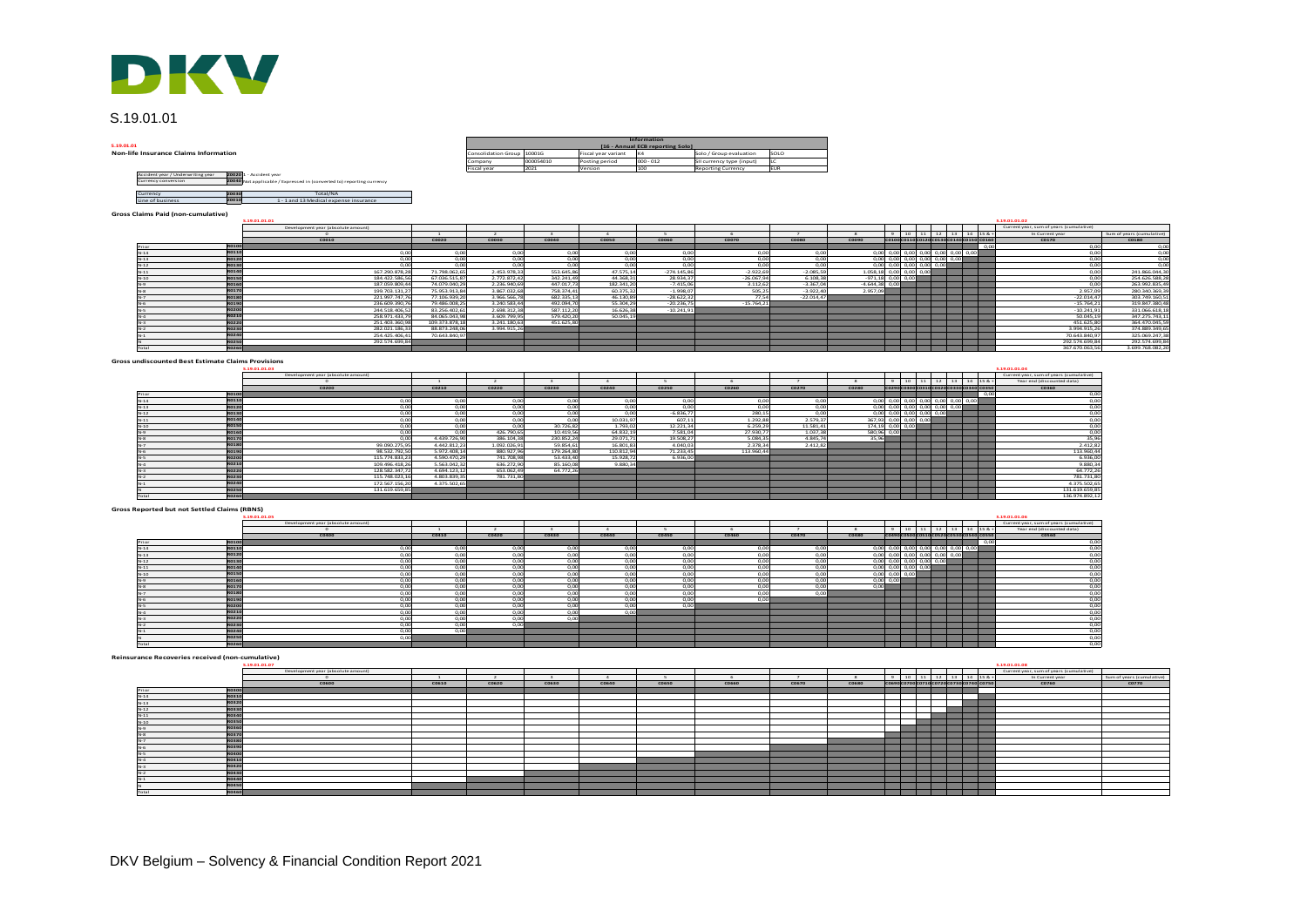

## S.19.01.01

S.19.01.01<br>Non-life Insurance Claims Information

| DKV                                                                                                                                                          |                            |           |                     |                                                 |                           |            |
|--------------------------------------------------------------------------------------------------------------------------------------------------------------|----------------------------|-----------|---------------------|-------------------------------------------------|---------------------------|------------|
| S.19.01.01                                                                                                                                                   |                            |           |                     |                                                 |                           |            |
| 5.19.01.01                                                                                                                                                   |                            |           |                     | Information<br>[16 - Annual ECB reporting Solo] |                           |            |
| <b>Non-life Insurance Claims Information</b>                                                                                                                 | Consolidation Group 10001G |           | Fiscal year variant | K4                                              | Solo / Group evaluation   | SOLO       |
|                                                                                                                                                              | Company                    | 000054010 | Posting period      | $000 - 012$                                     | SII currency type (input) | LC         |
|                                                                                                                                                              | <b>Fiscal</b> year         | 2021      | Version             | 100                                             | Reporting Currency        | <b>EUR</b> |
| 20020 1 - Accident year<br>Accident year / Underwriting year<br>20040 Not applicable / Expressed in (converted to) reporting currency<br>Currency conversion |                            |           |                     |                                                 |                           |            |
| Total/NA<br>20030<br>Currency                                                                                                                                |                            |           |                     |                                                 |                           |            |



## **Gross Claims Paid (non-cumulative)**

|                     |                                                |                                                                                                  |                                |                             |                         |                        | Information                      |                           |                |                         |                                                  |                                      |  |      |                                         |                                  |
|---------------------|------------------------------------------------|--------------------------------------------------------------------------------------------------|--------------------------------|-----------------------------|-------------------------|------------------------|----------------------------------|---------------------------|----------------|-------------------------|--------------------------------------------------|--------------------------------------|--|------|-----------------------------------------|----------------------------------|
| .01                 |                                                |                                                                                                  |                                |                             |                         |                        | [16 - Annual ECB reporting Solo] |                           |                |                         |                                                  |                                      |  |      |                                         |                                  |
|                     | life Insurance Claims Information              |                                                                                                  |                                | Consolidation Group         | 10001G                  | Fiscal year variant    |                                  | Solo / Group evaluation   | SOLO           |                         |                                                  |                                      |  |      |                                         |                                  |
|                     |                                                |                                                                                                  |                                | Company                     | 000054010               | Posting period         | $000 - 012$                      | SII currency type (input) |                |                         |                                                  |                                      |  |      |                                         |                                  |
|                     |                                                |                                                                                                  |                                | Fiscal year                 | 2021                    | Version                | 100.                             | <b>Reporting Currency</b> | FUR            |                         |                                                  |                                      |  |      |                                         |                                  |
| Currency conversion | Accident year / Underwriting year              | 20020 1 - Accident year<br>20040 Not applicable / Expressed in (converted to) reporting currency |                                |                             |                         |                        |                                  |                           |                |                         |                                                  |                                      |  |      |                                         |                                  |
| Currency            | <b>Z0030</b>                                   | Total/NA                                                                                         |                                |                             |                         |                        |                                  |                           |                |                         |                                                  |                                      |  |      |                                         |                                  |
| Line of business    | 70010                                          | 1 - 1 and 13 Medical expense insurance                                                           |                                |                             |                         |                        |                                  |                           |                |                         |                                                  |                                      |  |      |                                         |                                  |
|                     |                                                |                                                                                                  |                                |                             |                         |                        |                                  |                           |                |                         |                                                  |                                      |  |      |                                         |                                  |
|                     | <b>S Claims Paid (non-cumulative)</b>          |                                                                                                  |                                |                             |                         |                        |                                  |                           |                |                         |                                                  |                                      |  |      |                                         |                                  |
|                     |                                                | \$,19,01,01,01                                                                                   |                                |                             |                         |                        |                                  |                           |                |                         |                                                  |                                      |  |      | \$,19,01,01.02                          |                                  |
|                     |                                                | Development year (absolute amount)                                                               |                                |                             |                         |                        |                                  |                           |                |                         |                                                  |                                      |  |      | Current year, sum of years (cumulative) |                                  |
|                     |                                                |                                                                                                  |                                | $\overline{2}$              | $\mathbf{3}$            | $\Delta$               | $\sim$                           | -6                        |                | $\mathbf{\mathcal{R}}$  |                                                  | $9$ 10 11 12 13 14 15 & *            |  |      | In Current year                         | Sum of years (cumulative)        |
|                     |                                                | C0010                                                                                            | C0020                          | C0030                       | C0040                   | <b>COOSO</b>           | C0060                            | C0070                     | C0080          | C0090                   |                                                  | C0100C0110C0120C0130C0140C0150 C0160 |  |      | C0170                                   | <b>C0180</b>                     |
|                     | <b>RO100</b>                                   |                                                                                                  |                                |                             |                         |                        |                                  |                           |                |                         |                                                  |                                      |  | 0.00 | 0,00                                    | $\frac{0,00}{0,00}$              |
| $N-14$              | <b>RO110</b>                                   | 0.00                                                                                             | 0.00                           | 0.00                        | 0.00                    | 0.00                   | 0.00                             | 0.00                      | 0.00           |                         | $0.00$ 0.00 0.00 0.00 0.00 0.00 0.00             |                                      |  |      | 0.00                                    |                                  |
| $N-13$              | <b>RO120</b>                                   | 0.00                                                                                             | 0.00                           | 0 <sup>o</sup>              | 0.00                    | 0.00                   | 0 <sup>o</sup>                   | 0.00                      | 0.00           |                         | $0.00$ 0.00 0.00 0.00 0.00 0.00                  |                                      |  |      | 0.00                                    | 0,00                             |
| $N-12$              | <b>RO130</b>                                   | 00                                                                                               | 0.00                           | 0 <sub>m</sub>              | 0.00                    | -n on                  | n <sub>o</sub> n                 | - o ool                   | 0.00           |                         | con con con con con                              |                                      |  |      | 0.00                                    | 0.00                             |
| $N-11$              | R0140                                          | 167.290.878.2                                                                                    | 71.798.062.65                  | 2.453.978.33                | 553.645.86              | 47.575.14              | $-274.145.86$                    | $-2.922.69$               | $-2.085.59$    | 1.058,18 0,00 0,00 0,00 |                                                  |                                      |  |      | 0.00                                    | 241.866.044.30                   |
| $N-10$              | <b>RO150</b>                                   | 184.422.586.5                                                                                    | 67.036.515.87                  | 2.772.872.42                | 342.241.4               | 44.368.3               | 28,934.3                         | $-26.067.94$              | 6.108.38       |                         | $-971.18$ 0.00 0.00                              |                                      |  |      | 0.00                                    | 254.626.588,2                    |
| $N-9$               | <b>R0160</b>                                   | 187.059.809.4                                                                                    | 74.079.040.29                  | 2.236.940.69                | 447.017.73              | 182.341.20             | $-7.415.0$                       | 3.112.62                  | $-3.367.04$    | $-4.644.38$ 0.0         |                                                  |                                      |  |      | 0.00                                    | 263.992.835.49                   |
| $N-8$               | <b>RO170</b>                                   | 199.703.131.2                                                                                    | 75.953.913.84                  | 3.867.032.68                | 758.374.43              | 60.375.32              | $-1.998.0$                       | 505.25                    | $-3.922.40$    | 2.957.09                |                                                  |                                      |  |      | 2.957.09                                | 280.340.369.39                   |
| $N-7$<br>$N-6$      | <b>RO180</b><br><b>RO190</b>                   | 221.997.747.7<br>236.609.390.7                                                                   | 77.106.939.20<br>79.486.008.25 | 3.966.566.7<br>3.240.583.44 | 682.335.13<br>492.094.7 | 46.130.89<br>55.304.29 | $-28,622.3$<br>$-20.236.7$       | 77.54<br>$-15.764.21$     | $-22.014.47$   |                         |                                                  |                                      |  |      | $-22.014.47$<br>$-15.764.21$            | 303.749.160.51<br>319.847.380.48 |
| $N-S$               | <b>RO200</b>                                   | 244.518.406.5                                                                                    | 83.256.402.61                  | 2.698.312.38                | 587.112.2               | 16.626.3               | $-10.241.9$                      |                           |                |                         |                                                  |                                      |  |      | $-10.241.91$                            | 331.066.618.18                   |
| $N-4$               | R0210                                          | 258.971.433.7                                                                                    | 84.065.043.98                  | 3.609.799.9                 | 579.420.2               | 50.045.1               |                                  |                           |                |                         |                                                  |                                      |  |      | 50.045,19                               | 347.275.743,1                    |
| N.3                 | <b>RO220</b>                                   | 251.403.360.9                                                                                    | 109.373.878.18                 | 3.241.180.63                | 451.625.8               |                        |                                  |                           |                |                         |                                                  |                                      |  |      | 451.625.80                              | 364,470,045.59                   |
| $N-2$               | <b>RO230</b>                                   | 282.021.186.3                                                                                    | 88.873.248.06                  | 3.994.915.26                |                         |                        |                                  |                           |                |                         |                                                  |                                      |  |      | 3.994.915.26                            | 374.889.349.65                   |
|                     | <b>RO240</b>                                   | 254.425.406.4                                                                                    | 70.643.840,9                   |                             |                         |                        |                                  |                           |                |                         |                                                  |                                      |  |      | 70.643.840.97                           | 325.069.247,38                   |
|                     | <b>RO250</b>                                   | 292.574.699.8                                                                                    |                                |                             |                         |                        |                                  |                           |                |                         |                                                  |                                      |  |      | 292.574.699.84                          | 292.574.699.84                   |
|                     | R0260                                          |                                                                                                  |                                |                             |                         |                        |                                  |                           |                |                         |                                                  |                                      |  |      | 367.670.063.56                          | 3.699.768.082.20                 |
|                     |                                                |                                                                                                  |                                |                             |                         |                        |                                  |                           |                |                         |                                                  |                                      |  |      |                                         |                                  |
|                     | s undiscounted Best Estimate Claims Provisions |                                                                                                  |                                |                             |                         |                        |                                  |                           |                |                         |                                                  |                                      |  |      |                                         |                                  |
|                     |                                                | \$,19,01,01.03                                                                                   |                                |                             |                         |                        |                                  |                           |                |                         |                                                  |                                      |  |      | \$.19.01.01.04                          |                                  |
|                     |                                                | Development year (absolute amount)                                                               |                                |                             |                         |                        |                                  |                           |                |                         |                                                  |                                      |  |      | Current year, sum of years (cumulative) |                                  |
|                     |                                                | $\sim$                                                                                           | $\mathbf{1}$                   | $\rightarrow$               | $\sim$                  | $\mathbf{A}$           | $\sim$                           | 6                         | $\overline{z}$ | $\mathbf{R}$            |                                                  | 9 10 11 12 13 14 15 & +              |  |      | Year end (discounted data)              |                                  |
|                     |                                                | C0200                                                                                            | C0210                          | C0220                       | C0230                   | C0240                  | C0250                            | C0260                     | C0270          | C0280                   |                                                  | C0290C0300C0310C0320C0330C0340 C0350 |  |      | C0360                                   |                                  |
| Prior               | <b>R0100</b>                                   |                                                                                                  |                                |                             |                         |                        |                                  |                           |                |                         |                                                  |                                      |  | 0.00 | 0.00                                    |                                  |
| $N-14$              | <b>RO110</b>                                   | 0.00                                                                                             | 0.00                           | 0.00                        | 0.00                    | n on                   | 0.0C                             | 0.00                      | 0.00           |                         | $0,00$ 0,00 0,00 0,00 0,00 0,00 0,00             |                                      |  |      | 0,00                                    |                                  |
| $N-13$              | <b>RO120</b>                                   | 0.00                                                                                             | 0.00                           | 0.00                        | 0.00                    | 0.00                   | 0.00                             | 0.00                      | 0.00           |                         | $0.00$ $0.00$ $0.00$ $0.00$ $0.00$ $0.00$ $0.00$ |                                      |  |      | 0.00                                    |                                  |
| $N-12$              | <b>RO130</b>                                   | 0.00                                                                                             | 0.00                           | 0.00                        | 0.00                    | 0 <sub>m</sub>         | $-6.836.7$                       | 280.19                    | 0.00           |                         | $0.00$ 0.00 0.00 0.00 0.00                       |                                      |  |      | 0.00                                    |                                  |
| 1.14                | 00140                                          | $\sim$                                                                                           | 0 <sup>o</sup>                 | $\sim$                      | $\sim$                  | 30.033.02              | COT 11                           | 1.202.00                  | 2.020.22       |                         |                                                  |                                      |  |      | 0.00                                    |                                  |

#### **Gross undiscounted Best Estimate Claims Provisions**

|                                               |              | \$,19,01,01.03                     |               |              |            |            |              |            |           |                                           |  |                                      |      | \$,19,01,01.04                          |
|-----------------------------------------------|--------------|------------------------------------|---------------|--------------|------------|------------|--------------|------------|-----------|-------------------------------------------|--|--------------------------------------|------|-----------------------------------------|
|                                               |              | Development year (absolute amount) |               |              |            |            |              |            |           |                                           |  |                                      |      | Current year, sum of years (cumulative) |
|                                               |              |                                    |               |              |            |            |              |            |           |                                           |  | 9 10 11 12 13 14 15 8                |      | Year end (discounted data)              |
|                                               |              | C0200                              | C0210         | C0220        | C0230      | C0240      | C0250        | C0260      | C0270     | C0280                                     |  | C0290C0300C0310C0320C0330C0340 C0350 |      | C0360                                   |
| Prior                                         | <b>R0100</b> |                                    |               |              |            |            |              |            |           |                                           |  |                                      | 0.00 | 0,00                                    |
| $N-14$                                        | <b>RO110</b> | 0.00                               | 0.00          | 0.00         | 0.00       | 0.00       | 0.00         | 0.00       | 0.00      | 0,00 0,00 0,00 0,00 0,00 0,00 0,00        |  |                                      |      | 0,00                                    |
| $N-13$                                        | RO120        | 0.00                               | 0.00          | 0.00         | 0.00       | 0.00       | 0.00         | 0.00       | 0.00      | $0,00$ 0,00 0,00 0,00 0,00 0,00           |  |                                      |      |                                         |
| $N-12$                                        | <b>RO130</b> | 0.00                               | 0.00          | 0.00         | 0.00       | 0.00       | $-6.836.7$   | 280.15     | 0.00      | $0,00$ $0,00$ $0,00$ $0,00$ $0,00$        |  |                                      |      |                                         |
| $N-11$                                        | R0140        | 0.00                               | 0.00          | 0.00         | 0.00       | 10.031.97  | 607.11       | 1.292.88   | 2.579.37  | 367,93 0,00 0,00 0,00                     |  |                                      |      |                                         |
| $N-10$                                        | <b>RO150</b> | 0.00                               | 0,00          | 0.00         | 30.726.82  | 1.793.02   | 12.221,34    | 6.259.29   | 11.581,41 | 174,19 0,00 0,00                          |  |                                      |      |                                         |
| $N-9$                                         | <b>R0160</b> | 0.00                               | 0.00          | 426,790.65   | 10.419.56  | 64,832.19  | 7.581.04     | 27.930.77  | 1.037,38  | 580,96 0,00                               |  |                                      |      | $0,00$<br>0,00<br>0,00<br>0,00<br>0,00  |
| $rac{N-8}{N-7}$                               | <b>RO170</b> | n on                               | 4.439.726.90  | 386.104.38   | 230.852.24 | 29.071.71  | 19.508.27    | 5.084.35   | 4.845.74  | 35.96                                     |  |                                      |      | 35,96                                   |
|                                               | <b>RO18</b>  | 99.090.275.95                      | 4.442.812.23  | 1.092.026.91 | 59,854.61  | 16,801.83  | 4.040.03     | 2.378.34   | 2.412.82  |                                           |  |                                      |      | 2.412,82                                |
| $N-6$                                         | <b>RO19</b>  | 98.532.792.50                      | 5.972.408.14  | 880.927.96   | 179,264.80 | 110.812.94 | 71.233.45    | 113,960.44 |           |                                           |  |                                      |      | 113.960,44                              |
| $N-S$                                         | RO200        | 115.774.833.2                      | 4.590.470.29  | 741.708.98   | 53,433.40  | 15.928.72  | 6,936.00     |            |           |                                           |  |                                      |      | 6.936,00                                |
| $N-4$                                         | R0210        | 109.496.418.2                      | 5.563.042.32  | 636.272.90   | 85,160.0   | 9.880.34   |              |            |           |                                           |  |                                      |      | 9.880,34                                |
| $N-3$                                         | RO220        | 128.582.347.7                      | 4.694.123.12  | 653.062.49   | 64.772.26  |            |              |            |           |                                           |  |                                      |      | 64.772.26                               |
| $N-2$                                         | <b>RO23</b>  | 115.748.023.16                     | 4.803.839.35  | 781.731.80   |            |            |              |            |           |                                           |  |                                      |      | 781,731.80                              |
| $N-1$                                         | RO240        | 172 567 156 20                     | 4.375.502.65  |              |            |            |              |            |           |                                           |  |                                      |      | 4.375.502.65                            |
|                                               | <b>RO25</b>  | 131.619.659.85                     |               |              |            |            |              |            |           |                                           |  |                                      |      | 131.619.659.89                          |
| Total                                         | <b>RO260</b> |                                    |               |              |            |            |              |            |           |                                           |  |                                      |      | 136.974.892.12                          |
| <b>Reported but not Settled Claims (RBNS)</b> |              | \$,19,01,01.05                     |               |              |            |            |              |            |           |                                           |  |                                      |      | \$.19.01.01.06                          |
|                                               |              | Development year (absolute amount) |               |              |            |            |              |            |           |                                           |  |                                      |      | Current year, sum of years (cumulative) |
|                                               |              |                                    |               |              |            |            |              |            |           |                                           |  | $9$ 10 11 12 13 14 15 &              |      | Year end (discounted data)              |
|                                               |              | C0400                              | C0410         | C0420        | C0430      | C0440      | <b>C0450</b> | C0460      | C0470     | C0480                                     |  | C0490C0500C0510C0520C0530C0540 C0550 |      | <b>CO560</b>                            |
| Prior                                         | <b>RO100</b> |                                    |               |              |            |            |              |            |           |                                           |  |                                      | 0.00 | 0,00                                    |
| $N-14$                                        | <b>RO110</b> | 0.00                               | 0.00          | 0.00         | 0.00       | 0.00       | 0.00         | 0.00       | 0.00      | 0,00 0,00 0,00 0,00 0,00 0,00 0,00        |  |                                      |      | $0,00$<br>$0,00$                        |
| $N-13$                                        | <b>RO120</b> | 0.00                               | 0.00          | 0.00         | 0.00       | 0.00       | 0.00         | 0.00       | 0.00      | $0,00$ $0,00$ $0,00$ $0,00$ $0,00$ $0,00$ |  |                                      |      |                                         |
| $N-12$                                        | <b>RO13</b>  | 0.00                               | 0.00          | 0.00         | 0.00       | 0.00       | 0,00         | 0.00       | 0.00      | 0,00 0,00 0,00 0,00 0,00                  |  |                                      |      | 0,00                                    |
|                                               | 90140        | 0.001                              | $\sim$ $\sim$ | 0.00         | 0.00       | 0.001      | 0.00         | 0.00       | 0.001     |                                           |  |                                      |      |                                         |

## **Gross Reported but not Settled Claims (RBNS)**

|                                             |              | \$.19.01.01.05                     |        |                |          |       |              |       |                                   |              |                                                  |  |                                      |  |      | \$.19.01.01.06                          |                           |
|---------------------------------------------|--------------|------------------------------------|--------|----------------|----------|-------|--------------|-------|-----------------------------------|--------------|--------------------------------------------------|--|--------------------------------------|--|------|-----------------------------------------|---------------------------|
|                                             |              | Development year (absolute amount) |        |                |          |       |              |       |                                   |              |                                                  |  |                                      |  |      | Current year, sum of years (cumulative) |                           |
|                                             |              |                                    | $\sim$ | <b>COL</b>     | $\alpha$ |       |              |       | <b>Contract Contract Contract</b> | $\mathbf{R}$ |                                                  |  | $9$ 10 11 12 13 14 15 & +            |  |      | Year end (discounted data)              |                           |
|                                             |              | C0400                              | C0410  | C0420          | C0430    | C0440 | <b>CO450</b> | C0460 | C0470                             | C0480        |                                                  |  | C0490C0500C0510C0520C0530C0540 C0550 |  |      | <b>CO560</b>                            |                           |
| Prior                                       | <b>R0100</b> |                                    |        |                |          |       |              |       |                                   |              |                                                  |  |                                      |  | 0.00 | 0,00                                    |                           |
| $N-14$                                      | R0110        | 0.00                               | 0.00   | റന             | 0.00     | 0.00  | 0.00         | 0.00  | 0.00                              |              | $0,00$ 0,00 0,00 0,00 0,00 0,00 0,00             |  |                                      |  |      | 0.00                                    |                           |
| $N-13$                                      | <b>R0120</b> | 0 <sup>o</sup>                     | 0.00   | 0.OC           | 0,00     | 0.00  | 0,00         | 0.00  | 0.00                              |              | $0,00$ $0,00$ $0,00$ $0,00$ $0,00$ $0,00$ $0,00$ |  |                                      |  |      | 0,00                                    |                           |
| $N-12$                                      | <b>RO130</b> | 0.00                               | 0.00   | 0.00           | 0.00     | 0.00  | 0.00         | 0.00  | 0.00                              |              | $0,00$ $0,00$ $0,00$ $0,00$ $0,00$               |  |                                      |  |      | 0,00                                    |                           |
| $N-11$                                      | <b>RO140</b> | 0 <sup>o</sup>                     | 0.00   | റന             | 0.00     | n onl | n on         | 0.00  | 0.00                              |              | $0,00$ $0,00$ $0,00$ $0,00$                      |  |                                      |  |      | 0,00                                    |                           |
| $N-10$                                      | <b>RO150</b> | 0.0                                | 0.00   | 0.00           | 0,00     | 0.00  | 0,00         | 0,00  | 0.00                              |              | $0,00$ $0,00$ $0,00$                             |  |                                      |  |      |                                         |                           |
| $N-9$                                       | R016         | 0.00                               | 0.00   | 0 <sub>m</sub> | 0.00     | n onl | 0.00         | 0.00  | 0.00                              |              | 0.00 0.00                                        |  |                                      |  |      | $0,00$<br>$0,00$                        |                           |
| $N-8$                                       | <b>RO17</b>  | 0 <sup>o</sup>                     | 0.00   | 0.OC           | 0,00     | n onl | 0,00         | 0.00  | n ool                             | 0,00         |                                                  |  |                                      |  |      | 0,00                                    |                           |
| $N-7$                                       | <b>R0180</b> | 0.00                               | 0.00   | റന             | 0.00     | 0.00  | 0.00         | 0.00  | 0.00                              |              |                                                  |  |                                      |  |      | 0,00                                    |                           |
| No.                                         | <b>RO190</b> | 0 <sup>o</sup>                     | 0.00   | 0.00           | 0.00     | n onl | 0.00         | 0.00  |                                   |              |                                                  |  |                                      |  |      | 0,00                                    |                           |
| $N-S$                                       | <b>RO200</b> | 0.00                               | 0.00   | 0.00           | 0.00     | 0.00  | 0.00         |       |                                   |              |                                                  |  |                                      |  |      | 0,00                                    |                           |
| $N-4$                                       | R021         | 0.00                               | 0.00   | 0.00           | 0.00     | 0.00  |              |       |                                   |              |                                                  |  |                                      |  |      | $\frac{0,00}{0,00}$                     |                           |
| $N-3$                                       | <b>R0220</b> | 0.00                               | 0.00   | 0.00           | 0.00     |       |              |       |                                   |              |                                                  |  |                                      |  |      |                                         |                           |
| $N-2$                                       | <b>RO230</b> | 0.00                               | 0.00   | om             |          |       |              |       |                                   |              |                                                  |  |                                      |  |      | 0,00                                    |                           |
| $N-1$                                       | R024         | 0.00                               | 0.00   |                |          |       |              |       |                                   |              |                                                  |  |                                      |  |      | 0,00                                    |                           |
|                                             | <b>RO250</b> | 0 <sup>0</sup>                     |        |                |          |       |              |       |                                   |              |                                                  |  |                                      |  |      | 0,00                                    |                           |
| Total                                       | <b>RO260</b> |                                    |        |                |          |       |              |       |                                   |              |                                                  |  |                                      |  |      | 0,00                                    |                           |
| urance Recoveries received (non-cumulative) |              | \$,19,01,01.07                     |        |                |          |       |              |       |                                   |              |                                                  |  |                                      |  |      | \$,19,01,01.08                          |                           |
|                                             |              | Development year (absolute amount  |        |                |          |       |              |       |                                   |              |                                                  |  |                                      |  |      | Current year, sum of years (cumulative) |                           |
|                                             |              |                                    |        |                |          |       |              |       |                                   | $\mathbf{R}$ |                                                  |  | $9 \t10 \t11 \t12 \t13 \t14 \t158 +$ |  |      | In Current year                         | Sum of years (cumulative) |
|                                             |              | C0600                              | C0610  | C0620          | C0630    | C0640 | <b>CO650</b> | C0660 | C0670                             | <b>CO680</b> |                                                  |  | C0690C0700C0710C0720C0730C0740 C0750 |  |      | C0760                                   | C0770                     |
| Prior                                       | <b>RO300</b> |                                    |        |                |          |       |              |       |                                   |              |                                                  |  |                                      |  |      |                                         |                           |
| $N-14$                                      | <b>RO310</b> |                                    |        |                |          |       |              |       |                                   |              |                                                  |  |                                      |  |      |                                         |                           |
| $N-13$                                      | <b>RO320</b> |                                    |        |                |          |       |              |       |                                   |              |                                                  |  |                                      |  |      |                                         |                           |
| $N-12$                                      | <b>R0330</b> |                                    |        |                |          |       |              |       |                                   |              |                                                  |  |                                      |  |      |                                         |                           |
| 1.144                                       | 000000       |                                    |        |                |          |       |              |       |                                   |              |                                                  |  |                                      |  |      |                                         |                           |

#### **Reinsurance Recoveries received (non-cumulative)**

|                                | S.19.01.01.07                      |       |       |       |       |              |       |       |              |  |  |  | \$.19.01.01.08                          |                           |
|--------------------------------|------------------------------------|-------|-------|-------|-------|--------------|-------|-------|--------------|--|--|--|-----------------------------------------|---------------------------|
|                                | Development year (absolute amount) |       |       |       |       |              |       |       |              |  |  |  | Current year, sum of years (cumulative) |                           |
|                                |                                    |       |       |       |       |              |       |       |              |  |  |  | In Current year                         | Sum of years (cumulative) |
|                                | C0600                              | C0610 | C0620 | C0630 | C0640 | <b>CO650</b> | C0660 | C0670 | <b>CO680</b> |  |  |  | C0760                                   | C0770                     |
| <b>R0300</b><br>Print          |                                    |       |       |       |       |              |       |       |              |  |  |  |                                         |                           |
| <b>RO310</b><br>$N-14$         |                                    |       |       |       |       |              |       |       |              |  |  |  |                                         |                           |
| <b>RO320</b><br>$N-13$         |                                    |       |       |       |       |              |       |       |              |  |  |  |                                         |                           |
| <b>RO330</b><br>$N-12$         |                                    |       |       |       |       |              |       |       |              |  |  |  |                                         |                           |
| <b>RO340</b><br>$N-11$         |                                    |       |       |       |       |              |       |       |              |  |  |  |                                         |                           |
| <b>R0350</b><br>$N-10$         |                                    |       |       |       |       |              |       |       |              |  |  |  |                                         |                           |
| <b>RO360</b><br>$N-9$          |                                    |       |       |       |       |              |       |       |              |  |  |  |                                         |                           |
| <b>RO37</b><br>$N-8$           |                                    |       |       |       |       |              |       |       |              |  |  |  |                                         |                           |
| R0380<br>R0390<br>R0400<br>N-7 |                                    |       |       |       |       |              |       |       |              |  |  |  |                                         |                           |
| IN.                            |                                    |       |       |       |       |              |       |       |              |  |  |  |                                         |                           |
| IN.                            |                                    |       |       |       |       |              |       |       |              |  |  |  |                                         |                           |
| R0410<br>$184 - 44$            |                                    |       |       |       |       |              |       |       |              |  |  |  |                                         |                           |
| R0420<br>$N-5$                 |                                    |       |       |       |       |              |       |       |              |  |  |  |                                         |                           |
| <b>R0430</b>                   |                                    |       |       |       |       |              |       |       |              |  |  |  |                                         |                           |
| R0440<br>TN.                   |                                    |       |       |       |       |              |       |       |              |  |  |  |                                         |                           |
| R0450<br>R0460                 |                                    |       |       |       |       |              |       |       |              |  |  |  |                                         |                           |
| Total                          |                                    |       |       |       |       |              |       |       |              |  |  |  |                                         |                           |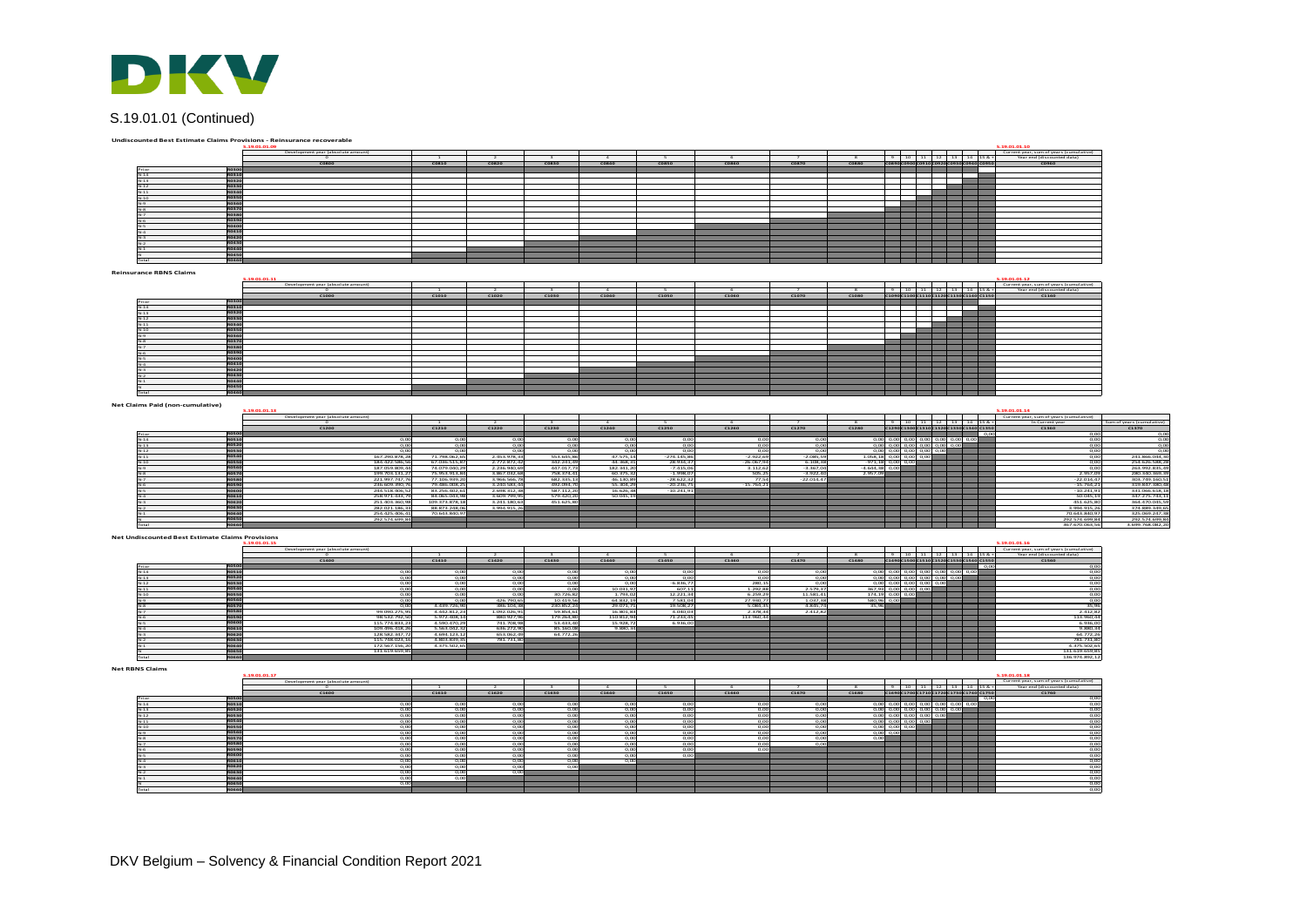

# S.19.01.01 (Continued)

|                                  | Undiscounted Best Estimate Claims Provisions - Reinsurance recoverable<br>.19.01.01.0 |                                              |                                  |                                 |                              |                          |                         |                              |                             |                            |                             |                                                                                                                                                       |                                                                                                                       |                          | S.19.01.01.10<br>Current year, sum of years (cumulative)  |                                    |
|----------------------------------|---------------------------------------------------------------------------------------|----------------------------------------------|----------------------------------|---------------------------------|------------------------------|--------------------------|-------------------------|------------------------------|-----------------------------|----------------------------|-----------------------------|-------------------------------------------------------------------------------------------------------------------------------------------------------|-----------------------------------------------------------------------------------------------------------------------|--------------------------|-----------------------------------------------------------|------------------------------------|
|                                  |                                                                                       | Development year (absolute amount)<br>$\cos$ |                                  | COB10                           | <b>COB20</b>                 | <b>COB30</b>             | <b>CO540</b>            | <b>COSSO</b>                 | $\cos$                      | COS70                      | cosso                       | 9 10 11 12 13 14<br><b>COB90</b> C090                                                                                                                 | CO910 CO920 CO930 CO940                                                                                               | 15 &<br>CO <sub>25</sub> | Year end (discounted data)<br><b>CO960</b>                |                                    |
|                                  | <b>RO310</b>                                                                          |                                              |                                  |                                 |                              |                          |                         |                              |                             |                            |                             |                                                                                                                                                       |                                                                                                                       |                          |                                                           |                                    |
|                                  | <b>RO320</b><br><b>RO330</b>                                                          |                                              |                                  |                                 |                              |                          |                         |                              |                             |                            |                             |                                                                                                                                                       |                                                                                                                       |                          |                                                           |                                    |
|                                  | <b>RO34C</b><br>RO35C                                                                 |                                              |                                  |                                 |                              |                          |                         |                              |                             |                            |                             |                                                                                                                                                       |                                                                                                                       |                          |                                                           |                                    |
|                                  | <b>RO366</b>                                                                          |                                              |                                  |                                 |                              |                          |                         |                              |                             |                            |                             |                                                                                                                                                       |                                                                                                                       |                          |                                                           |                                    |
|                                  | RO37C<br>RO38C<br><b>RO390</b>                                                        |                                              |                                  |                                 |                              |                          |                         |                              |                             |                            |                             |                                                                                                                                                       |                                                                                                                       |                          |                                                           |                                    |
|                                  | <b>RO40</b><br>R0410                                                                  |                                              |                                  |                                 |                              |                          |                         |                              |                             |                            |                             |                                                                                                                                                       |                                                                                                                       |                          |                                                           |                                    |
|                                  | R0420                                                                                 |                                              |                                  |                                 |                              |                          |                         |                              |                             |                            |                             |                                                                                                                                                       |                                                                                                                       |                          |                                                           |                                    |
|                                  | R0430<br>R0440<br><b>RO45</b>                                                         |                                              |                                  |                                 |                              |                          |                         |                              |                             |                            |                             |                                                                                                                                                       |                                                                                                                       |                          |                                                           |                                    |
|                                  | R0460                                                                                 |                                              |                                  |                                 |                              |                          |                         |                              |                             |                            |                             |                                                                                                                                                       |                                                                                                                       |                          |                                                           |                                    |
| <b>Reinsurance RBNS Claims</b>   |                                                                                       |                                              |                                  |                                 |                              |                          |                         |                              |                             |                            |                             |                                                                                                                                                       |                                                                                                                       |                          |                                                           |                                    |
|                                  | S.19.01.01.11                                                                         | Development year (absolute am                |                                  |                                 |                              |                          |                         |                              |                             |                            |                             |                                                                                                                                                       |                                                                                                                       |                          | \$.19.01.01.12<br>Current year, sum of years (cumulative) |                                    |
|                                  |                                                                                       | $\Omega$<br>C1000                            |                                  | $\mathbf{r}$<br>C1010           | $\rightarrow$<br>C1020       | <b>B</b><br>C1030        | C1040                   | $\mathbf{r}_i$<br>C1050      | C1060                       | C1070                      | $\mathbb{R}$<br>C1080       | $9$ 10 11 12 13 14 15 & +<br>C1090C1100C1110C1120C1130C1140 C1150                                                                                     |                                                                                                                       |                          | Year end (discounted data)<br>C1160                       |                                    |
|                                  | <b>RO30</b><br><b>RO31C</b><br>RO32C                                                  |                                              |                                  |                                 |                              |                          |                         |                              |                             |                            |                             |                                                                                                                                                       |                                                                                                                       |                          |                                                           |                                    |
|                                  | <b>RO330</b>                                                                          |                                              |                                  |                                 |                              |                          |                         |                              |                             |                            |                             |                                                                                                                                                       |                                                                                                                       |                          |                                                           |                                    |
|                                  | <b>RO340</b><br><b>RO350</b>                                                          |                                              |                                  |                                 |                              |                          |                         |                              |                             |                            |                             |                                                                                                                                                       |                                                                                                                       |                          |                                                           |                                    |
|                                  | RO36<br><b>RO37</b>                                                                   |                                              |                                  |                                 |                              |                          |                         |                              |                             |                            |                             |                                                                                                                                                       |                                                                                                                       |                          |                                                           |                                    |
|                                  | RO3BI<br><b>RO390</b>                                                                 |                                              |                                  |                                 |                              |                          |                         |                              |                             |                            |                             |                                                                                                                                                       |                                                                                                                       |                          |                                                           |                                    |
|                                  | R040C<br>R041C                                                                        |                                              |                                  |                                 |                              |                          |                         |                              |                             |                            |                             |                                                                                                                                                       |                                                                                                                       |                          |                                                           |                                    |
|                                  | R0420                                                                                 |                                              |                                  |                                 |                              |                          |                         |                              |                             |                            |                             |                                                                                                                                                       |                                                                                                                       |                          |                                                           |                                    |
|                                  | R0430<br>R0440<br>RO45C                                                               |                                              |                                  |                                 |                              |                          |                         |                              |                             |                            |                             |                                                                                                                                                       |                                                                                                                       |                          |                                                           |                                    |
|                                  |                                                                                       |                                              |                                  |                                 |                              |                          |                         |                              |                             |                            |                             |                                                                                                                                                       |                                                                                                                       |                          |                                                           |                                    |
| Net Claims Paid (non-cumulative) | \$.19.01.01.1                                                                         |                                              |                                  |                                 |                              |                          |                         |                              |                             |                            |                             |                                                                                                                                                       |                                                                                                                       |                          | S.19.01.01.14                                             |                                    |
|                                  |                                                                                       | Development year (absolute amount)           |                                  |                                 |                              |                          |                         |                              |                             |                            |                             |                                                                                                                                                       |                                                                                                                       |                          | Current year, sum of years (cumulative)                   |                                    |
|                                  |                                                                                       | C1200                                        |                                  | $\frac{1}{C1210}$               | $\frac{2}{c1220}$            | $\frac{3}{C1230}$        | C1240                   | $rac{5}{c1250}$              | C1260                       | C1270                      | C1280                       | $9 \t 10 \t 11 \t 12 \t 13 \t 14 \t 15 \& 4$<br>C1290C1300C1310C1320C1330C1340 C1350                                                                  | <u> Tanzania de la provincia de la provincia de la provincia de la provincia de la provincia de la provincia de l</u> | 0.00                     | In Current year<br>C1360                                  | Sum of years (cumulative)<br>C1370 |
|                                  | ROSOC<br>ROS1C                                                                        |                                              | 0.00                             | 0.00                            | 0.00                         | 0.00                     | 0.00                    | 0.00                         | 0.00                        | 0.00                       |                             | and the state of the con-<br>0,00 0,00 0,00 0,00 0,00 0,00 0,00                                                                                       |                                                                                                                       |                          | 0,0<br>0.00                                               |                                    |
|                                  | <b>ROS20</b><br>ROS30                                                                 |                                              | 0,00<br>റന                       | 0.00<br>ററ                      | 0.00<br>0 <sup>0</sup>       | 0.00<br>0 <sup>0</sup>   | 0.00<br>- റവ            | 0.00<br>000                  | 0.00<br>റവ                  | 0.00<br>0.00               |                             | $\begin{array}{ c c c c c c c c } \hline 0,00 & 0,00 & 0,00 & 0,00 & 0,00 & 0,00 \\ \hline 0,00 & 0,00 & 0,00 & 0,00 & 0,00 & 0 \\\hline \end{array}$ |                                                                                                                       |                          | 0.00<br>00                                                |                                    |
|                                  | <b>RO54</b><br><b>RO55</b>                                                            |                                              | 167.290.878,28<br>184.422.586,56 | 71,798,062.65<br>67.036.515,87  | 2.453.978.33<br>2.772.872,42 | 553.645.86<br>342.241,49 | 47.575.14<br>44.368,31  | $-274.145.86$<br>28.934,37   | $-2.922,69$<br>$-26.067,94$ | $-2.085,59$<br>6.108,38    |                             | 1.058,18 0,00 0,00 0,00<br>$-971,18$ 0,00 0,00                                                                                                        |                                                                                                                       |                          | 0,0<br>0,0                                                |                                    |
|                                  | <b>RO56</b><br><b>ROS70</b>                                                           |                                              | 187.059.809.44<br>199.703.131,27 | 74.079.040,29<br>75.953.913,84  | 2.236.940,6<br>3.867.032,6   | 447.017,7<br>758.374,4   | 182.341,20<br>60.375,32 | $-7.415,06$<br>$-1.998,0$    | 3.112,62<br>505,25          | $-3.367,04$<br>$-3.922,40$ | $-4.644,38$ 0,00<br>2.957,0 |                                                                                                                                                       |                                                                                                                       |                          | 0,0<br>2.957,0                                            |                                    |
|                                  | <b>RO586</b><br><b>RO590</b>                                                          |                                              | 221.997.747.76<br>236.609.390.76 | 77.106.939.20<br>79.486.008.25  | 3.966.566.78<br>3.240.583.44 | 682.335.13<br>492.094.70 | 46,130.89<br>55.304.29  | $-28.622.32$<br>$-20.236,75$ | 77,54<br>$-15.764, 21$      | $-22.014,47$               |                             |                                                                                                                                                       |                                                                                                                       |                          | $-22.014,4$<br>$-15.764.2$                                |                                    |
|                                  | <b>RO600</b><br><b>RO61</b>                                                           |                                              | 244.518.406,52<br>258 971 433 79 | 83.256.402,61<br>84 065 043 98  | 2.698.312,38<br>3.609.799.95 | 587.112,20<br>579.420.2  | 16.626,38<br>50.045.19  | $-10.241.91$                 |                             |                            |                             |                                                                                                                                                       |                                                                                                                       |                          | $-10.241,91$<br>50.045.1                                  |                                    |
|                                  | RO62<br>EDOR                                                                          |                                              | 251.403.360,98<br>282.021.186,33 | 109.373.878,18<br>88.873.248,06 | 3.241.180,6<br>3.994.915,26  | 451,625.8                |                         |                              |                             |                            |                             |                                                                                                                                                       |                                                                                                                       |                          | 451.625,8<br>3.994.915,2                                  |                                    |
|                                  | RO640                                                                                 |                                              | 254.425.406,41<br>292.574.699,84 | 70.643.840,97                   |                              |                          |                         |                              |                             |                            |                             |                                                                                                                                                       |                                                                                                                       |                          | 70.643.840,9<br>292.574.699,8                             |                                    |
|                                  | <b>RO65</b>                                                                           |                                              |                                  |                                 |                              |                          |                         |                              |                             |                            |                             |                                                                                                                                                       |                                                                                                                       |                          |                                                           |                                    |

N-12 **R0530** 0,00 0,00 0,00 0,00 0,00 -6.836,77 280,15 0,00 0,00 0,00 0,00 0,00 0,00 0,00 N-11 **R0540** 0,00 0,00 0,00 0,00 10.031,97 607,11 1.292,88 2.579,37 367,93 0,00 0,00 0,00 0,00 ا<mark>0550 0,00 0,00</mark> 0,00 0,00 0,00 0,00 30.726,82 1.793,02 12.221,34 6.259,29 11.581,41 174,19 0,00 0,00 0,00 0,00 0 N-9 **R0560** 0,00 0,00 426.790,65 10.419,56 64.832,19 7.581,04 27.930,77 1.037,38 580,96 0,00 0,00 N-8 **R0570** 0,00 4.439.726,90 386.104,38 230.852,24 29.071,71 19.508,27 5.084,35 4.845,74 35,96 35,96 N-7 **R0580** 99.090.275,95 4.442.812,23 1.092.026,91 59.854,61 16.801,83 4.040,03 2.378,34 2.412,82 2.412,82 N-6 **R0590** 98.532.792,50 5.972.408,14 880.927,96 179.264,80 110.812,94 71.233,45 113.960,44 113.960,44 الطابة بالمالية بالمراجع المراجع المراجع المراجع المراجع المراجع المراجع المراجع المراجع المراجع المراجع المراجع ال<br>المراجع المراجع المراجع المراجع المراجع المراجع المراجع المراجع المراجع المراجع المراجع المراجع المراجع ا <mark>10610</mark> 109.80 109.890 109.890,34 209.496.418,26 5.563.042,32 636.272,90 85.160,08 9.880,34 9.880,34 9.880,34 9.880,34 9.880,34 9.880,34 9.880,34 9.880,34 9.880,34 9.880,34 9.880,34 9.880,34 9.880,34 9.880,34 9.880,34 9.8 N-3 **R0620** 128.582.347,72 4.694.123,12 653.062,49 64.772,26 64.772,26 N-2 **R0630** 115.748.023,16 4.803.839,35 781.731,80 781.731,80 <mark>100640</mark> 172.567.156,20 4.375.502,65 4.375.502,65 والمسابق المستقبل المركزي المسابق المركزي المستقبل المركزي المستقبل المركزي المستقبل المركزي المستقبل المركزي المستقبل المركزي المستقبل المركزي المستقبل المركزي المستقبل ا N **R0650** 131.619.659,85 131.619.659,85 Total **R0660** 136.974.892,12 <sup>0</sup> <sup>1</sup> <sup>2</sup> <sup>3</sup> <sup>4</sup> <sup>5</sup> <sup>6</sup> <sup>7</sup> <sup>8</sup> <sup>9</sup> 1 0 1 1 1 2 1 3 1 4 15 & + Year end (discounted data)

**Net RBNS Claims**

|                        | S.19.01.01.17                      |                            |       |       |       |       |       |       |       |                      |                                    |          |                                      | S.19.01.01.18                           |
|------------------------|------------------------------------|----------------------------|-------|-------|-------|-------|-------|-------|-------|----------------------|------------------------------------|----------|--------------------------------------|-----------------------------------------|
|                        | Development year (absolute amount) |                            |       |       |       |       |       |       |       |                      |                                    |          |                                      | Current year, sum of years (cumulative) |
|                        |                                    |                            |       |       |       |       |       |       |       |                      | $9 \mid 10 \mid 11$                | 12<br>13 | $14$ 15 & +                          | Year end (discounted data)              |
|                        | C1600                              | C1610                      | C1620 | C1630 | C1640 | C1650 | C1660 | C1670 | CIGSO |                      |                                    |          | C1690C1700C1710C1720C1730C1740 C1750 | C1760                                   |
| <b>RO500</b><br>Prior  |                                    |                            |       |       |       |       |       |       |       |                      |                                    |          | 0.00                                 | 0,00                                    |
| $N-14$<br><b>RO51</b>  | 0,00                               | 000                        | റവ    | 0.00  | 0.00  | 0.00  | 0.00  | 0.00  |       |                      | 0,00 0,00 0,00 0,00 0,00 0,00 0,00 |          |                                      | 0,00                                    |
| <b>RO520</b><br>$N-13$ | 0.00                               | 0.00                       | 0.00  | 0.00  | 0.00  | 0.00  | 0.00  | 0.00  |       |                      | $0,00$ 0,00 0,00 0,00 0,00 0,00    |          |                                      | 0,00                                    |
| <b>RO53</b><br>$N-12$  | 0,00                               | 0 <sup>0<sup>o</sup></sup> | 0.00  | 0.00  | 0.00  | 0.00  | 0.00  | 0.00  |       |                      | 0,00 0,00 0,00 0,00 0,00           |          |                                      | 0,00                                    |
| <b>RO54f</b><br>$N-11$ | 0,00                               | 0 <sup>0<sup>c</sup></sup> | റവ    | 0.00  | 0.00  | റന    | 0,00  | 0.00  |       |                      | $0,00$ $0,00$ $0,00$ $0,00$        |          |                                      | $\frac{0,00}{0,00}$                     |
| ROSSO<br>$N-10$        | 0.00                               | 0 <sup>o</sup>             | 0.00  | 0.00  | 0.00  | 0.00  | 0.00  | 0.00  |       | $0,00$ $0,00$ $0,00$ |                                    |          |                                      |                                         |
| ROSGO<br><b>M.O.</b>   | 0.00                               | 0.00                       | 0.00  | 0.00  | 0.001 | 0.00  | 0.00  | 0.00  |       | 0.00 0.00            |                                    |          |                                      | 0,00                                    |
| <b>RO570</b>           | O,OC                               | 0 <sup>0<sup>o</sup></sup> | റവ    | 0.00  | n on  | 0.00  | 0.00  | 0.00  | 0.001 |                      |                                    |          |                                      | 0,00                                    |
| ROSS                   | 0,00                               | 0 <sup>o</sup>             | 0.00  | 0,00  | 0.00  | റന    | 0,00  | 0.00  |       |                      |                                    |          |                                      | 0,00                                    |
| <b>RO590</b>           | 0,00                               | 0 <sup>o</sup>             | 0.00  | 0,00  | 0.00  | 0,00  | 0,00  |       |       |                      |                                    |          |                                      |                                         |
| 20600                  | 0,00                               | 0 <sup>0<sup>c</sup></sup> | 0.00  | 0.00  | n nn  | 0.00  |       |       |       |                      |                                    |          |                                      | $0,00$<br>$0,00$                        |
| <b>ROG1</b>            | 0,00                               | 0 <sup>o</sup>             | 0.00  | 0,00  | 0.00  |       |       |       |       |                      |                                    |          |                                      | 0,00                                    |
| <b>RO62</b>            | 0.00                               | 0 <sup>o</sup>             | 0.00  | 0.00  |       |       |       |       |       |                      |                                    |          |                                      | 0,00                                    |
| ROG3C                  | 0,00                               | 000                        | 0.00  |       |       |       |       |       |       |                      |                                    |          |                                      | 0,00                                    |
| <b>RO640</b>           | O,OC                               | 0 <sup>o</sup>             |       |       |       |       |       |       |       |                      |                                    |          |                                      | 0,00                                    |
| RO65                   | 0.00                               |                            |       |       |       |       |       |       |       |                      |                                    |          |                                      | 0,00                                    |
| ROGGO<br>Testal        |                                    |                            |       |       |       |       |       |       |       |                      |                                    |          |                                      | 0,00                                    |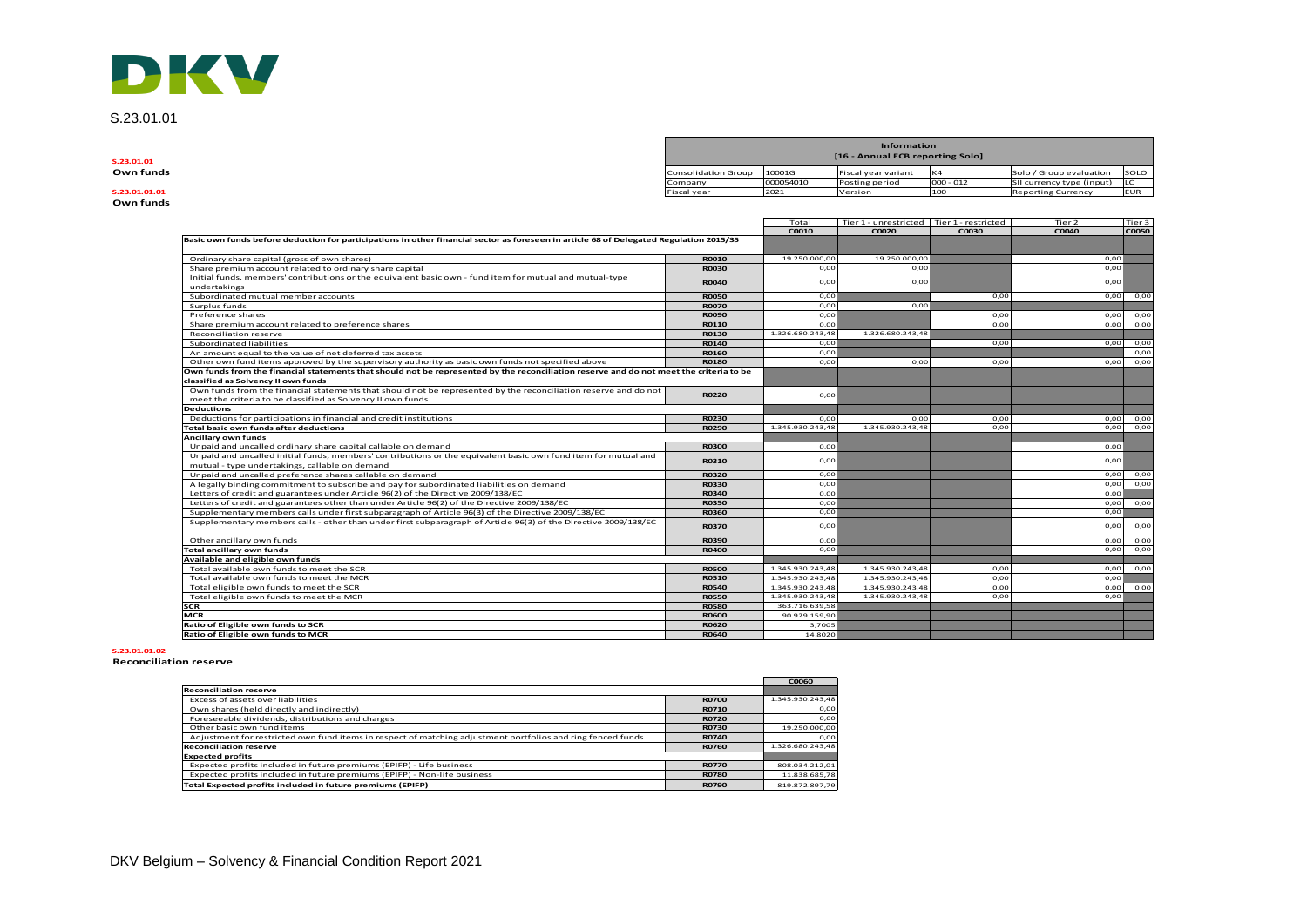# DKV

S.23.01.01

| . |
|---|
|   |

**Own funds**

| S.23.01.01    |                            |           | Information<br>[16 - Annual ECB reporting Solo] |                |                           |             |
|---------------|----------------------------|-----------|-------------------------------------------------|----------------|---------------------------|-------------|
| Own funds     | <b>Consolidation Group</b> | 10001G    | Fiscal year variant                             | K <sub>4</sub> | Solo / Group evaluation   | SOLO        |
|               | Company                    | 000054010 | Posting period                                  | $000 - 012$    | SII currency type (input) |             |
| S.23.01.01.01 | Fiscal year                | 2021      | Version                                         | 1100           | <b>Reporting Currency</b> | <b>IEUR</b> |

|                                                                                                                                         |              | Total            | Tier 1 - unrestricted   Tier 1 - restricted |       | Tier 2 | Tier 3       |
|-----------------------------------------------------------------------------------------------------------------------------------------|--------------|------------------|---------------------------------------------|-------|--------|--------------|
|                                                                                                                                         |              | COO10            | C0020                                       | C0030 | C0040  | <b>C0050</b> |
| Basic own funds before deduction for participations in other financial sector as foreseen in article 68 of Delegated Regulation 2015/35 |              |                  |                                             |       |        |              |
| Ordinary share capital (gross of own shares)                                                                                            | R0010        | 19,250,000.00    | 19.250.000.00                               |       | 0.00   |              |
| Share premium account related to ordinary share capital                                                                                 | <b>R0030</b> | 0.00             | 0.00                                        |       | 0,00   |              |
| Initial funds, members' contributions or the equivalent basic own - fund item for mutual and mutual-type                                | <b>R0040</b> | 0,00             | 0,00                                        |       | 0,00   |              |
| undertakings                                                                                                                            |              |                  |                                             |       |        |              |
| Subordinated mutual member accounts                                                                                                     | <b>ROO50</b> | 0.00             |                                             | 0.00  | 0,00   | 0,00         |
| Surplus funds                                                                                                                           | <b>ROO70</b> | 0.00             | 0.00                                        |       |        |              |
| Preference shares                                                                                                                       | <b>R0090</b> | 0.00             |                                             | 0.00  | 0,00   | 0,00         |
| Share premium account related to preference shares                                                                                      | R0110        | 0.00             |                                             | 0.00  | 0.00   | 0,00         |
| Reconciliation reserve                                                                                                                  | R0130        | 1.326.680.243,48 | 1.326.680.243.48                            |       |        |              |
| Subordinated liabilities                                                                                                                | R0140        | 0,00             |                                             | 0,00  | 0,00   | 0,00         |
| An amount equal to the value of net deferred tax assets                                                                                 | R0160        | 0.00             |                                             |       |        | 0,00         |
| Other own fund items approved by the supervisory authority as basic own funds not specified above                                       | <b>R0180</b> | 0.00             | 0,00                                        | 0.00  | 0,00   | 0,00         |
| Own funds from the financial statements that should not be represented by the reconciliation reserve and do not meet the criteria to be |              |                  |                                             |       |        |              |
| classified as Solvency II own funds                                                                                                     |              |                  |                                             |       |        |              |
| Own funds from the financial statements that should not be represented by the reconciliation reserve and do not                         | <b>R0220</b> | 0.00             |                                             |       |        |              |
| meet the criteria to be classified as Solvency II own funds                                                                             |              |                  |                                             |       |        |              |
| <b>Deductions</b>                                                                                                                       |              |                  |                                             |       |        |              |
| Deductions for participations in financial and credit institutions                                                                      | <b>R0230</b> | 0.00             | 0.00                                        | 0.00  | 0,00   | 0,00         |
| Total basic own funds after deductions                                                                                                  | <b>R0290</b> | 1.345.930.243,48 | 1.345.930.243,48                            | 0,00  | 0,00   | 0,00         |
| Ancillary own funds                                                                                                                     |              |                  |                                             |       |        |              |
| Unpaid and uncalled ordinary share capital callable on demand                                                                           | <b>R0300</b> | 0.00             |                                             |       | 0,00   |              |
| Unpaid and uncalled initial funds, members' contributions or the equivalent basic own fund item for mutual and                          | R0310        | 0.00             |                                             |       | 0,00   |              |
| mutual - type undertakings, callable on demand                                                                                          |              |                  |                                             |       |        |              |
| Unpaid and uncalled preference shares callable on demand                                                                                | R0320        | 0,00             |                                             |       | 0,00   | 0,00         |
| A legally binding commitment to subscribe and pay for subordinated liabilities on demand                                                | <b>R0330</b> | 0.00             |                                             |       | 0,00   | 0,00         |
| Letters of credit and guarantees under Article 96(2) of the Directive 2009/138/EC                                                       | R0340        | 0,00             |                                             |       | 0,00   |              |
| Letters of credit and guarantees other than under Article 96(2) of the Directive 2009/138/EC                                            | <b>R0350</b> | 0.00             |                                             |       | 0,00   | 0,00         |
| Supplementary members calls under first subparagraph of Article 96(3) of the Directive 2009/138/EC                                      | R0360        | 0.00             |                                             |       | 0,00   |              |
| Supplementary members calls - other than under first subparagraph of Article 96(3) of the Directive 2009/138/EC                         | <b>R0370</b> | 0.00             |                                             |       | 0,00   | 0,00         |
| Other ancillary own funds                                                                                                               | R0390        | 0.00             |                                             |       | 0,00   | 0,00         |
| <b>Total ancillary own funds</b>                                                                                                        | <b>R0400</b> | 0.00             |                                             |       | 0.00   | 0,00         |
| Available and eligible own funds                                                                                                        |              |                  |                                             |       |        |              |
| Total available own funds to meet the SCR                                                                                               | <b>R0500</b> | 1.345.930.243,48 | 1.345.930.243,48                            | 0,00  | 0,00   | 0,00         |
| Total available own funds to meet the MCR                                                                                               | <b>R0510</b> | 1.345.930.243,48 | 1.345.930.243,48                            | 0.00  | 0,00   |              |
| Total eligible own funds to meet the SCR                                                                                                | <b>R0540</b> | 1.345.930.243.48 | 1.345.930.243.48                            | 0.00  | 0,00   | 0,00         |
| Total eligible own funds to meet the MCR                                                                                                | <b>R0550</b> | 1.345.930.243,48 | 1.345.930.243,48                            | 0.00  | 0,00   |              |
| <b>SCR</b>                                                                                                                              | <b>R0580</b> | 363.716.639,58   |                                             |       |        |              |
| <b>MCR</b>                                                                                                                              | <b>R0600</b> | 90.929.159.90    |                                             |       |        |              |
| Ratio of Eligible own funds to SCR                                                                                                      | <b>R0620</b> | 3,7005           |                                             |       |        |              |
| Ratio of Eligible own funds to MCR                                                                                                      | R0640        | 14,8020          |                                             |       |        |              |

#### **S.23.01.01.02**

#### **Reconciliation reserve**

|                                                                                                             |              | C0060            |
|-------------------------------------------------------------------------------------------------------------|--------------|------------------|
| <b>Reconciliation reserve</b>                                                                               |              |                  |
| Excess of assets over liabilities                                                                           | <b>R0700</b> | 1.345.930.243.48 |
| Own shares (held directly and indirectly)                                                                   | R0710        | 0.00             |
| Foreseeable dividends, distributions and charges                                                            | <b>R0720</b> | 0.00             |
| Other basic own fund items                                                                                  | <b>R0730</b> | 19.250.000.00    |
| Adjustment for restricted own fund items in respect of matching adjustment portfolios and ring fenced funds | <b>R0740</b> | 0.00             |
| <b>Reconciliation reserve</b>                                                                               | <b>R0760</b> | 1.326.680.243.48 |
| <b>Expected profits</b>                                                                                     |              |                  |
| Expected profits included in future premiums (EPIFP) - Life business                                        | <b>R0770</b> | 808.034.212.01   |
| Expected profits included in future premiums (EPIFP) - Non-life business                                    | <b>R0780</b> | 11.838.685.78    |
| Total Expected profits included in future premiums (EPIFP)                                                  | <b>R0790</b> | 819.872.897.79   |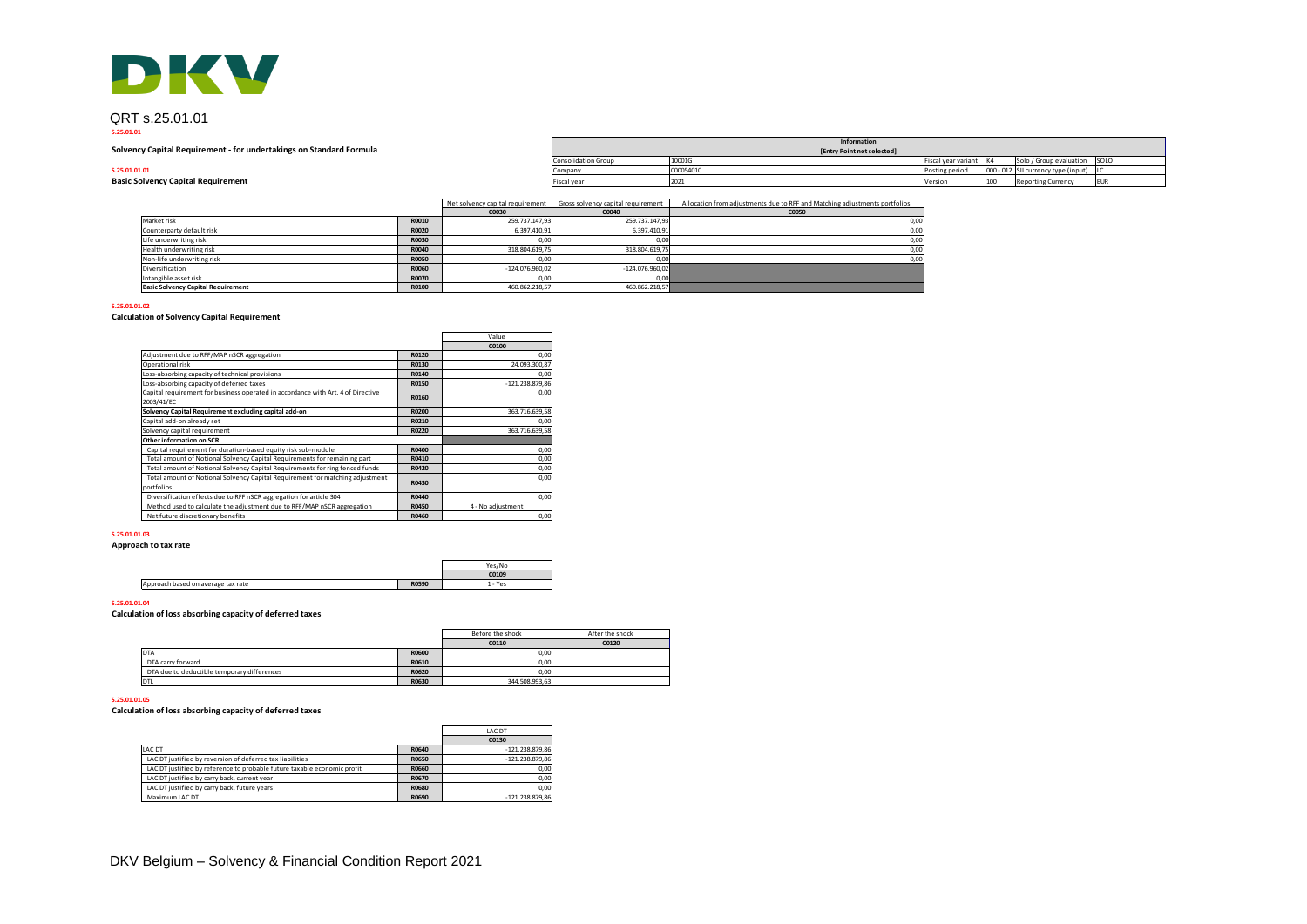

## QRT s.25.01.01

#### **S.25.01.01**

| DKV                                                                 |                                  |                                    |                                                                            |                     |     |                                     |  |
|---------------------------------------------------------------------|----------------------------------|------------------------------------|----------------------------------------------------------------------------|---------------------|-----|-------------------------------------|--|
| QRT s.25.01.01                                                      |                                  |                                    |                                                                            |                     |     |                                     |  |
| S.25.01.01                                                          |                                  |                                    | Information                                                                |                     |     |                                     |  |
| Solvency Capital Requirement - for undertakings on Standard Formula |                                  |                                    | [Entry Point not selected]                                                 |                     |     |                                     |  |
|                                                                     |                                  | <b>Consolidation Group</b>         | 10001G                                                                     | Fiscal year variant |     | Solo / Group evaluation SOLO        |  |
| S.25.01.01.01                                                       |                                  | Company                            | 000054010                                                                  | Posting period      |     | 000 - 012 SII currency type (input) |  |
| <b>Basic Solvency Capital Requirement</b>                           |                                  | Fiscal year                        | 2021                                                                       | Version             | 100 | <b>Reporting Currency</b>           |  |
|                                                                     | Net solvency capital requirement | Gross solvency capital requirement | Allocation from adjustments due to RFF and Matching adjustments portfolios |                     |     |                                     |  |

Net solvency capital requirement | Gross solvency capital requirement | Allocation from adjustments due to RFF and Matching adjustments portfolios

|              |      | Gloss solvency capital requirement          | Anotation nonraquistments que to KPP and Matching aujustments portionos                 |
|--------------|------|---------------------------------------------|-----------------------------------------------------------------------------------------|
|              |      | C0040                                       | C0050                                                                                   |
| R0010        |      | 259.737.147.93                              | 0,00                                                                                    |
| R0020        |      | 6.397.410.91                                | 0,00                                                                                    |
| R0030        | 0,00 | 0,00                                        | 0,00                                                                                    |
| R0040        |      | 318.804.619.75                              | 0,00                                                                                    |
| <b>R0050</b> | 0,00 | 0,00                                        | 0,00                                                                                    |
| R0060        |      | $-124.076.960.02$                           |                                                                                         |
| R0070        | 0,00 | 0,00                                        |                                                                                         |
| R0100        |      | 460.862.218,57                              |                                                                                         |
|              |      | iver solverity capital requirement<br>C0030 | 259.737.147.93<br>6.397.410.91<br>318.804.619.75<br>$-124.076.960.02$<br>460.862.218.57 |

**S.25.01.01.02**

## **Calculation of Solvency Capital Requirement**

|                                                                                                |       | Value             |
|------------------------------------------------------------------------------------------------|-------|-------------------|
|                                                                                                |       | C0100             |
| Adjustment due to RFF/MAP nSCR aggregation                                                     | R0120 | 0,00              |
| Operational risk                                                                               | R0130 | 24.093.300.87     |
| Loss-absorbing capacity of technical provisions                                                | R0140 | 0,00              |
| Loss-absorbing capacity of deferred taxes                                                      | R0150 | $-121.238.879.86$ |
| Capital requirement for business operated in accordance with Art. 4 of Directive<br>2003/41/EC | R0160 | 0,00              |
| Solvency Capital Requirement excluding capital add-on                                          | R0200 | 363.716.639.58    |
| Capital add-on already set                                                                     | R0210 | 0,00              |
| Solvency capital requirement                                                                   | R0220 | 363.716.639.58    |
| Other information on SCR                                                                       |       |                   |
| Capital requirement for duration-based equity risk sub-module                                  | R0400 | 0,00              |
| Total amount of Notional Solvency Capital Requirements for remaining part                      | R0410 | 0,00              |
| Total amount of Notional Solvency Capital Requirements for ring fenced funds                   | R0420 | 0,00              |
| Total amount of Notional Solvency Capital Requirement for matching adjustment                  | R0430 | 0,00              |
| portfolios                                                                                     |       |                   |
| Diversification effects due to RFF nSCR aggregation for article 304                            | R0440 | 0,00              |
| Method used to calculate the adjustment due to RFF/MAP nSCR aggregation                        | R0450 | 4 - No adjustment |
| Net future discretionary benefits                                                              | R0460 | 0,00              |

#### **S.25.01.01.03**

**Approach to tax rate**

|                                    |              | Yes/Nr. |
|------------------------------------|--------------|---------|
|                                    |              | C0109   |
| Approach based on average tax rate | <b>R0590</b> | .- Yes  |

#### **S.25.01.01.04**

**Calculation of loss absorbing capacity of deferred taxes**

|                                             |              | Before the shock | After the shock |
|---------------------------------------------|--------------|------------------|-----------------|
|                                             |              | C0110            | C0120           |
| DTA                                         | <b>R0600</b> | 0.00             |                 |
| DTA carry forward                           | R0610        | 0.00             |                 |
| DTA due to deductible temporary differences | R0620        | 0.00             |                 |
| DTL                                         | R0630        | 344.508.993.63   |                 |

## **S.25.01.01.05**

**Calculation of loss absorbing capacity of deferred taxes**

|                                                                          |              | LAC DT            |
|--------------------------------------------------------------------------|--------------|-------------------|
|                                                                          |              | C0130             |
| LAC DT                                                                   | R0640        | $-121.238.879.86$ |
| LAC DT justified by reversion of deferred tax liabilities                | <b>R0650</b> | $-121.238.879.86$ |
| LAC DT justified by reference to probable future taxable economic profit | R0660        | 0,00              |
| LAC DT justified by carry back, current year                             | R0670        | 0,00              |
| LAC DT justified by carry back, future years                             | R0680        | 0.00              |
| Maximum LAC DT                                                           | R0690        | $-121.238.879,86$ |